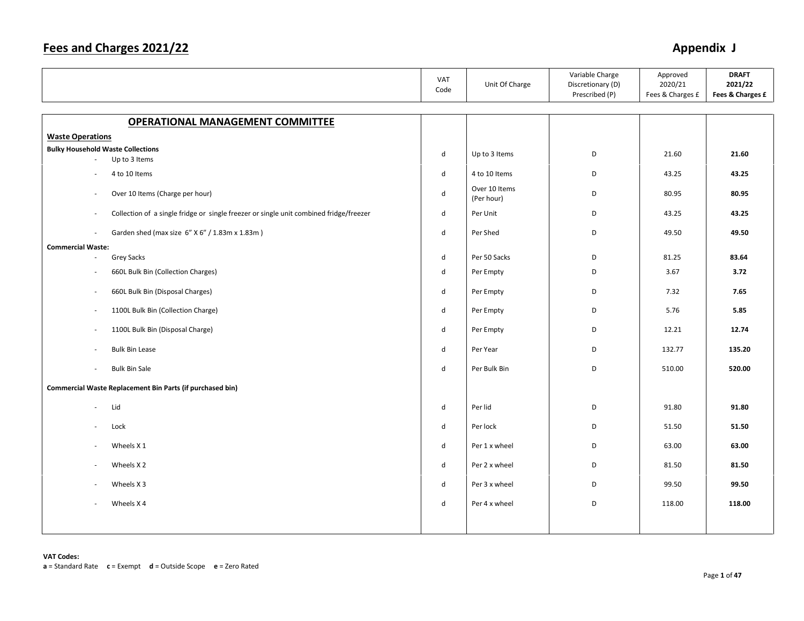|                                                                                                  | <b>VAT</b><br>Code | Unit Of Charge              | Variable Charge<br>Discretionary (D)<br>Prescribed (P) | Approved<br>2020/21<br>Fees & Charges £ | <b>DRAFT</b><br>2021/22<br>Fees & Charges £ |
|--------------------------------------------------------------------------------------------------|--------------------|-----------------------------|--------------------------------------------------------|-----------------------------------------|---------------------------------------------|
|                                                                                                  |                    |                             |                                                        |                                         |                                             |
| <b>OPERATIONAL MANAGEMENT COMMITTEE</b>                                                          |                    |                             |                                                        |                                         |                                             |
| <b>Waste Operations</b>                                                                          |                    |                             |                                                        |                                         |                                             |
| <b>Bulky Household Waste Collections</b>                                                         | d                  | Up to 3 Items               | D                                                      | 21.60                                   | 21.60                                       |
| Up to 3 Items                                                                                    |                    |                             |                                                        |                                         |                                             |
| 4 to 10 Items                                                                                    | $\mathsf{d}$       | 4 to 10 Items               | D                                                      | 43.25                                   | 43.25                                       |
| Over 10 Items (Charge per hour)<br>$\overline{\phantom{a}}$                                      | $\mathsf{d}$       | Over 10 Items<br>(Per hour) | D                                                      | 80.95                                   | 80.95                                       |
| Collection of a single fridge or single freezer or single unit combined fridge/freezer<br>$\sim$ | d                  | Per Unit                    | D                                                      | 43.25                                   | 43.25                                       |
| Garden shed (max size 6" X 6" / 1.83m x 1.83m)<br>$\sim$                                         | d                  | Per Shed                    | D                                                      | 49.50                                   | 49.50                                       |
| <b>Commercial Waste:</b>                                                                         |                    |                             |                                                        |                                         |                                             |
| <b>Grey Sacks</b>                                                                                | d                  | Per 50 Sacks                | D                                                      | 81.25                                   | 83.64                                       |
| 660L Bulk Bin (Collection Charges)                                                               | d                  | Per Empty                   | D                                                      | 3.67                                    | 3.72                                        |
| 660L Bulk Bin (Disposal Charges)<br>$\overline{\phantom{a}}$                                     | d                  | Per Empty                   | D                                                      | 7.32                                    | 7.65                                        |
| 1100L Bulk Bin (Collection Charge)<br>$\overline{\phantom{a}}$                                   | d                  | Per Empty                   | D                                                      | 5.76                                    | 5.85                                        |
| 1100L Bulk Bin (Disposal Charge)<br>$\sim$                                                       | d                  | Per Empty                   | D                                                      | 12.21                                   | 12.74                                       |
| <b>Bulk Bin Lease</b>                                                                            | d                  | Per Year                    | D                                                      | 132.77                                  | 135.20                                      |
| <b>Bulk Bin Sale</b><br>$\sim$                                                                   | d                  | Per Bulk Bin                | D                                                      | 510.00                                  | 520.00                                      |
| Commercial Waste Replacement Bin Parts (if purchased bin)                                        |                    |                             |                                                        |                                         |                                             |
| Lid                                                                                              | d                  | Per lid                     | D                                                      | 91.80                                   | 91.80                                       |
| Lock                                                                                             | $\mathsf{d}$       | Per lock                    | D                                                      | 51.50                                   | 51.50                                       |
| Wheels X 1<br>$\overline{\phantom{a}}$                                                           | d                  | Per 1 x wheel               | D                                                      | 63.00                                   | 63.00                                       |
| Wheels X 2<br>$\sim$                                                                             | d                  | Per 2 x wheel               | D                                                      | 81.50                                   | 81.50                                       |
| Wheels X 3                                                                                       | d                  | Per 3 x wheel               | D                                                      | 99.50                                   | 99.50                                       |
| Wheels X4                                                                                        | $\mathsf{d}$       | Per 4 x wheel               | D                                                      | 118.00                                  | 118.00                                      |
|                                                                                                  |                    |                             |                                                        |                                         |                                             |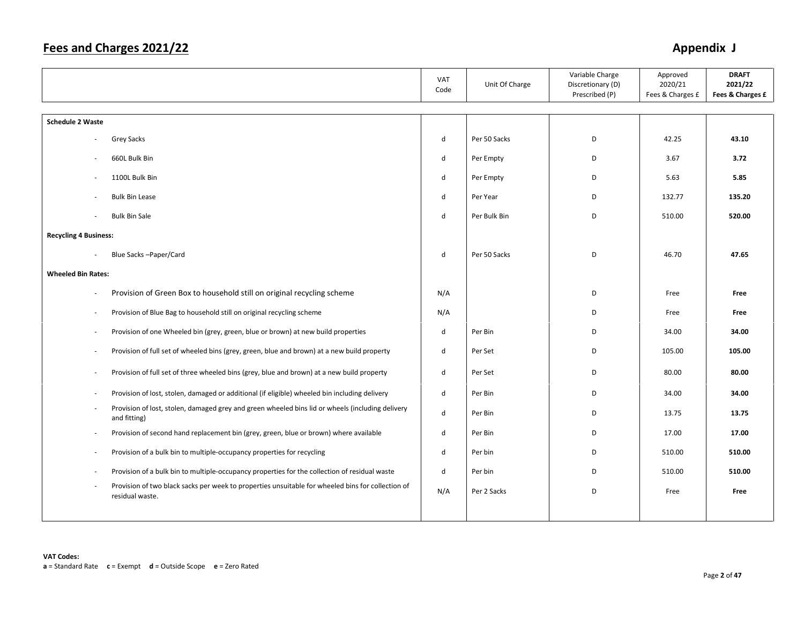|                              |                                                                                                                      | VAT<br>Code  | Unit Of Charge | Variable Charge<br>Discretionary (D)<br>Prescribed (P) | Approved<br>2020/21<br>Fees & Charges £ | <b>DRAFT</b><br>2021/22<br>Fees & Charges £ |
|------------------------------|----------------------------------------------------------------------------------------------------------------------|--------------|----------------|--------------------------------------------------------|-----------------------------------------|---------------------------------------------|
| <b>Schedule 2 Waste</b>      |                                                                                                                      |              |                |                                                        |                                         |                                             |
|                              | <b>Grey Sacks</b>                                                                                                    | d            | Per 50 Sacks   | D                                                      | 42.25                                   | 43.10                                       |
|                              | 660L Bulk Bin                                                                                                        | d            | Per Empty      | D                                                      | 3.67                                    | 3.72                                        |
| $\overline{\phantom{a}}$     | 1100L Bulk Bin                                                                                                       | d            | Per Empty      | D                                                      | 5.63                                    | 5.85                                        |
|                              | <b>Bulk Bin Lease</b>                                                                                                | d            | Per Year       | D                                                      | 132.77                                  | 135.20                                      |
|                              | <b>Bulk Bin Sale</b>                                                                                                 | d            | Per Bulk Bin   | D                                                      | 510.00                                  | 520.00                                      |
| <b>Recycling 4 Business:</b> |                                                                                                                      |              |                |                                                        |                                         |                                             |
|                              | Blue Sacks-Paper/Card                                                                                                | d            | Per 50 Sacks   | D                                                      | 46.70                                   | 47.65                                       |
| <b>Wheeled Bin Rates:</b>    |                                                                                                                      |              |                |                                                        |                                         |                                             |
| ÷,                           | Provision of Green Box to household still on original recycling scheme                                               | N/A          |                | D                                                      | Free                                    | Free                                        |
| J.                           | Provision of Blue Bag to household still on original recycling scheme                                                | N/A          |                | D                                                      | Free                                    | Free                                        |
| $\overline{\phantom{a}}$     | Provision of one Wheeled bin (grey, green, blue or brown) at new build properties                                    | $\mathsf{d}$ | Per Bin        | D                                                      | 34.00                                   | 34.00                                       |
| ÷,                           | Provision of full set of wheeled bins (grey, green, blue and brown) at a new build property                          | d            | Per Set        | D                                                      | 105.00                                  | 105.00                                      |
| ä,                           | Provision of full set of three wheeled bins (grey, blue and brown) at a new build property                           | d            | Per Set        | D                                                      | 80.00                                   | 80.00                                       |
| $\overline{\phantom{a}}$     | Provision of lost, stolen, damaged or additional (if eligible) wheeled bin including delivery                        | d            | Per Bin        | D                                                      | 34.00                                   | 34.00                                       |
| ÷,                           | Provision of lost, stolen, damaged grey and green wheeled bins lid or wheels (including delivery<br>and fitting)     | d            | Per Bin        | D                                                      | 13.75                                   | 13.75                                       |
| ÷,                           | Provision of second hand replacement bin (grey, green, blue or brown) where available                                | d            | Per Bin        | D                                                      | 17.00                                   | 17.00                                       |
| ٠                            | Provision of a bulk bin to multiple-occupancy properties for recycling                                               | d            | Per bin        | D                                                      | 510.00                                  | 510.00                                      |
| ٠                            | Provision of a bulk bin to multiple-occupancy properties for the collection of residual waste                        | d            | Per bin        | D                                                      | 510.00                                  | 510.00                                      |
| $\overline{\phantom{a}}$     | Provision of two black sacks per week to properties unsuitable for wheeled bins for collection of<br>residual waste. | N/A          | Per 2 Sacks    | D                                                      | Free                                    | Free                                        |
|                              |                                                                                                                      |              |                |                                                        |                                         |                                             |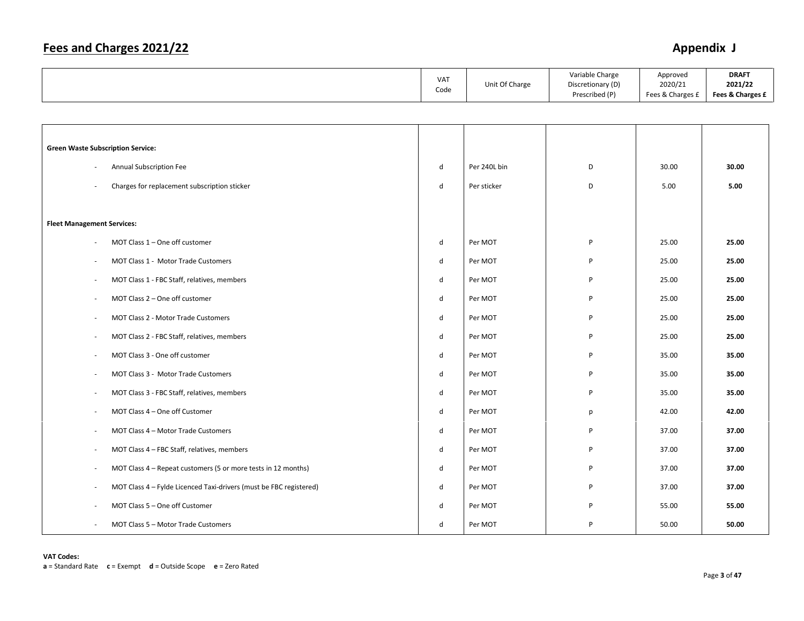|                                                                                                | VAT<br>Code | Unit Of Charge | Variable Charge<br>Discretionary (D)<br>Prescribed (P) | Approved<br>2020/21<br>Fees & Charges £ | <b>DRAFT</b><br>2021/22<br>Fees & Charges £ |
|------------------------------------------------------------------------------------------------|-------------|----------------|--------------------------------------------------------|-----------------------------------------|---------------------------------------------|
|                                                                                                |             |                |                                                        |                                         |                                             |
|                                                                                                |             |                |                                                        |                                         |                                             |
| <b>Green Waste Subscription Service:</b>                                                       |             |                |                                                        |                                         |                                             |
| Annual Subscription Fee                                                                        | d           | Per 240L bin   | D                                                      | 30.00                                   | 30.00                                       |
| Charges for replacement subscription sticker                                                   | d           | Per sticker    | D                                                      | 5.00                                    | 5.00                                        |
|                                                                                                |             |                |                                                        |                                         |                                             |
| <b>Fleet Management Services:</b>                                                              |             |                |                                                        |                                         |                                             |
| MOT Class 1 - One off customer                                                                 | d           | Per MOT        | P                                                      | 25.00                                   | 25.00                                       |
| MOT Class 1 - Motor Trade Customers<br>÷,                                                      | d           | Per MOT        | P                                                      | 25.00                                   | 25.00                                       |
| MOT Class 1 - FBC Staff, relatives, members<br>$\overline{\phantom{a}}$                        | d           | Per MOT        | P                                                      | 25.00                                   | 25.00                                       |
| MOT Class 2 - One off customer<br>$\overline{\phantom{a}}$                                     | d           | Per MOT        | P                                                      | 25.00                                   | 25.00                                       |
| MOT Class 2 - Motor Trade Customers<br>$\overline{\phantom{a}}$                                | d           | Per MOT        | P                                                      | 25.00                                   | 25.00                                       |
| MOT Class 2 - FBC Staff, relatives, members<br>$\overline{\phantom{a}}$                        | d           | Per MOT        | P                                                      | 25.00                                   | 25.00                                       |
| MOT Class 3 - One off customer<br>$\overline{\phantom{a}}$                                     | d           | Per MOT        | P                                                      | 35.00                                   | 35.00                                       |
| MOT Class 3 - Motor Trade Customers<br>$\overline{\phantom{a}}$                                | d           | Per MOT        | P                                                      | 35.00                                   | 35.00                                       |
| MOT Class 3 - FBC Staff, relatives, members<br>$\overline{\phantom{a}}$                        | d           | Per MOT        | P                                                      | 35.00                                   | 35.00                                       |
| MOT Class 4 - One off Customer<br>÷,                                                           | d           | Per MOT        | p                                                      | 42.00                                   | 42.00                                       |
| MOT Class 4 - Motor Trade Customers<br>$\overline{\phantom{a}}$                                | d           | Per MOT        | P                                                      | 37.00                                   | 37.00                                       |
| MOT Class 4 - FBC Staff, relatives, members<br>$\overline{\phantom{a}}$                        | d           | Per MOT        | P                                                      | 37.00                                   | 37.00                                       |
| MOT Class 4 – Repeat customers (5 or more tests in 12 months)<br>$\overline{\phantom{a}}$      | d           | Per MOT        | P                                                      | 37.00                                   | 37.00                                       |
| MOT Class 4 - Fylde Licenced Taxi-drivers (must be FBC registered)<br>$\overline{\phantom{a}}$ | d           | Per MOT        | P                                                      | 37.00                                   | 37.00                                       |
| MOT Class 5 - One off Customer                                                                 | d           | Per MOT        | P                                                      | 55.00                                   | 55.00                                       |
| MOT Class 5 - Motor Trade Customers<br>$\overline{\phantom{a}}$                                | d           | Per MOT        | P                                                      | 50.00                                   | 50.00                                       |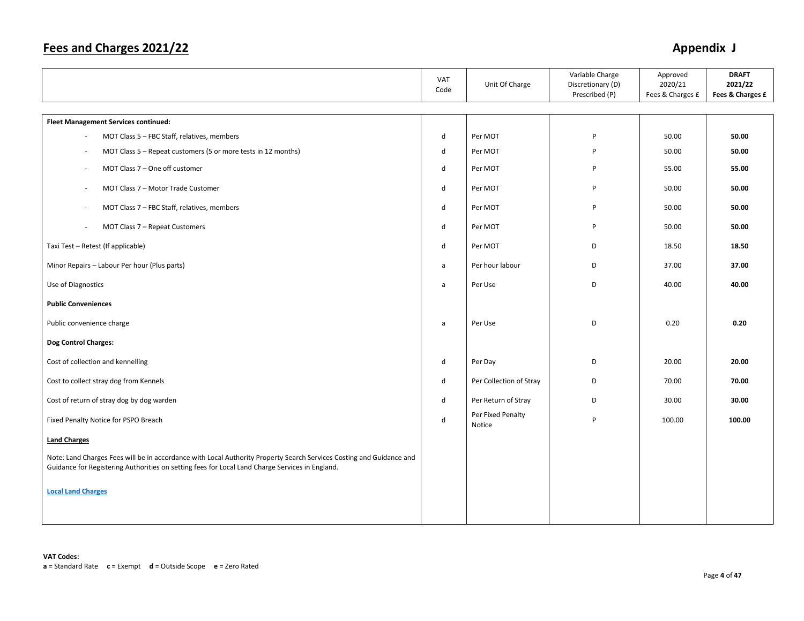|                                                                                                                                                                                                                         | VAT<br>Code | Unit Of Charge              | Variable Charge<br>Discretionary (D)<br>Prescribed (P) | Approved<br>2020/21<br>Fees & Charges £ | <b>DRAFT</b><br>2021/22<br>Fees & Charges £ |
|-------------------------------------------------------------------------------------------------------------------------------------------------------------------------------------------------------------------------|-------------|-----------------------------|--------------------------------------------------------|-----------------------------------------|---------------------------------------------|
| <b>Fleet Management Services continued:</b>                                                                                                                                                                             |             |                             |                                                        |                                         |                                             |
| MOT Class 5 - FBC Staff, relatives, members<br>$\overline{\phantom{a}}$                                                                                                                                                 | d           | Per MOT                     | P                                                      | 50.00                                   | 50.00                                       |
| MOT Class 5 - Repeat customers (5 or more tests in 12 months)<br>$\overline{\phantom{a}}$                                                                                                                               | d           | Per MOT                     | P                                                      | 50.00                                   | 50.00                                       |
| MOT Class 7 - One off customer<br>$\overline{\phantom{a}}$                                                                                                                                                              | d           | Per MOT                     | P                                                      | 55.00                                   | 55.00                                       |
| MOT Class 7 - Motor Trade Customer<br>$\overline{\phantom{a}}$                                                                                                                                                          | d           | Per MOT                     | P                                                      | 50.00                                   | 50.00                                       |
| MOT Class 7 - FBC Staff, relatives, members                                                                                                                                                                             | d           | Per MOT                     | P                                                      | 50.00                                   | 50.00                                       |
| MOT Class 7 - Repeat Customers<br>$\overline{\phantom{a}}$                                                                                                                                                              | d           | Per MOT                     | P                                                      | 50.00                                   | 50.00                                       |
| Taxi Test - Retest (If applicable)                                                                                                                                                                                      | d           | Per MOT                     | D                                                      | 18.50                                   | 18.50                                       |
| Minor Repairs - Labour Per hour (Plus parts)                                                                                                                                                                            | a           | Per hour labour             | D                                                      | 37.00                                   | 37.00                                       |
| Use of Diagnostics                                                                                                                                                                                                      | a           | Per Use                     | D                                                      | 40.00                                   | 40.00                                       |
| <b>Public Conveniences</b>                                                                                                                                                                                              |             |                             |                                                        |                                         |                                             |
| Public convenience charge                                                                                                                                                                                               | a           | Per Use                     | D                                                      | 0.20                                    | 0.20                                        |
| Dog Control Charges:                                                                                                                                                                                                    |             |                             |                                                        |                                         |                                             |
| Cost of collection and kennelling                                                                                                                                                                                       | d           | Per Day                     | D                                                      | 20.00                                   | 20.00                                       |
| Cost to collect stray dog from Kennels                                                                                                                                                                                  | d           | Per Collection of Stray     | D                                                      | 70.00                                   | 70.00                                       |
| Cost of return of stray dog by dog warden                                                                                                                                                                               | d           | Per Return of Stray         | D                                                      | 30.00                                   | 30.00                                       |
| Fixed Penalty Notice for PSPO Breach                                                                                                                                                                                    | d           | Per Fixed Penalty<br>Notice | P                                                      | 100.00                                  | 100.00                                      |
| <b>Land Charges</b>                                                                                                                                                                                                     |             |                             |                                                        |                                         |                                             |
| Note: Land Charges Fees will be in accordance with Local Authority Property Search Services Costing and Guidance and<br>Guidance for Registering Authorities on setting fees for Local Land Charge Services in England. |             |                             |                                                        |                                         |                                             |
| <b>Local Land Charges</b>                                                                                                                                                                                               |             |                             |                                                        |                                         |                                             |
|                                                                                                                                                                                                                         |             |                             |                                                        |                                         |                                             |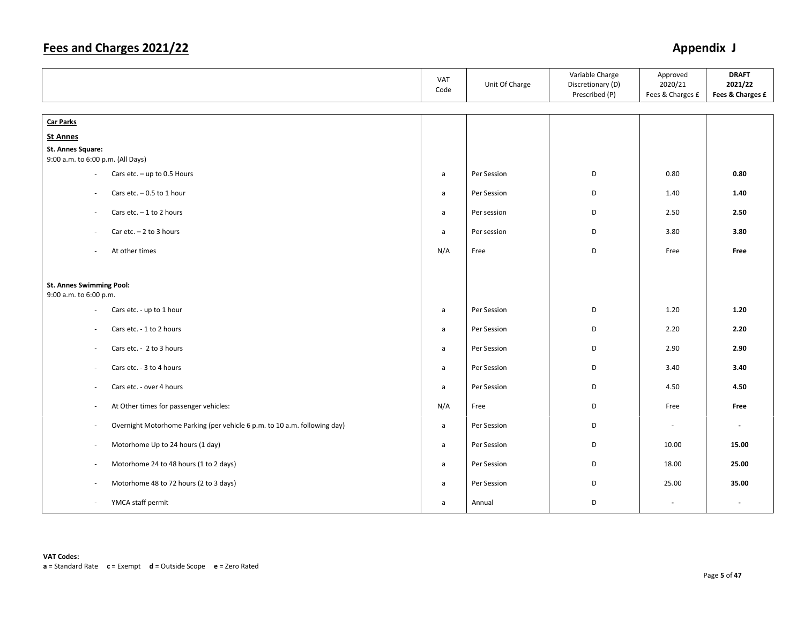|                                                                                                       | VAT<br>Code  | Unit Of Charge | Variable Charge<br>Discretionary (D)<br>Prescribed (P) | Approved<br>2020/21<br>Fees & Charges £ | <b>DRAFT</b><br>2021/22<br>Fees & Charges £ |
|-------------------------------------------------------------------------------------------------------|--------------|----------------|--------------------------------------------------------|-----------------------------------------|---------------------------------------------|
| <b>Car Parks</b>                                                                                      |              |                |                                                        |                                         |                                             |
| <b>St Annes</b>                                                                                       |              |                |                                                        |                                         |                                             |
| St. Annes Square:                                                                                     |              |                |                                                        |                                         |                                             |
| 9:00 a.m. to 6:00 p.m. (All Days)                                                                     |              |                |                                                        |                                         |                                             |
| Cars etc. $-$ up to 0.5 Hours<br>$\overline{\phantom{a}}$                                             | a            | Per Session    | D                                                      | 0.80                                    | 0.80                                        |
| Cars etc. $-0.5$ to 1 hour<br>$\sim$                                                                  | a            | Per Session    | D                                                      | 1.40                                    | 1.40                                        |
| Cars etc. $-1$ to 2 hours<br>$\sim$                                                                   | a            | Per session    | D                                                      | 2.50                                    | 2.50                                        |
| Car etc. $-2$ to 3 hours<br>$\overline{\phantom{a}}$                                                  | a            | Per session    | D                                                      | 3.80                                    | 3.80                                        |
| At other times<br>$\sim$                                                                              | N/A          | Free           | D                                                      | Free                                    | Free                                        |
| <b>St. Annes Swimming Pool:</b><br>9:00 a.m. to 6:00 p.m.                                             |              |                |                                                        |                                         |                                             |
| Cars etc. - up to 1 hour<br>$\sim$                                                                    | a            | Per Session    | D                                                      | 1.20                                    | 1.20                                        |
|                                                                                                       |              |                |                                                        |                                         |                                             |
| Cars etc. - 1 to 2 hours<br>$\sim$                                                                    | a            | Per Session    | D                                                      | 2.20                                    | 2.20                                        |
| Cars etc. - 2 to 3 hours<br>$\overline{\phantom{a}}$                                                  | a            | Per Session    | D                                                      | 2.90                                    | 2.90                                        |
| Cars etc. - 3 to 4 hours<br>$\overline{\phantom{a}}$                                                  | a            | Per Session    | D                                                      | 3.40                                    | 3.40                                        |
| Cars etc. - over 4 hours<br>$\overline{\phantom{a}}$                                                  | a            | Per Session    | D                                                      | 4.50                                    | 4.50                                        |
| At Other times for passenger vehicles:<br>$\overline{\phantom{a}}$                                    | N/A          | Free           | D                                                      | Free                                    | Free                                        |
| Overnight Motorhome Parking (per vehicle 6 p.m. to 10 a.m. following day)<br>$\overline{\phantom{a}}$ | a            | Per Session    | D                                                      | $\sim$                                  | $\overline{\phantom{a}}$                    |
| Motorhome Up to 24 hours (1 day)<br>$\overline{\phantom{a}}$                                          | $\mathsf{a}$ | Per Session    | D                                                      | 10.00                                   | 15.00                                       |
| Motorhome 24 to 48 hours (1 to 2 days)<br>$\overline{\phantom{a}}$                                    | a            | Per Session    | D                                                      | 18.00                                   | 25.00                                       |
| Motorhome 48 to 72 hours (2 to 3 days)<br>$\sim$                                                      | a            | Per Session    | D                                                      | 25.00                                   | 35.00                                       |
| YMCA staff permit<br>$\overline{\phantom{a}}$                                                         | a            | Annual         | D                                                      | $\overline{\phantom{a}}$                | $\blacksquare$                              |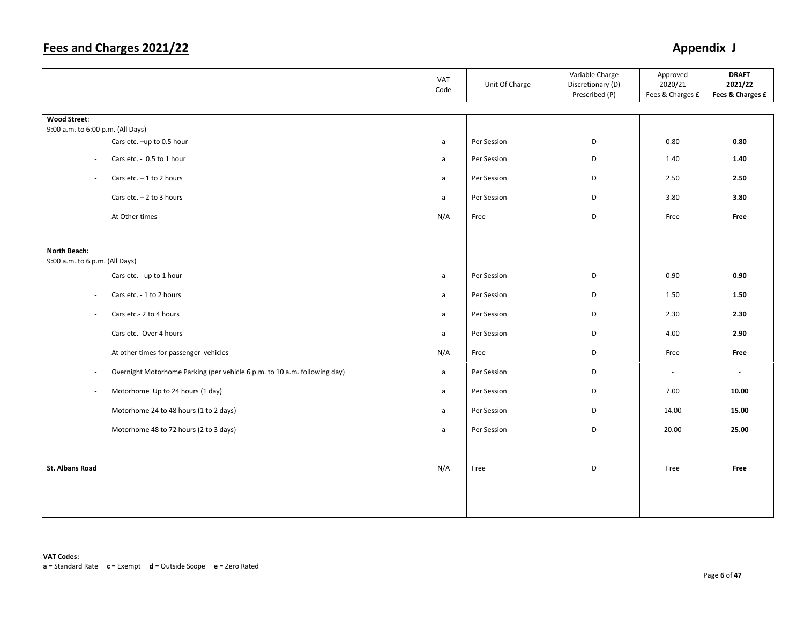|                                                                                                       | VAT<br>Code  | Unit Of Charge | Variable Charge<br>Discretionary (D)<br>Prescribed (P) | Approved<br>2020/21<br>Fees & Charges £ | <b>DRAFT</b><br>2021/22<br>Fees & Charges £ |
|-------------------------------------------------------------------------------------------------------|--------------|----------------|--------------------------------------------------------|-----------------------------------------|---------------------------------------------|
| <b>Wood Street:</b>                                                                                   |              |                |                                                        |                                         |                                             |
| 9:00 a.m. to 6:00 p.m. (All Days)                                                                     |              |                |                                                        |                                         |                                             |
| Cars etc. - up to 0.5 hour<br>$\overline{\phantom{a}}$                                                | $\mathsf{a}$ | Per Session    | D                                                      | 0.80                                    | 0.80                                        |
| Cars etc. - 0.5 to 1 hour<br>$\overline{\phantom{a}}$                                                 | $\mathsf{a}$ | Per Session    | D                                                      | 1.40                                    | 1.40                                        |
| Cars etc. $-1$ to 2 hours<br>$\sim$                                                                   | $\mathsf{a}$ | Per Session    | D                                                      | 2.50                                    | 2.50                                        |
| Cars etc. $-2$ to 3 hours<br>÷                                                                        | a            | Per Session    | D                                                      | 3.80                                    | 3.80                                        |
| At Other times<br>$\overline{\phantom{a}}$                                                            | N/A          | Free           | D                                                      | Free                                    | Free                                        |
|                                                                                                       |              |                |                                                        |                                         |                                             |
| North Beach:<br>9:00 a.m. to 6 p.m. (All Days)                                                        |              |                |                                                        |                                         |                                             |
| Cars etc. - up to 1 hour<br>$\sim$                                                                    | $\mathsf{a}$ | Per Session    | D                                                      | 0.90                                    | 0.90                                        |
| Cars etc. - 1 to 2 hours<br>$\overline{\phantom{a}}$                                                  | $\mathsf{a}$ | Per Session    | D                                                      | 1.50                                    | 1.50                                        |
| Cars etc.- 2 to 4 hours<br>$\sim$                                                                     | $\mathsf{a}$ | Per Session    | D                                                      | 2.30                                    | 2.30                                        |
| Cars etc.- Over 4 hours<br>$\sim$                                                                     | $\mathsf{a}$ | Per Session    | D                                                      | 4.00                                    | 2.90                                        |
| At other times for passenger vehicles<br>$\overline{\phantom{a}}$                                     | N/A          | Free           | D                                                      | Free                                    | Free                                        |
| Overnight Motorhome Parking (per vehicle 6 p.m. to 10 a.m. following day)<br>$\overline{\phantom{a}}$ | $\mathsf{a}$ | Per Session    | D                                                      | $\overline{\phantom{a}}$                | $\blacksquare$                              |
| Motorhome Up to 24 hours (1 day)<br>$\overline{\phantom{a}}$                                          | $\mathsf{a}$ | Per Session    | D                                                      | 7.00                                    | 10.00                                       |
| Motorhome 24 to 48 hours (1 to 2 days)<br>$\overline{\phantom{a}}$                                    | a            | Per Session    | D                                                      | 14.00                                   | 15.00                                       |
| Motorhome 48 to 72 hours (2 to 3 days)<br>$\bar{a}$                                                   | $\mathsf{a}$ | Per Session    | D                                                      | 20.00                                   | 25.00                                       |
|                                                                                                       |              |                |                                                        |                                         |                                             |
| <b>St. Albans Road</b>                                                                                | N/A          | Free           | D                                                      | Free                                    | Free                                        |
|                                                                                                       |              |                |                                                        |                                         |                                             |
|                                                                                                       |              |                |                                                        |                                         |                                             |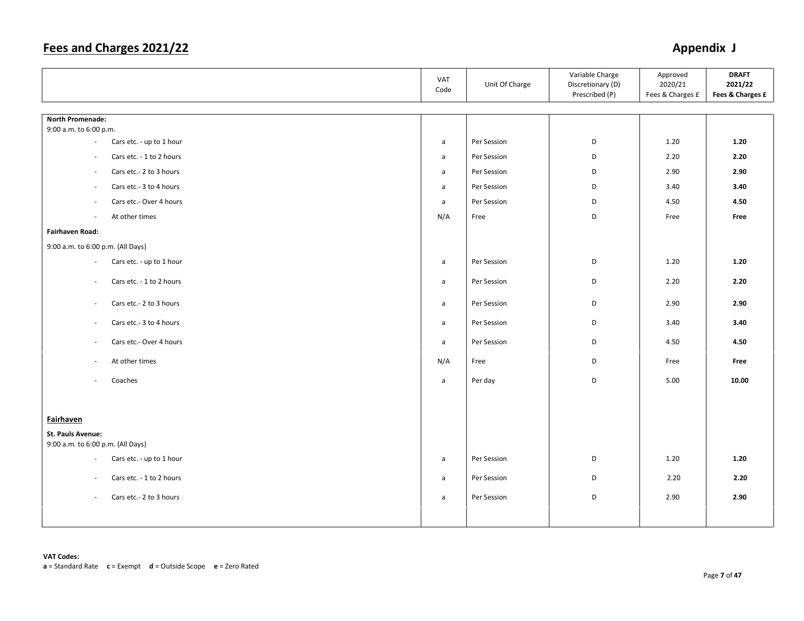|                                                        | VAT<br>Code  | Unit Of Charge | Variable Charge<br>Discretionary (D)<br>Prescribed (P) | Approved<br>2020/21<br>Fees & Charges £ | <b>DRAFT</b><br>2021/22<br>Fees & Charges £ |
|--------------------------------------------------------|--------------|----------------|--------------------------------------------------------|-----------------------------------------|---------------------------------------------|
|                                                        |              |                |                                                        |                                         |                                             |
| <b>North Promenade:</b><br>9:00 a.m. to 6:00 p.m.      |              |                |                                                        |                                         |                                             |
| Cars etc. - up to 1 hour<br>$\sim$                     | $\mathsf{a}$ | Per Session    | D                                                      | 1.20                                    | 1.20                                        |
| Cars etc. - 1 to 2 hours<br>$\overline{\phantom{a}}$   | $\mathsf{a}$ | Per Session    | D                                                      | 2.20                                    | 2.20                                        |
| $\sim$                                                 |              | Per Session    | D                                                      | 2.90                                    | 2.90                                        |
| Cars etc.- 2 to 3 hours                                | a            |                |                                                        |                                         |                                             |
| Cars etc.- 3 to 4 hours<br>$\sim$                      | $\mathsf{a}$ | Per Session    | D                                                      | 3.40                                    | 3.40                                        |
| Cars etc.- Over 4 hours<br>$\overline{\phantom{a}}$    | a            | Per Session    | D                                                      | 4.50                                    | 4.50                                        |
| At other times<br>$\sim$                               | N/A          | Free           | D                                                      | Free                                    | Free                                        |
| Fairhaven Road:                                        |              |                |                                                        |                                         |                                             |
| 9:00 a.m. to 6:00 p.m. (All Days)                      |              |                |                                                        |                                         |                                             |
| Cars etc. - up to 1 hour<br>$\sim$                     | $\mathsf{a}$ | Per Session    | D                                                      | 1.20                                    | 1.20                                        |
| Cars etc. - 1 to 2 hours<br>$\sim$                     | $\mathsf{a}$ | Per Session    | D                                                      | 2.20                                    | 2.20                                        |
| Cars etc.- 2 to 3 hours<br>$\overline{\phantom{a}}$    | a            | Per Session    | D                                                      | 2.90                                    | 2.90                                        |
| Cars etc.- 3 to 4 hours<br>$\overline{\phantom{a}}$    | $\mathsf{a}$ | Per Session    | D                                                      | 3.40                                    | 3.40                                        |
| Cars etc.- Over 4 hours<br>$\overline{\phantom{a}}$    | $\mathsf{a}$ | Per Session    | D                                                      | 4.50                                    | 4.50                                        |
| At other times<br>$\overline{\phantom{a}}$             | N/A          | Free           | D                                                      | Free                                    | Free                                        |
| Coaches<br>$\sim$                                      | $\mathsf{a}$ | Per day        | D                                                      | 5.00                                    | 10.00                                       |
|                                                        |              |                |                                                        |                                         |                                             |
| <b>Fairhaven</b>                                       |              |                |                                                        |                                         |                                             |
| <b>St. Pauls Avenue:</b>                               |              |                |                                                        |                                         |                                             |
| 9:00 a.m. to 6:00 p.m. (All Days)                      |              |                |                                                        |                                         |                                             |
| Cars etc. - up to 1 hour<br>$\overline{\phantom{a}}$   | a            | Per Session    | D                                                      | 1.20                                    | 1.20                                        |
| Cars etc. - 1 to 2 hours<br>$\overline{\phantom{a}}$   | $\mathsf{a}$ | Per Session    | D                                                      | 2.20                                    | 2.20                                        |
| Cars etc.- 2 to 3 hours<br>$\mathcal{L}_{\mathcal{A}}$ | a            | Per Session    | D                                                      | 2.90                                    | 2.90                                        |
|                                                        |              |                |                                                        |                                         |                                             |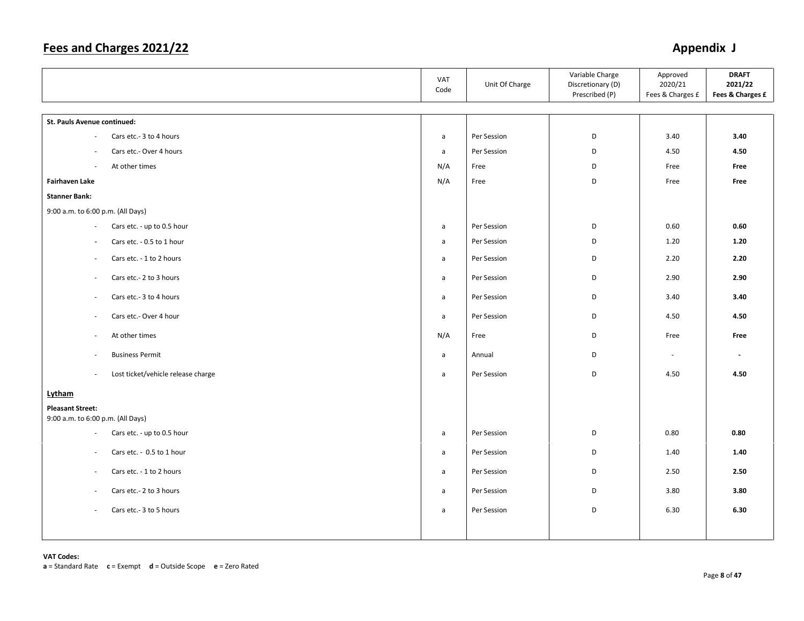|                                                           | VAT<br>Code  | Unit Of Charge | Variable Charge<br>Discretionary (D)<br>Prescribed (P) | Approved<br>2020/21<br>Fees & Charges £ | <b>DRAFT</b><br>2021/22<br>Fees & Charges £ |
|-----------------------------------------------------------|--------------|----------------|--------------------------------------------------------|-----------------------------------------|---------------------------------------------|
| St. Pauls Avenue continued:                               |              |                |                                                        |                                         |                                             |
| Cars etc.- 3 to 4 hours<br>$\bar{a}$                      | $\mathsf{a}$ | Per Session    | D                                                      | 3.40                                    | 3.40                                        |
| Cars etc.- Over 4 hours<br>$\overline{\phantom{a}}$       | $\mathsf{a}$ | Per Session    | D                                                      | 4.50                                    | 4.50                                        |
| At other times<br>$\sim$                                  | N/A          | Free           | D                                                      | Free                                    | Free                                        |
| <b>Fairhaven Lake</b>                                     | N/A          | Free           | D                                                      | Free                                    | Free                                        |
| <b>Stanner Bank:</b>                                      |              |                |                                                        |                                         |                                             |
| 9:00 a.m. to 6:00 p.m. (All Days)                         |              |                |                                                        |                                         |                                             |
| Cars etc. - up to 0.5 hour<br>$\mathcal{L}_{\mathcal{A}}$ | a            | Per Session    | D                                                      | 0.60                                    | 0.60                                        |
| Cars etc. - 0.5 to 1 hour<br>$\overline{\phantom{a}}$     | $\mathsf{a}$ | Per Session    | D                                                      | 1.20                                    | 1.20                                        |
| Cars etc. - 1 to 2 hours<br>$\overline{\phantom{a}}$      | $\mathsf{a}$ | Per Session    | D                                                      | 2.20                                    | 2.20                                        |
| Cars etc.- 2 to 3 hours<br>$\bar{a}$                      | $\mathsf{a}$ | Per Session    | D                                                      | 2.90                                    | 2.90                                        |
| Cars etc.- 3 to 4 hours<br>$\sim$                         | a            | Per Session    | D                                                      | 3.40                                    | 3.40                                        |
| Cars etc.- Over 4 hour<br>$\sim$                          | $\mathsf{a}$ | Per Session    | D                                                      | 4.50                                    | 4.50                                        |
| At other times<br>$\overline{\phantom{a}}$                | N/A          | Free           | D                                                      | Free                                    | Free                                        |
| <b>Business Permit</b><br>$\sim$                          | $\mathsf{a}$ | Annual         | D                                                      | $\mathcal{L}_{\mathcal{A}}$             | $\overline{\phantom{a}}$                    |
| Lost ticket/vehicle release charge<br>$\bar{a}$           | $\mathsf{a}$ | Per Session    | D                                                      | 4.50                                    | 4.50                                        |
| Lytham                                                    |              |                |                                                        |                                         |                                             |
| <b>Pleasant Street:</b>                                   |              |                |                                                        |                                         |                                             |
| 9:00 a.m. to 6:00 p.m. (All Days)                         |              |                |                                                        |                                         | 0.80                                        |
| Cars etc. - up to 0.5 hour<br>$\overline{\phantom{a}}$    | $\mathsf{a}$ | Per Session    | D                                                      | 0.80                                    |                                             |
| Cars etc. - 0.5 to 1 hour<br>$\sim$                       | $\mathsf{a}$ | Per Session    | D                                                      | 1.40                                    | 1.40                                        |
| Cars etc. - 1 to 2 hours<br>$\overline{\phantom{a}}$      | $\mathsf{a}$ | Per Session    | D                                                      | 2.50                                    | 2.50                                        |
| Cars etc.- 2 to 3 hours<br>$\bar{a}$                      | $\mathsf{a}$ | Per Session    | D                                                      | 3.80                                    | 3.80                                        |
| Cars etc.- 3 to 5 hours<br>$\sim$                         | a            | Per Session    | D                                                      | 6.30                                    | 6.30                                        |
|                                                           |              |                |                                                        |                                         |                                             |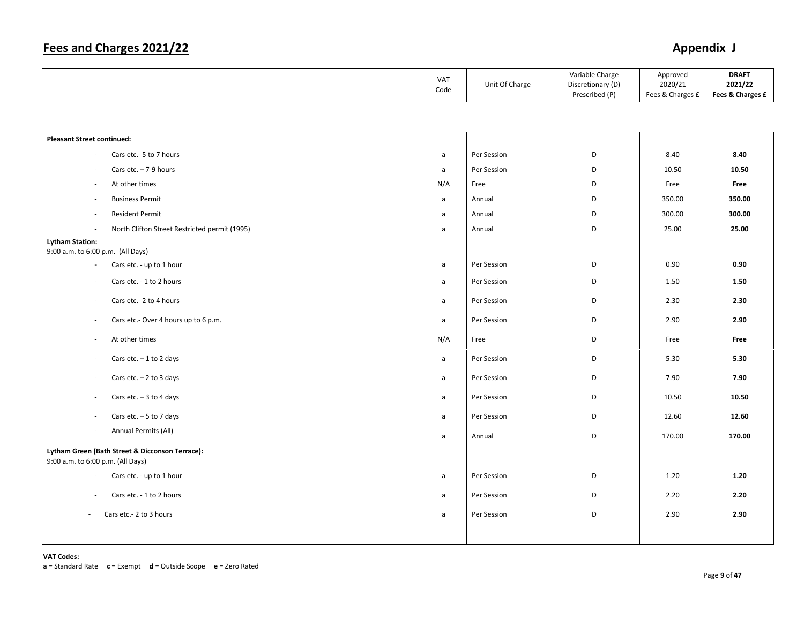|  | <b>VAT</b><br>Code | Unit Of Charge | Variable Charge<br>Discretionary (D)<br>Prescribed (P) | Approved<br>2020/21<br>Fees & Charges £ | <b>DRAFT</b><br>2021/22<br>Fees & Charges £ |
|--|--------------------|----------------|--------------------------------------------------------|-----------------------------------------|---------------------------------------------|
|--|--------------------|----------------|--------------------------------------------------------|-----------------------------------------|---------------------------------------------|

| <b>Pleasant Street continued:</b>                                |              |             |   |        |        |
|------------------------------------------------------------------|--------------|-------------|---|--------|--------|
| Cars etc.- 5 to 7 hours<br>$\sim$                                | a            | Per Session | D | 8.40   | 8.40   |
| Cars etc. $-7-9$ hours<br>$\overline{\phantom{a}}$               | a            | Per Session | D | 10.50  | 10.50  |
| At other times<br>$\overline{\phantom{a}}$                       | N/A          | Free        | D | Free   | Free   |
| <b>Business Permit</b><br>$\overline{\phantom{a}}$               | a            | Annual      | D | 350.00 | 350.00 |
| <b>Resident Permit</b><br>$\overline{\phantom{a}}$               | a            | Annual      | D | 300.00 | 300.00 |
| North Clifton Street Restricted permit (1995)<br>$\sim$          | a            | Annual      | D | 25.00  | 25.00  |
| <b>Lytham Station:</b>                                           |              |             |   |        |        |
| 9:00 a.m. to 6:00 p.m. (All Days)                                |              |             |   |        |        |
| Cars etc. - up to 1 hour<br>$\overline{\phantom{a}}$             | a            | Per Session | D | 0.90   | 0.90   |
| Cars etc. - 1 to 2 hours<br>$\overline{\phantom{a}}$             | a            | Per Session | D | 1.50   | 1.50   |
| Cars etc.- 2 to 4 hours<br>$\sim$                                | $\mathsf{a}$ | Per Session | D | 2.30   | 2.30   |
| Cars etc.- Over 4 hours up to 6 p.m.<br>$\overline{\phantom{a}}$ | $\mathsf{a}$ | Per Session | D | 2.90   | 2.90   |
| At other times<br>$\overline{\phantom{a}}$                       | N/A          | Free        | D | Free   | Free   |
| Cars etc. $-1$ to 2 days<br>$\sim$                               | a            | Per Session | D | 5.30   | 5.30   |
| Cars etc. $-2$ to 3 days<br>$\overline{\phantom{a}}$             | $\mathsf{a}$ | Per Session | D | 7.90   | 7.90   |
| Cars etc. $-3$ to 4 days<br>$\overline{\phantom{a}}$             | $\mathsf{a}$ | Per Session | D | 10.50  | 10.50  |
| Cars etc. $-5$ to 7 days<br>$\overline{\phantom{a}}$             | a            | Per Session | D | 12.60  | 12.60  |
| Annual Permits (All)<br>$\overline{\phantom{a}}$                 | $\mathsf{a}$ | Annual      | D | 170.00 | 170.00 |
| Lytham Green (Bath Street & Dicconson Terrace):                  |              |             |   |        |        |
| 9:00 a.m. to 6:00 p.m. (All Days)                                |              |             |   |        |        |
| Cars etc. - up to 1 hour<br>$\overline{\phantom{a}}$             | a            | Per Session | D | 1.20   | 1.20   |
| Cars etc. - 1 to 2 hours<br>$\sim$                               | a            | Per Session | D | 2.20   | 2.20   |
| Cars etc.- 2 to 3 hours<br>$\sim$                                | a            | Per Session | D | 2.90   | 2.90   |
|                                                                  |              |             |   |        |        |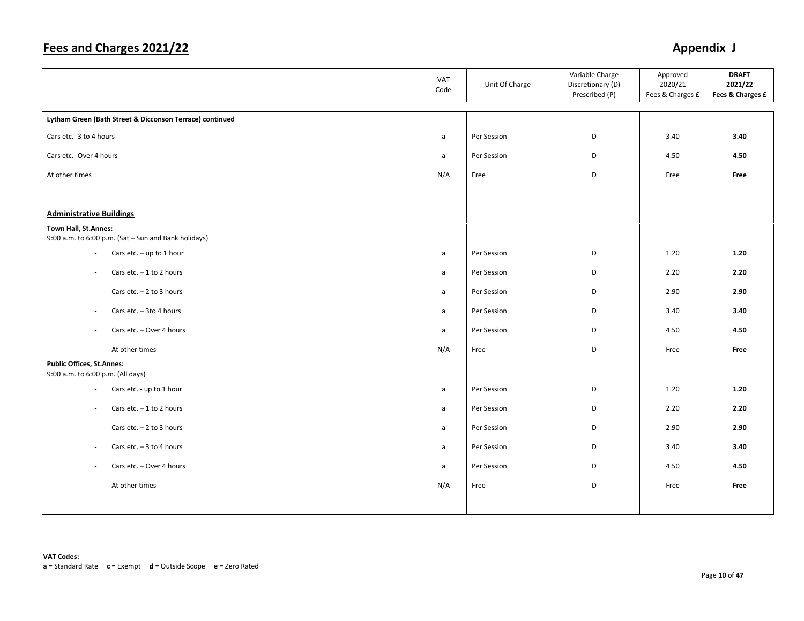|                                                                              | VAT<br>Code  | Unit Of Charge | Variable Charge<br>Discretionary (D)<br>Prescribed (P) | Approved<br>2020/21<br>Fees & Charges £ | <b>DRAFT</b><br>2021/22<br>Fees & Charges £ |
|------------------------------------------------------------------------------|--------------|----------------|--------------------------------------------------------|-----------------------------------------|---------------------------------------------|
| Lytham Green (Bath Street & Dicconson Terrace) continued                     |              |                |                                                        |                                         |                                             |
| Cars etc.- 3 to 4 hours                                                      | a            | Per Session    | D                                                      | 3.40                                    | 3.40                                        |
| Cars etc.- Over 4 hours                                                      | a            | Per Session    | D                                                      | 4.50                                    | 4.50                                        |
| At other times                                                               | N/A          | Free           | D                                                      | Free                                    | Free                                        |
|                                                                              |              |                |                                                        |                                         |                                             |
| <b>Administrative Buildings</b>                                              |              |                |                                                        |                                         |                                             |
| Town Hall, St.Annes:<br>9:00 a.m. to 6:00 p.m. (Sat - Sun and Bank holidays) |              |                |                                                        |                                         |                                             |
| Cars etc. $-$ up to 1 hour<br>$\sim$                                         | $\mathsf{a}$ | Per Session    | D                                                      | 1.20                                    | 1.20                                        |
| Cars etc. $-1$ to 2 hours<br>$\overline{\phantom{a}}$                        | a            | Per Session    | D                                                      | 2.20                                    | 2.20                                        |
| Cars etc. $-2$ to 3 hours<br>$\sim$                                          | a            | Per Session    | D                                                      | 2.90                                    | 2.90                                        |
| Cars etc. - 3to 4 hours<br>$\overline{\phantom{a}}$                          | a            | Per Session    | D                                                      | 3.40                                    | 3.40                                        |
| Cars etc. - Over 4 hours<br>$\overline{\phantom{a}}$                         | a            | Per Session    | D                                                      | 4.50                                    | 4.50                                        |
| At other times<br>$\overline{\phantom{a}}$                                   | N/A          | Free           | D                                                      | Free                                    | Free                                        |
| <b>Public Offices, St.Annes:</b><br>9:00 a.m. to 6:00 p.m. (All days)        |              |                |                                                        |                                         |                                             |
| Cars etc. - up to 1 hour<br>$\sim$                                           | a            | Per Session    | D                                                      | 1.20                                    | 1.20                                        |
| Cars etc. $-1$ to 2 hours<br>$\overline{\phantom{a}}$                        | a            | Per Session    | D                                                      | 2.20                                    | 2.20                                        |
| Cars etc. $-2$ to 3 hours<br>$\sim$                                          | a            | Per Session    | D                                                      | 2.90                                    | 2.90                                        |
| Cars etc. $-3$ to 4 hours<br>$\sim$                                          | $\mathsf{a}$ | Per Session    | D                                                      | 3.40                                    | 3.40                                        |
| Cars etc. - Over 4 hours<br>$\sim$                                           | $\mathsf{a}$ | Per Session    | D                                                      | 4.50                                    | 4.50                                        |
| At other times<br>$\sim$                                                     | N/A          | Free           | D                                                      | Free                                    | Free                                        |
|                                                                              |              |                |                                                        |                                         |                                             |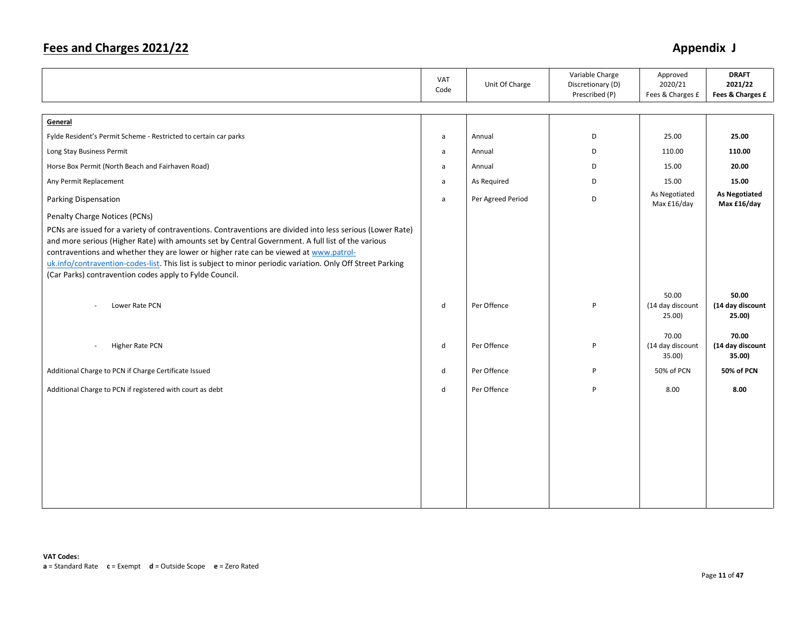|                                                                                                                                                                                                                                                                                                                                                                                                                         | VAT<br>Code  | Unit Of Charge    | Variable Charge<br>Discretionary (D)<br>Prescribed (P) | Approved<br>2020/21<br>Fees & Charges £ | <b>DRAFT</b><br>2021/22<br>Fees & Charges £ |
|-------------------------------------------------------------------------------------------------------------------------------------------------------------------------------------------------------------------------------------------------------------------------------------------------------------------------------------------------------------------------------------------------------------------------|--------------|-------------------|--------------------------------------------------------|-----------------------------------------|---------------------------------------------|
| General                                                                                                                                                                                                                                                                                                                                                                                                                 |              |                   |                                                        |                                         |                                             |
| Fylde Resident's Permit Scheme - Restricted to certain car parks                                                                                                                                                                                                                                                                                                                                                        | a            | Annual            | D                                                      | 25.00                                   | 25.00                                       |
| Long Stay Business Permit                                                                                                                                                                                                                                                                                                                                                                                               | a            | Annual            | D                                                      | 110.00                                  | 110.00                                      |
| Horse Box Permit (North Beach and Fairhaven Road)                                                                                                                                                                                                                                                                                                                                                                       | a            | Annual            | D                                                      | 15.00                                   | 20.00                                       |
| Any Permit Replacement                                                                                                                                                                                                                                                                                                                                                                                                  | a            | As Required       | D                                                      | 15.00                                   | 15.00                                       |
| Parking Dispensation                                                                                                                                                                                                                                                                                                                                                                                                    | a            | Per Agreed Period | D                                                      | As Negotiated<br>Max £16/day            | <b>As Negotiated</b><br>Max £16/day         |
| Penalty Charge Notices (PCNs)                                                                                                                                                                                                                                                                                                                                                                                           |              |                   |                                                        |                                         |                                             |
| PCNs are issued for a variety of contraventions. Contraventions are divided into less serious (Lower Rate)<br>and more serious (Higher Rate) with amounts set by Central Government. A full list of the various<br>contraventions and whether they are lower or higher rate can be viewed at www.patrol-<br>uk.info/contravention-codes-list. This list is subject to minor periodic variation. Only Off Street Parking |              |                   |                                                        |                                         |                                             |
| (Car Parks) contravention codes apply to Fylde Council.                                                                                                                                                                                                                                                                                                                                                                 |              |                   |                                                        |                                         |                                             |
| Lower Rate PCN                                                                                                                                                                                                                                                                                                                                                                                                          | d            | Per Offence       | P                                                      | 50.00<br>(14 day discount<br>25.00      | 50.00<br>(14 day discount<br>25.00)         |
| Higher Rate PCN<br>$\overline{\phantom{a}}$                                                                                                                                                                                                                                                                                                                                                                             | d            | Per Offence       | P                                                      | 70.00<br>(14 day discount<br>35.00)     | 70.00<br>(14 day discount<br>35.00)         |
| Additional Charge to PCN if Charge Certificate Issued                                                                                                                                                                                                                                                                                                                                                                   | d            | Per Offence       | P                                                      | 50% of PCN                              | 50% of PCN                                  |
| Additional Charge to PCN if registered with court as debt                                                                                                                                                                                                                                                                                                                                                               | $\mathsf{d}$ | Per Offence       | P                                                      | 8.00                                    | 8.00                                        |
|                                                                                                                                                                                                                                                                                                                                                                                                                         |              |                   |                                                        |                                         |                                             |
|                                                                                                                                                                                                                                                                                                                                                                                                                         |              |                   |                                                        |                                         |                                             |
|                                                                                                                                                                                                                                                                                                                                                                                                                         |              |                   |                                                        |                                         |                                             |
|                                                                                                                                                                                                                                                                                                                                                                                                                         |              |                   |                                                        |                                         |                                             |
|                                                                                                                                                                                                                                                                                                                                                                                                                         |              |                   |                                                        |                                         |                                             |
|                                                                                                                                                                                                                                                                                                                                                                                                                         |              |                   |                                                        |                                         |                                             |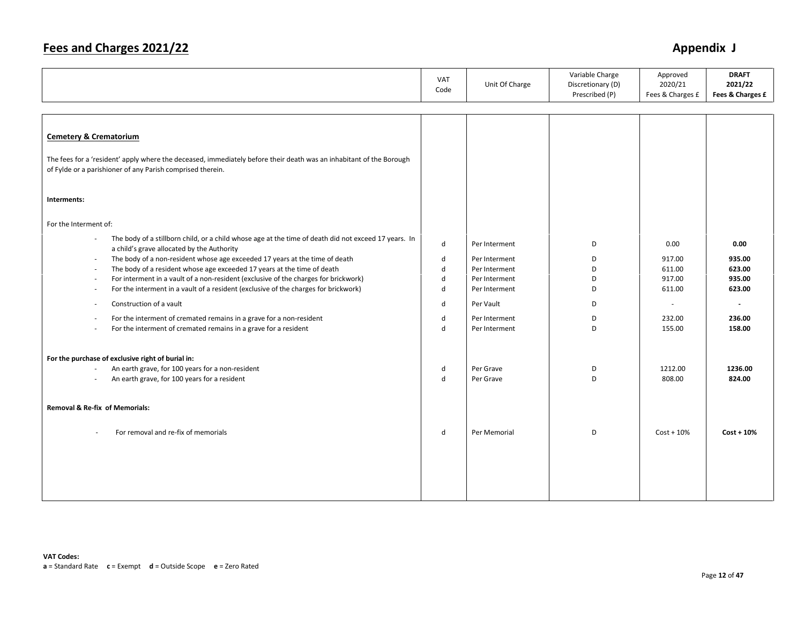|                                                                                                                                                                                   | VAT<br>Code       | Unit Of Charge | Variable Charge<br>Discretionary (D)<br>Prescribed (P) | Approved<br>2020/21<br>Fees & Charges £ | <b>DRAFT</b><br>2021/22<br>Fees & Charges £ |
|-----------------------------------------------------------------------------------------------------------------------------------------------------------------------------------|-------------------|----------------|--------------------------------------------------------|-----------------------------------------|---------------------------------------------|
|                                                                                                                                                                                   |                   |                |                                                        |                                         |                                             |
| <b>Cemetery &amp; Crematorium</b>                                                                                                                                                 |                   |                |                                                        |                                         |                                             |
| The fees for a 'resident' apply where the deceased, immediately before their death was an inhabitant of the Borough<br>of Fylde or a parishioner of any Parish comprised therein. |                   |                |                                                        |                                         |                                             |
| Interments:                                                                                                                                                                       |                   |                |                                                        |                                         |                                             |
| For the Interment of:                                                                                                                                                             |                   |                |                                                        |                                         |                                             |
| The body of a stillborn child, or a child whose age at the time of death did not exceed 17 years. In<br>$\bar{a}$<br>a child's grave allocated by the Authority                   | d                 | Per Interment  | D                                                      | 0.00                                    | 0.00                                        |
| The body of a non-resident whose age exceeded 17 years at the time of death<br>$\overline{\phantom{a}}$                                                                           | d                 | Per Interment  | D                                                      | 917.00                                  | 935.00                                      |
| The body of a resident whose age exceeded 17 years at the time of death<br>$\overline{\phantom{a}}$                                                                               | $\sf d$           | Per Interment  | D                                                      | 611.00                                  | 623.00                                      |
| For interment in a vault of a non-resident (exclusive of the charges for brickwork)<br>$\overline{\phantom{a}}$                                                                   | d<br>$\mathsf{d}$ | Per Interment  | D<br>D                                                 | 917.00                                  | 935.00<br>623.00                            |
| For the interment in a vault of a resident (exclusive of the charges for brickwork)<br>$\sim$                                                                                     |                   | Per Interment  |                                                        | 611.00                                  |                                             |
| Construction of a vault<br>$\sim$                                                                                                                                                 | d                 | Per Vault      | D                                                      | $\sim$                                  |                                             |
| For the interment of cremated remains in a grave for a non-resident<br>$\sim$                                                                                                     | d                 | Per Interment  | D                                                      | 232.00                                  | 236.00                                      |
| For the interment of cremated remains in a grave for a resident                                                                                                                   | $\mathsf{d}$      | Per Interment  | D                                                      | 155.00                                  | 158.00                                      |
| For the purchase of exclusive right of burial in:                                                                                                                                 |                   |                |                                                        |                                         |                                             |
| An earth grave, for 100 years for a non-resident<br>$\sim$                                                                                                                        | d                 | Per Grave      | D                                                      | 1212.00                                 | 1236.00                                     |
| An earth grave, for 100 years for a resident<br>$\sim$                                                                                                                            | $\mathsf{d}$      | Per Grave      | D                                                      | 808.00                                  | 824.00                                      |
| <b>Removal &amp; Re-fix of Memorials:</b>                                                                                                                                         |                   |                |                                                        |                                         |                                             |
| For removal and re-fix of memorials                                                                                                                                               | d                 | Per Memorial   | D                                                      | $Cost + 10\%$                           | $Cost + 10%$                                |
|                                                                                                                                                                                   |                   |                |                                                        |                                         |                                             |
|                                                                                                                                                                                   |                   |                |                                                        |                                         |                                             |
|                                                                                                                                                                                   |                   |                |                                                        |                                         |                                             |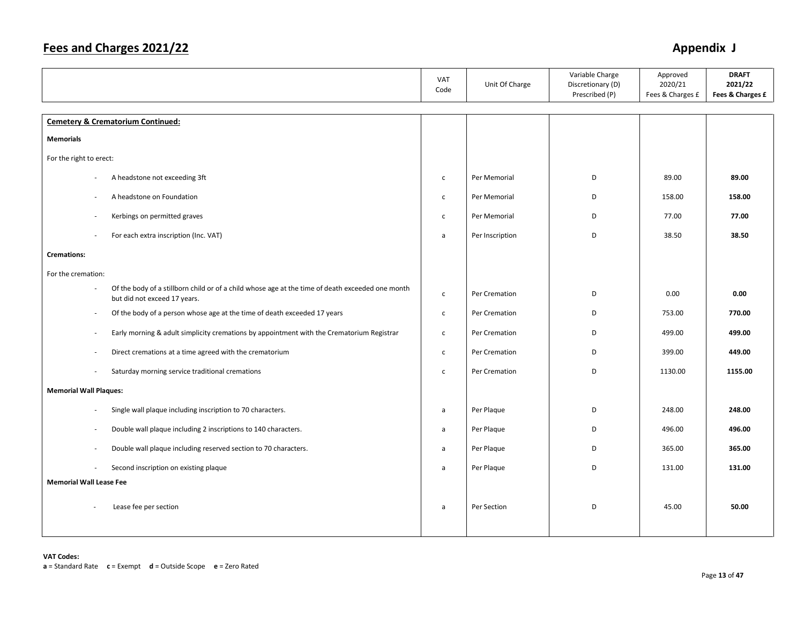|                                                                                        |                                                                                                  | VAT<br>Code  | Unit Of Charge  | Variable Charge<br>Discretionary (D)<br>Prescribed (P) | Approved<br>2020/21<br>Fees & Charges £ | <b>DRAFT</b><br>2021/22<br>Fees & Charges £ |
|----------------------------------------------------------------------------------------|--------------------------------------------------------------------------------------------------|--------------|-----------------|--------------------------------------------------------|-----------------------------------------|---------------------------------------------|
| <b>Cemetery &amp; Crematorium Continued:</b>                                           |                                                                                                  |              |                 |                                                        |                                         |                                             |
| <b>Memorials</b>                                                                       |                                                                                                  |              |                 |                                                        |                                         |                                             |
| For the right to erect:                                                                |                                                                                                  |              |                 |                                                        |                                         |                                             |
| A headstone not exceeding 3ft                                                          |                                                                                                  | $\mathsf{C}$ | Per Memorial    | D                                                      | 89.00                                   | 89.00                                       |
| A headstone on Foundation<br>÷                                                         |                                                                                                  | $\mathsf{C}$ | Per Memorial    | D                                                      | 158.00                                  | 158.00                                      |
| Kerbings on permitted graves                                                           |                                                                                                  | $\mathsf{C}$ | Per Memorial    | D                                                      | 77.00                                   | 77.00                                       |
| For each extra inscription (Inc. VAT)                                                  |                                                                                                  | a            | Per Inscription | D                                                      | 38.50                                   | 38.50                                       |
| <b>Cremations:</b>                                                                     |                                                                                                  |              |                 |                                                        |                                         |                                             |
| For the cremation:                                                                     |                                                                                                  |              |                 |                                                        |                                         |                                             |
| $\overline{\phantom{a}}$<br>but did not exceed 17 years.                               | Of the body of a stillborn child or of a child whose age at the time of death exceeded one month | $\mathsf{C}$ | Per Cremation   | D                                                      | 0.00                                    | 0.00                                        |
| $\sim$                                                                                 | Of the body of a person whose age at the time of death exceeded 17 years                         | $\mathsf{C}$ | Per Cremation   | D                                                      | 753.00                                  | 770.00                                      |
| $\overline{\phantom{a}}$                                                               | Early morning & adult simplicity cremations by appointment with the Crematorium Registrar        | $\mathsf{C}$ | Per Cremation   | D                                                      | 499.00                                  | 499.00                                      |
| $\overline{\phantom{a}}$                                                               | Direct cremations at a time agreed with the crematorium                                          | $\mathsf{C}$ | Per Cremation   | D                                                      | 399.00                                  | 449.00                                      |
| Saturday morning service traditional cremations<br>$\sim$                              |                                                                                                  | $\mathsf{C}$ | Per Cremation   | D                                                      | 1130.00                                 | 1155.00                                     |
| <b>Memorial Wall Plaques:</b>                                                          |                                                                                                  |              |                 |                                                        |                                         |                                             |
| Single wall plaque including inscription to 70 characters.<br>$\overline{\phantom{a}}$ |                                                                                                  | a            | Per Plaque      | D                                                      | 248.00                                  | 248.00                                      |
| $\sim$                                                                                 | Double wall plaque including 2 inscriptions to 140 characters.                                   | a            | Per Plaque      | D                                                      | 496.00                                  | 496.00                                      |
| $\overline{\phantom{a}}$                                                               | Double wall plaque including reserved section to 70 characters.                                  | a            | Per Plaque      | D                                                      | 365.00                                  | 365.00                                      |
| Second inscription on existing plaque<br>$\overline{\phantom{a}}$                      |                                                                                                  | a            | Per Plaque      | D                                                      | 131.00                                  | 131.00                                      |
| <b>Memorial Wall Lease Fee</b>                                                         |                                                                                                  |              |                 |                                                        |                                         |                                             |
| Lease fee per section                                                                  |                                                                                                  | a            | Per Section     | D                                                      | 45.00                                   | 50.00                                       |
|                                                                                        |                                                                                                  |              |                 |                                                        |                                         |                                             |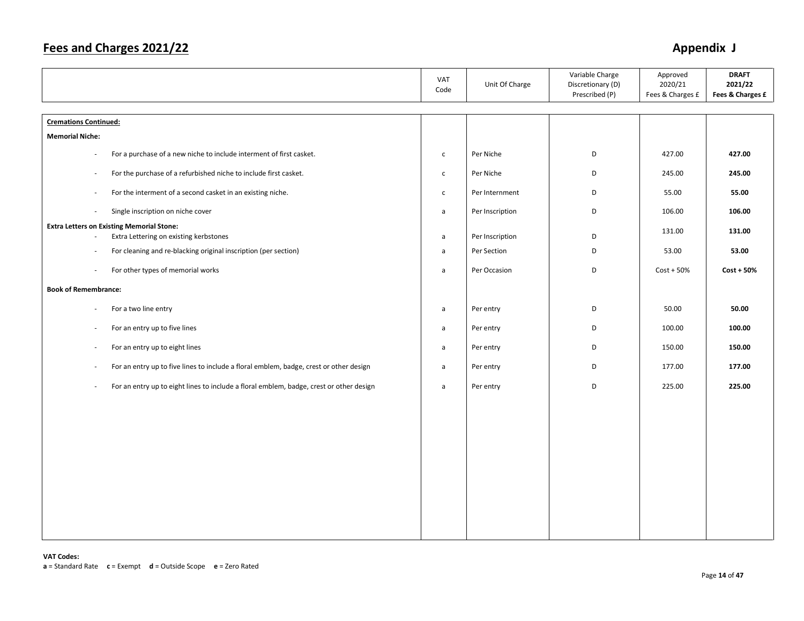|                                                                                                  | VAT<br>Code  | Unit Of Charge  | Variable Charge<br>Discretionary (D)<br>Prescribed (P) | Approved<br>2020/21<br>Fees & Charges £ | <b>DRAFT</b><br>2021/22<br>Fees & Charges £ |
|--------------------------------------------------------------------------------------------------|--------------|-----------------|--------------------------------------------------------|-----------------------------------------|---------------------------------------------|
| <b>Cremations Continued:</b>                                                                     |              |                 |                                                        |                                         |                                             |
| <b>Memorial Niche:</b>                                                                           |              |                 |                                                        |                                         |                                             |
| For a purchase of a new niche to include interment of first casket.                              | $\mathsf{C}$ | Per Niche       | D                                                      | 427.00                                  | 427.00                                      |
| For the purchase of a refurbished niche to include first casket.<br>$\sim$                       | $\mathsf{c}$ | Per Niche       | D                                                      | 245.00                                  | 245.00                                      |
| For the interment of a second casket in an existing niche.<br>$\overline{\phantom{a}}$           | $\mathsf{C}$ | Per Internment  | D                                                      | 55.00                                   | 55.00                                       |
| Single inscription on niche cover<br>$\overline{\phantom{a}}$                                    | $\mathsf{a}$ | Per Inscription | D                                                      | 106.00                                  | 106.00                                      |
| <b>Extra Letters on Existing Memorial Stone:</b><br>Extra Lettering on existing kerbstones       | $\mathsf{a}$ | Per Inscription | D                                                      | 131.00                                  | 131.00                                      |
| For cleaning and re-blacking original inscription (per section)                                  | a            | Per Section     | D                                                      | 53.00                                   | 53.00                                       |
| For other types of memorial works                                                                | a            | Per Occasion    | D                                                      | $Cost + 50%$                            | $Cost + 50%$                                |
| <b>Book of Remembrance:</b>                                                                      |              |                 |                                                        |                                         |                                             |
| For a two line entry                                                                             | $\mathsf{a}$ | Per entry       | D                                                      | 50.00                                   | 50.00                                       |
| For an entry up to five lines<br>$\sim$                                                          | $\mathsf{a}$ | Per entry       | D                                                      | 100.00                                  | 100.00                                      |
| For an entry up to eight lines<br>$\sim$                                                         | $\mathsf{a}$ | Per entry       | D                                                      | 150.00                                  | 150.00                                      |
| For an entry up to five lines to include a floral emblem, badge, crest or other design<br>$\sim$ | $\mathsf{a}$ | Per entry       | D                                                      | 177.00                                  | 177.00                                      |
| For an entry up to eight lines to include a floral emblem, badge, crest or other design<br>÷.    | a            | Per entry       | D                                                      | 225.00                                  | 225.00                                      |
|                                                                                                  |              |                 |                                                        |                                         |                                             |
|                                                                                                  |              |                 |                                                        |                                         |                                             |
|                                                                                                  |              |                 |                                                        |                                         |                                             |
|                                                                                                  |              |                 |                                                        |                                         |                                             |
|                                                                                                  |              |                 |                                                        |                                         |                                             |
|                                                                                                  |              |                 |                                                        |                                         |                                             |
|                                                                                                  |              |                 |                                                        |                                         |                                             |
|                                                                                                  |              |                 |                                                        |                                         |                                             |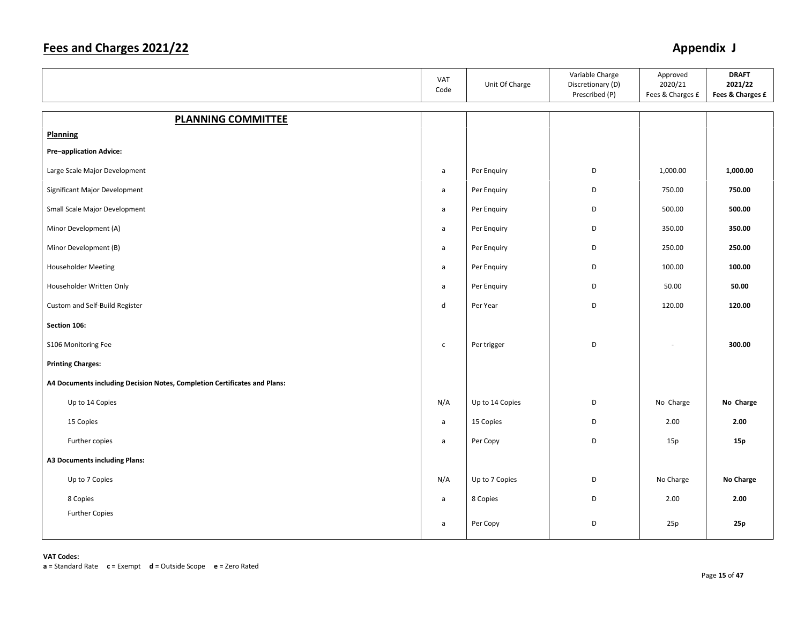|                                                                           | VAT<br>Code  | Unit Of Charge  | Variable Charge<br>Discretionary (D)<br>Prescribed (P) | Approved<br>2020/21<br>Fees & Charges £ | <b>DRAFT</b><br>2021/22<br>Fees & Charges £ |
|---------------------------------------------------------------------------|--------------|-----------------|--------------------------------------------------------|-----------------------------------------|---------------------------------------------|
| <b>PLANNING COMMITTEE</b>                                                 |              |                 |                                                        |                                         |                                             |
| Planning                                                                  |              |                 |                                                        |                                         |                                             |
| <b>Pre-application Advice:</b>                                            |              |                 |                                                        |                                         |                                             |
| Large Scale Major Development                                             | $\mathsf{a}$ | Per Enquiry     | D                                                      | 1,000.00                                | 1,000.00                                    |
| Significant Major Development                                             | a            | Per Enquiry     | D                                                      | 750.00                                  | 750.00                                      |
| Small Scale Major Development                                             | a            | Per Enquiry     | D                                                      | 500.00                                  | 500.00                                      |
| Minor Development (A)                                                     | a            | Per Enquiry     | D                                                      | 350.00                                  | 350.00                                      |
| Minor Development (B)                                                     | a            | Per Enquiry     | D                                                      | 250.00                                  | 250.00                                      |
| <b>Householder Meeting</b>                                                | a            | Per Enquiry     | D                                                      | 100.00                                  | 100.00                                      |
| Householder Written Only                                                  | a            | Per Enquiry     | D                                                      | 50.00                                   | 50.00                                       |
| Custom and Self-Build Register                                            | d            | Per Year        | D                                                      | 120.00                                  | 120.00                                      |
| Section 106:                                                              |              |                 |                                                        |                                         |                                             |
| S106 Monitoring Fee                                                       | $\mathsf{C}$ | Per trigger     | D                                                      |                                         | 300.00                                      |
| <b>Printing Charges:</b>                                                  |              |                 |                                                        |                                         |                                             |
| A4 Documents including Decision Notes, Completion Certificates and Plans: |              |                 |                                                        |                                         |                                             |
| Up to 14 Copies                                                           | N/A          | Up to 14 Copies | D                                                      | No Charge                               | No Charge                                   |
| 15 Copies                                                                 | a            | 15 Copies       | D                                                      | 2.00                                    | 2.00                                        |
| Further copies                                                            | $\mathsf{a}$ | Per Copy        | D                                                      | 15p                                     | 15p                                         |
| A3 Documents including Plans:                                             |              |                 |                                                        |                                         |                                             |
| Up to 7 Copies                                                            | N/A          | Up to 7 Copies  | D                                                      | No Charge                               | No Charge                                   |
| 8 Copies                                                                  | $\mathsf{a}$ | 8 Copies        | D                                                      | 2.00                                    | 2.00                                        |
| <b>Further Copies</b>                                                     | a            | Per Copy        | D                                                      | 25p                                     | 25p                                         |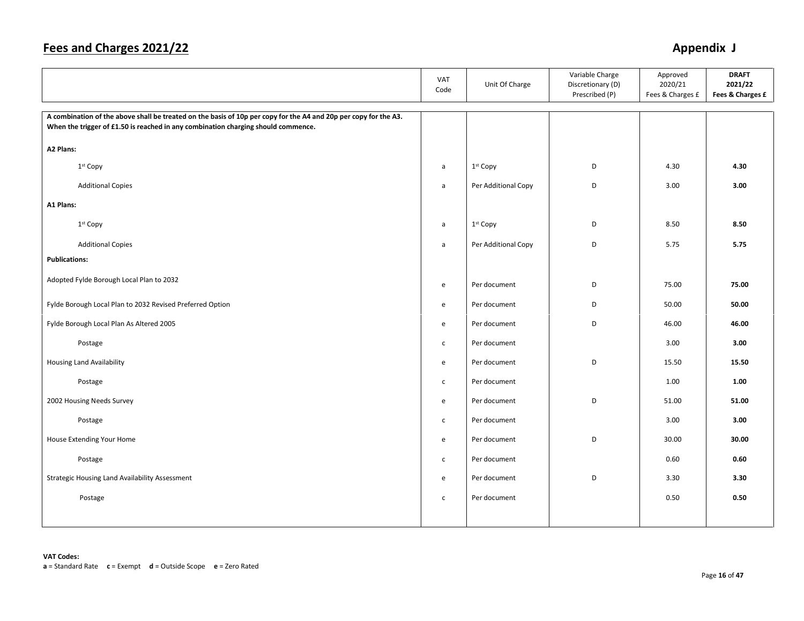|                                                                                                                                                                                                       | VAT<br>Code  | Unit Of Charge       | Variable Charge<br>Discretionary (D)<br>Prescribed (P) | Approved<br>2020/21<br>Fees & Charges £ | <b>DRAFT</b><br>2021/22<br>Fees & Charges £ |
|-------------------------------------------------------------------------------------------------------------------------------------------------------------------------------------------------------|--------------|----------------------|--------------------------------------------------------|-----------------------------------------|---------------------------------------------|
| A combination of the above shall be treated on the basis of 10p per copy for the A4 and 20p per copy for the A3.<br>When the trigger of £1.50 is reached in any combination charging should commence. |              |                      |                                                        |                                         |                                             |
| A2 Plans:                                                                                                                                                                                             |              |                      |                                                        |                                         |                                             |
| 1st Copy                                                                                                                                                                                              | a            | 1st Copy             | D                                                      | 4.30                                    | 4.30                                        |
| <b>Additional Copies</b>                                                                                                                                                                              | $\mathsf{a}$ | Per Additional Copy  | D                                                      | 3.00                                    | 3.00                                        |
| A1 Plans:                                                                                                                                                                                             |              |                      |                                                        |                                         |                                             |
| 1 <sup>st</sup> Copy                                                                                                                                                                                  | a            | 1 <sup>st</sup> Copy | D                                                      | 8.50                                    | 8.50                                        |
| <b>Additional Copies</b>                                                                                                                                                                              | $\mathsf{a}$ | Per Additional Copy  | D                                                      | 5.75                                    | 5.75                                        |
| <b>Publications:</b>                                                                                                                                                                                  |              |                      |                                                        |                                         |                                             |
| Adopted Fylde Borough Local Plan to 2032                                                                                                                                                              | e            | Per document         | D                                                      | 75.00                                   | 75.00                                       |
| Fylde Borough Local Plan to 2032 Revised Preferred Option                                                                                                                                             | e            | Per document         | D                                                      | 50.00                                   | 50.00                                       |
| Fylde Borough Local Plan As Altered 2005                                                                                                                                                              | e            | Per document         | D                                                      | 46.00                                   | 46.00                                       |
| Postage                                                                                                                                                                                               | $\mathsf{C}$ | Per document         |                                                        | 3.00                                    | 3.00                                        |
| <b>Housing Land Availability</b>                                                                                                                                                                      | e            | Per document         | D                                                      | 15.50                                   | 15.50                                       |
| Postage                                                                                                                                                                                               | $\mathsf{C}$ | Per document         |                                                        | 1.00                                    | 1.00                                        |
| 2002 Housing Needs Survey                                                                                                                                                                             | e            | Per document         | D                                                      | 51.00                                   | 51.00                                       |
| Postage                                                                                                                                                                                               | $\mathsf{C}$ | Per document         |                                                        | 3.00                                    | 3.00                                        |
| House Extending Your Home                                                                                                                                                                             | e            | Per document         | D                                                      | 30.00                                   | 30.00                                       |
| Postage                                                                                                                                                                                               | $\mathsf{C}$ | Per document         |                                                        | 0.60                                    | 0.60                                        |
| Strategic Housing Land Availability Assessment                                                                                                                                                        | e            | Per document         | D                                                      | 3.30                                    | 3.30                                        |
| Postage                                                                                                                                                                                               | $\mathsf{C}$ | Per document         |                                                        | 0.50                                    | 0.50                                        |
|                                                                                                                                                                                                       |              |                      |                                                        |                                         |                                             |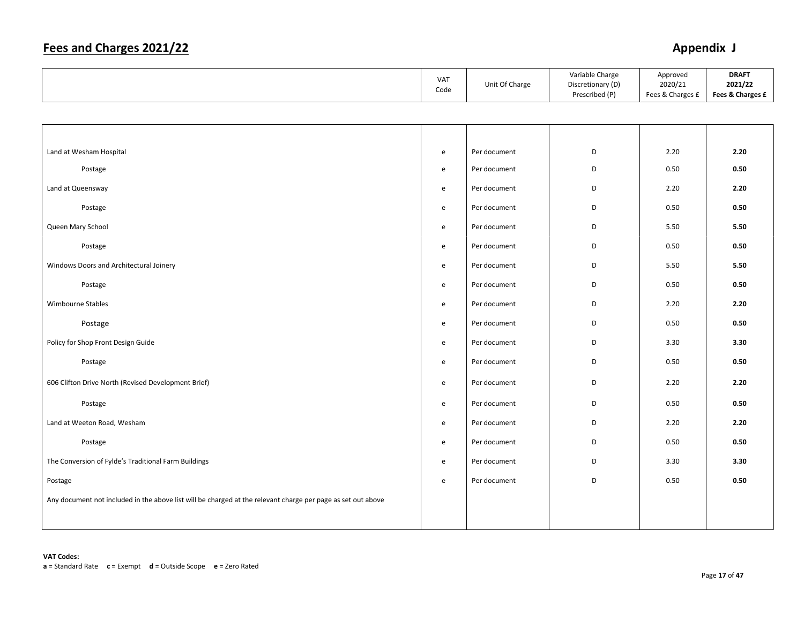|                                                                                                              | VAT<br>Code                                | Unit Of Charge | Variable Charge<br>Discretionary (D)<br>Prescribed (P) | Approved<br>2020/21<br>Fees & Charges £ | <b>DRAFT</b><br>2021/22<br>Fees & Charges £ |
|--------------------------------------------------------------------------------------------------------------|--------------------------------------------|----------------|--------------------------------------------------------|-----------------------------------------|---------------------------------------------|
|                                                                                                              |                                            |                |                                                        |                                         |                                             |
|                                                                                                              |                                            |                |                                                        |                                         |                                             |
| Land at Wesham Hospital                                                                                      | $\mathsf{e}\,$                             | Per document   | D                                                      | 2.20                                    | 2.20                                        |
| Postage                                                                                                      | $\mathsf{e}\,$                             | Per document   | D                                                      | 0.50                                    | 0.50                                        |
| Land at Queensway                                                                                            | $\mathsf{e}\,$                             | Per document   | D                                                      | 2.20                                    | 2.20                                        |
| Postage                                                                                                      | e                                          | Per document   | D                                                      | 0.50                                    | 0.50                                        |
| Queen Mary School                                                                                            | $\mathsf{e}\,$                             | Per document   | D                                                      | 5.50                                    | 5.50                                        |
| Postage                                                                                                      | e                                          | Per document   | D                                                      | 0.50                                    | 0.50                                        |
| Windows Doors and Architectural Joinery                                                                      | $\mathsf{e}\,$                             | Per document   | D                                                      | 5.50                                    | 5.50                                        |
| Postage                                                                                                      | ${\bf e}$                                  | Per document   | D                                                      | 0.50                                    | 0.50                                        |
| Wimbourne Stables                                                                                            | $\mathsf{e}\,$                             | Per document   | D                                                      | 2.20                                    | 2.20                                        |
| Postage                                                                                                      | e                                          | Per document   | D                                                      | 0.50                                    | 0.50                                        |
| Policy for Shop Front Design Guide                                                                           | $\mathsf{e}\,$                             | Per document   | D                                                      | 3.30                                    | 3.30                                        |
| Postage                                                                                                      | $\mathsf{e}\,$                             | Per document   | D                                                      | 0.50                                    | 0.50                                        |
| 606 Clifton Drive North (Revised Development Brief)                                                          | ${\bf e}$                                  | Per document   | D                                                      | 2.20                                    | 2.20                                        |
| Postage                                                                                                      | $\mathsf{e}\,$                             | Per document   | D                                                      | 0.50                                    | 0.50                                        |
| Land at Weeton Road, Wesham                                                                                  | ${\bf e}$                                  | Per document   | D                                                      | 2.20                                    | 2.20                                        |
| Postage                                                                                                      | e                                          | Per document   | D                                                      | 0.50                                    | 0.50                                        |
| The Conversion of Fylde's Traditional Farm Buildings                                                         | $\mathsf{e}% _{0}\left( \mathsf{e}\right)$ | Per document   | D                                                      | 3.30                                    | 3.30                                        |
| Postage                                                                                                      | e                                          | Per document   | D                                                      | 0.50                                    | 0.50                                        |
| Any document not included in the above list will be charged at the relevant charge per page as set out above |                                            |                |                                                        |                                         |                                             |
|                                                                                                              |                                            |                |                                                        |                                         |                                             |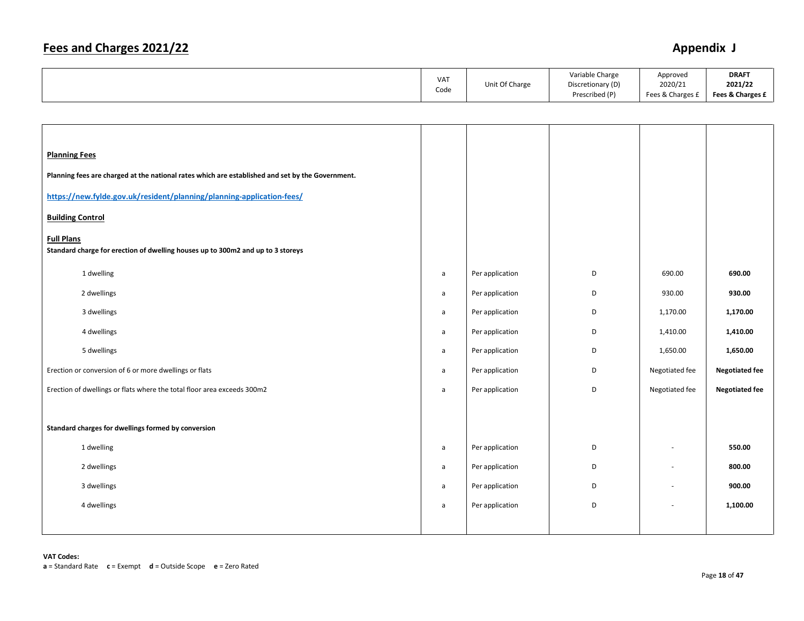|  | <b>VAT</b><br>Code | Unit Of Charge | Variable Charge<br>Discretionary (D)<br>Prescribed (P) | Approved<br>2020/21<br>Fees & Charges £ | <b>DRAFT</b><br>2021/22<br>Fees & Charges £ |
|--|--------------------|----------------|--------------------------------------------------------|-----------------------------------------|---------------------------------------------|
|--|--------------------|----------------|--------------------------------------------------------|-----------------------------------------|---------------------------------------------|

| <b>Planning Fees</b><br>Planning fees are charged at the national rates which are established and set by the Government.<br>https://new.fylde.gov.uk/resident/planning/planning-application-fees/<br><b>Building Control</b><br><b>Full Plans</b><br>Standard charge for erection of dwelling houses up to 300m2 and up to 3 storeys |              |                 |   |                |                       |
|--------------------------------------------------------------------------------------------------------------------------------------------------------------------------------------------------------------------------------------------------------------------------------------------------------------------------------------|--------------|-----------------|---|----------------|-----------------------|
| 1 dwelling                                                                                                                                                                                                                                                                                                                           | $\mathsf{a}$ | Per application | D | 690.00         | 690.00                |
| 2 dwellings                                                                                                                                                                                                                                                                                                                          | a            | Per application | D | 930.00         | 930.00                |
| 3 dwellings                                                                                                                                                                                                                                                                                                                          | a            | Per application | D | 1,170.00       | 1,170.00              |
| 4 dwellings                                                                                                                                                                                                                                                                                                                          | a            | Per application | D | 1,410.00       | 1,410.00              |
| 5 dwellings                                                                                                                                                                                                                                                                                                                          | a            | Per application | D | 1,650.00       | 1,650.00              |
| Erection or conversion of 6 or more dwellings or flats                                                                                                                                                                                                                                                                               | $\mathsf{a}$ | Per application | D | Negotiated fee | <b>Negotiated fee</b> |
| Erection of dwellings or flats where the total floor area exceeds 300m2                                                                                                                                                                                                                                                              | $\mathsf{a}$ | Per application | D | Negotiated fee | <b>Negotiated fee</b> |
|                                                                                                                                                                                                                                                                                                                                      |              |                 |   |                |                       |
| Standard charges for dwellings formed by conversion                                                                                                                                                                                                                                                                                  |              |                 |   |                |                       |
| 1 dwelling                                                                                                                                                                                                                                                                                                                           | a            | Per application | D | ä,             | 550.00                |
| 2 dwellings                                                                                                                                                                                                                                                                                                                          | a            | Per application | D | ÷,             | 800.00                |
| 3 dwellings                                                                                                                                                                                                                                                                                                                          | a            | Per application | D | ä,             | 900.00                |
| 4 dwellings                                                                                                                                                                                                                                                                                                                          | a            | Per application | D | ä,             | 1,100.00              |
|                                                                                                                                                                                                                                                                                                                                      |              |                 |   |                |                       |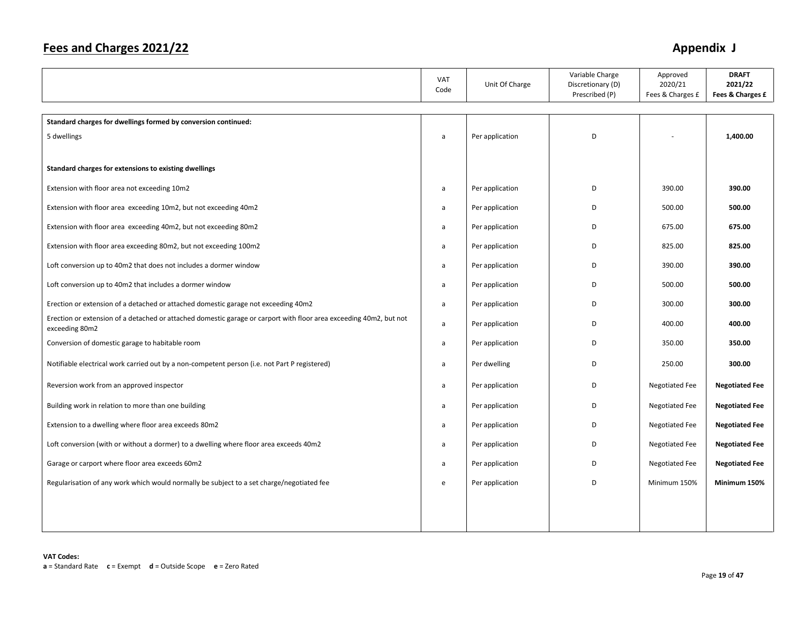|                                                                                                                                      | VAT<br>Code  | Unit Of Charge  | Variable Charge<br>Discretionary (D)<br>Prescribed (P) | Approved<br>2020/21<br>Fees & Charges £ | <b>DRAFT</b><br>2021/22<br>Fees & Charges £ |
|--------------------------------------------------------------------------------------------------------------------------------------|--------------|-----------------|--------------------------------------------------------|-----------------------------------------|---------------------------------------------|
|                                                                                                                                      |              |                 |                                                        |                                         |                                             |
| Standard charges for dwellings formed by conversion continued:                                                                       |              |                 |                                                        |                                         |                                             |
| 5 dwellings                                                                                                                          | a            | Per application | D                                                      |                                         | 1,400.00                                    |
|                                                                                                                                      |              |                 |                                                        |                                         |                                             |
| Standard charges for extensions to existing dwellings                                                                                |              |                 |                                                        |                                         |                                             |
| Extension with floor area not exceeding 10m2                                                                                         | $\mathsf{a}$ | Per application | D                                                      | 390.00                                  | 390.00                                      |
| Extension with floor area exceeding 10m2, but not exceeding 40m2                                                                     | a            | Per application | D                                                      | 500.00                                  | 500.00                                      |
| Extension with floor area exceeding 40m2, but not exceeding 80m2                                                                     | a            | Per application | D                                                      | 675.00                                  | 675.00                                      |
| Extension with floor area exceeding 80m2, but not exceeding 100m2                                                                    | a            | Per application | D                                                      | 825.00                                  | 825.00                                      |
| Loft conversion up to 40m2 that does not includes a dormer window                                                                    | a            | Per application | D                                                      | 390.00                                  | 390.00                                      |
| Loft conversion up to 40m2 that includes a dormer window                                                                             | a            | Per application | D                                                      | 500.00                                  | 500.00                                      |
| Erection or extension of a detached or attached domestic garage not exceeding 40m2                                                   | a            | Per application | D                                                      | 300.00                                  | 300.00                                      |
| Erection or extension of a detached or attached domestic garage or carport with floor area exceeding 40m2, but not<br>exceeding 80m2 | a            | Per application | D                                                      | 400.00                                  | 400.00                                      |
| Conversion of domestic garage to habitable room                                                                                      | a            | Per application | D                                                      | 350.00                                  | 350.00                                      |
| Notifiable electrical work carried out by a non-competent person (i.e. not Part P registered)                                        | a            | Per dwelling    | D                                                      | 250.00                                  | 300.00                                      |
| Reversion work from an approved inspector                                                                                            | a            | Per application | D                                                      | <b>Negotiated Fee</b>                   | <b>Negotiated Fee</b>                       |
| Building work in relation to more than one building                                                                                  | a            | Per application | D                                                      | Negotiated Fee                          | <b>Negotiated Fee</b>                       |
| Extension to a dwelling where floor area exceeds 80m2                                                                                | a            | Per application | D                                                      | <b>Negotiated Fee</b>                   | <b>Negotiated Fee</b>                       |
| Loft conversion (with or without a dormer) to a dwelling where floor area exceeds 40m2                                               | a            | Per application | D                                                      | <b>Negotiated Fee</b>                   | <b>Negotiated Fee</b>                       |
| Garage or carport where floor area exceeds 60m2                                                                                      | a            | Per application | D                                                      | <b>Negotiated Fee</b>                   | <b>Negotiated Fee</b>                       |
| Regularisation of any work which would normally be subject to a set charge/negotiated fee                                            | e            | Per application | D                                                      | Minimum 150%                            | Minimum 150%                                |
|                                                                                                                                      |              |                 |                                                        |                                         |                                             |
|                                                                                                                                      |              |                 |                                                        |                                         |                                             |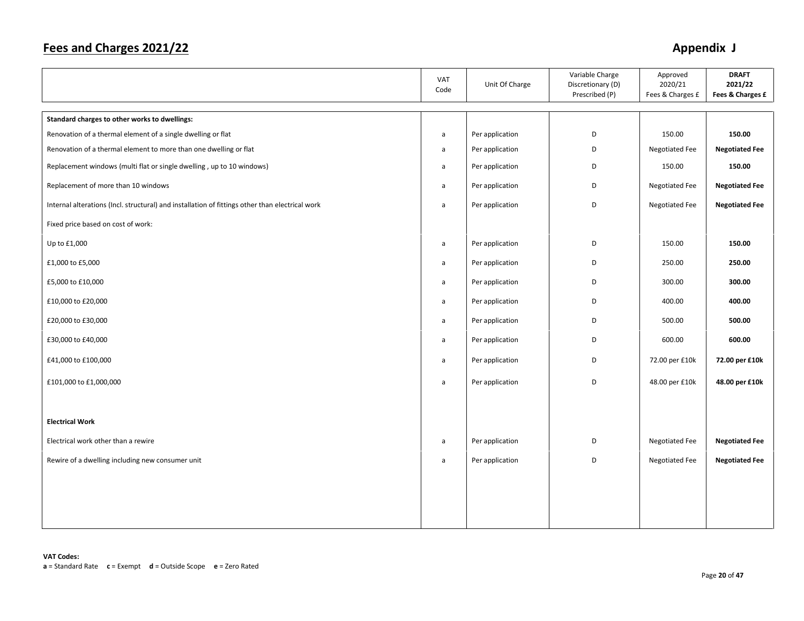|                                                                                                 | VAT<br>Code  | Unit Of Charge  | Variable Charge<br>Discretionary (D)<br>Prescribed (P) | Approved<br>2020/21<br>Fees & Charges £ | <b>DRAFT</b><br>2021/22<br>Fees & Charges £ |
|-------------------------------------------------------------------------------------------------|--------------|-----------------|--------------------------------------------------------|-----------------------------------------|---------------------------------------------|
| Standard charges to other works to dwellings:                                                   |              |                 |                                                        |                                         |                                             |
| Renovation of a thermal element of a single dwelling or flat                                    | a            | Per application | D                                                      | 150.00                                  | 150.00                                      |
| Renovation of a thermal element to more than one dwelling or flat                               | $\mathsf{a}$ | Per application | D                                                      | Negotiated Fee                          | <b>Negotiated Fee</b>                       |
| Replacement windows (multi flat or single dwelling, up to 10 windows)                           | a            | Per application | D                                                      | 150.00                                  | 150.00                                      |
| Replacement of more than 10 windows                                                             | a            | Per application | D                                                      | Negotiated Fee                          | <b>Negotiated Fee</b>                       |
| Internal alterations (Incl. structural) and installation of fittings other than electrical work | a            | Per application | D                                                      | Negotiated Fee                          | <b>Negotiated Fee</b>                       |
| Fixed price based on cost of work:                                                              |              |                 |                                                        |                                         |                                             |
| Up to £1,000                                                                                    | a            | Per application | D                                                      | 150.00                                  | 150.00                                      |
| £1,000 to £5,000                                                                                | a            | Per application | D                                                      | 250.00                                  | 250.00                                      |
| £5,000 to £10,000                                                                               | a            | Per application | D                                                      | 300.00                                  | 300.00                                      |
| £10,000 to £20,000                                                                              | a            | Per application | D                                                      | 400.00                                  | 400.00                                      |
| £20,000 to £30,000                                                                              | a            | Per application | D                                                      | 500.00                                  | 500.00                                      |
| £30,000 to £40,000                                                                              | a            | Per application | D                                                      | 600.00                                  | 600.00                                      |
| £41,000 to £100,000                                                                             | a            | Per application | D                                                      | 72.00 per £10k                          | 72.00 per £10k                              |
| £101,000 to £1,000,000                                                                          | a            | Per application | D                                                      | 48.00 per £10k                          | 48.00 per £10k                              |
|                                                                                                 |              |                 |                                                        |                                         |                                             |
| <b>Electrical Work</b>                                                                          |              |                 |                                                        |                                         |                                             |
| Electrical work other than a rewire                                                             | a            | Per application | D                                                      | Negotiated Fee                          | <b>Negotiated Fee</b>                       |
| Rewire of a dwelling including new consumer unit                                                | a            | Per application | D                                                      | Negotiated Fee                          | <b>Negotiated Fee</b>                       |
|                                                                                                 |              |                 |                                                        |                                         |                                             |
|                                                                                                 |              |                 |                                                        |                                         |                                             |
|                                                                                                 |              |                 |                                                        |                                         |                                             |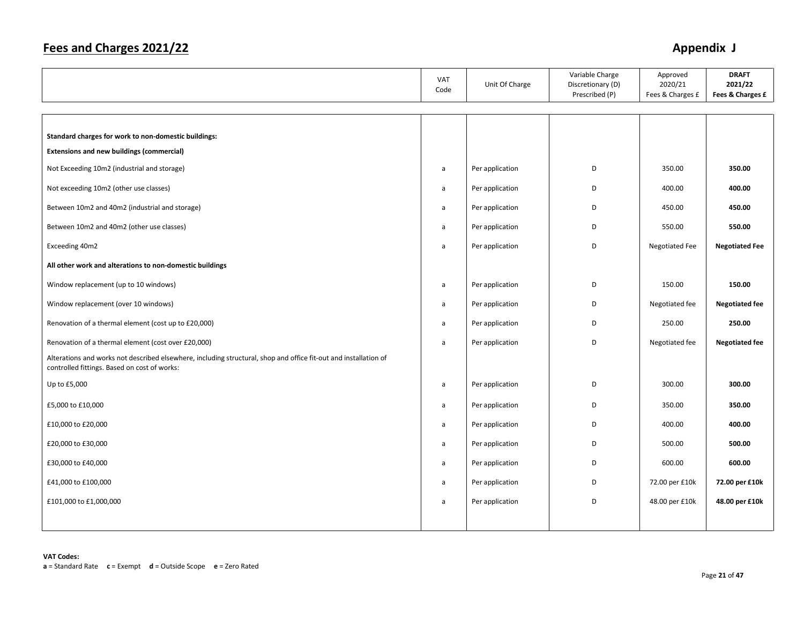|                                                                                                                                                                  | VAT<br>Code  | Unit Of Charge  | Variable Charge<br>Discretionary (D)<br>Prescribed (P) | Approved<br>2020/21<br>Fees & Charges £ | <b>DRAFT</b><br>2021/22<br>Fees & Charges £ |
|------------------------------------------------------------------------------------------------------------------------------------------------------------------|--------------|-----------------|--------------------------------------------------------|-----------------------------------------|---------------------------------------------|
|                                                                                                                                                                  |              |                 |                                                        |                                         |                                             |
| Standard charges for work to non-domestic buildings:                                                                                                             |              |                 |                                                        |                                         |                                             |
| <b>Extensions and new buildings (commercial)</b>                                                                                                                 |              |                 |                                                        |                                         |                                             |
| Not Exceeding 10m2 (industrial and storage)                                                                                                                      | a            | Per application | D                                                      | 350.00                                  | 350.00                                      |
| Not exceeding 10m2 (other use classes)                                                                                                                           | a            | Per application | D                                                      | 400.00                                  | 400.00                                      |
| Between 10m2 and 40m2 (industrial and storage)                                                                                                                   | a            | Per application | D                                                      | 450.00                                  | 450.00                                      |
| Between 10m2 and 40m2 (other use classes)                                                                                                                        | a            | Per application | D                                                      | 550.00                                  | 550.00                                      |
| Exceeding 40m2                                                                                                                                                   | a            | Per application | D                                                      | <b>Negotiated Fee</b>                   | <b>Negotiated Fee</b>                       |
| All other work and alterations to non-domestic buildings                                                                                                         |              |                 |                                                        |                                         |                                             |
| Window replacement (up to 10 windows)                                                                                                                            | a            | Per application | D                                                      | 150.00                                  | 150.00                                      |
| Window replacement (over 10 windows)                                                                                                                             | a            | Per application | D                                                      | Negotiated fee                          | <b>Negotiated fee</b>                       |
| Renovation of a thermal element (cost up to £20,000)                                                                                                             | a            | Per application | D                                                      | 250.00                                  | 250.00                                      |
| Renovation of a thermal element (cost over £20,000)                                                                                                              | $\mathsf{a}$ | Per application | D                                                      | Negotiated fee                          | <b>Negotiated fee</b>                       |
| Alterations and works not described elsewhere, including structural, shop and office fit-out and installation of<br>controlled fittings. Based on cost of works: |              |                 |                                                        |                                         |                                             |
| Up to £5,000                                                                                                                                                     | a            | Per application | D                                                      | 300.00                                  | 300.00                                      |
| £5,000 to £10,000                                                                                                                                                | a            | Per application | D                                                      | 350.00                                  | 350.00                                      |
| £10,000 to £20,000                                                                                                                                               | a            | Per application | D                                                      | 400.00                                  | 400.00                                      |
| £20,000 to £30,000                                                                                                                                               | a            | Per application | D                                                      | 500.00                                  | 500.00                                      |
| £30,000 to £40,000                                                                                                                                               | a            | Per application | D                                                      | 600.00                                  | 600.00                                      |
| £41,000 to £100,000                                                                                                                                              | a            | Per application | D                                                      | 72.00 per £10k                          | 72.00 per £10k                              |
| £101,000 to £1,000,000                                                                                                                                           | a            | Per application | D                                                      | 48.00 per £10k                          | 48.00 per £10k                              |
|                                                                                                                                                                  |              |                 |                                                        |                                         |                                             |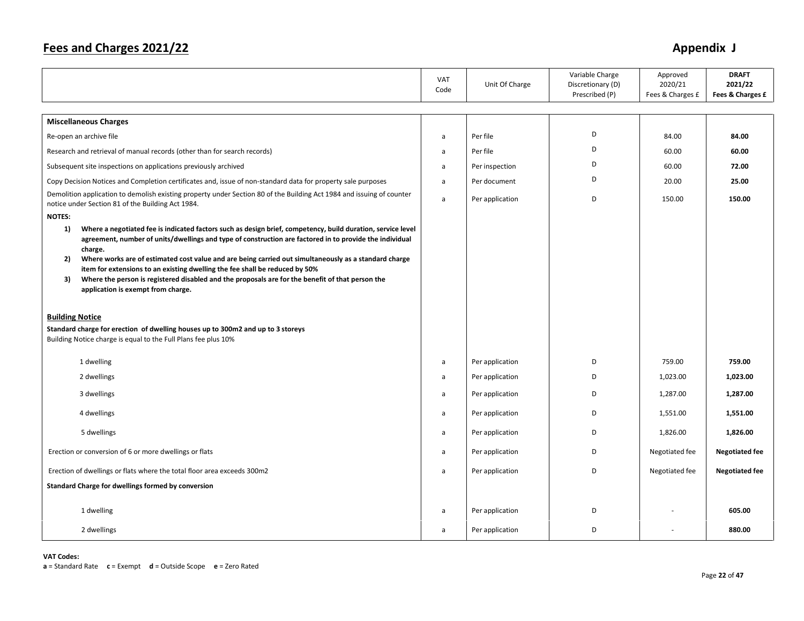|                                                                                                                                                                                                                                                                                                                                                       | <b>VAT</b><br>Code | Unit Of Charge  | Variable Charge<br>Discretionary (D)<br>Prescribed (P) | Approved<br>2020/21<br>Fees & Charges £ | <b>DRAFT</b><br>2021/22<br>Fees & Charges £ |
|-------------------------------------------------------------------------------------------------------------------------------------------------------------------------------------------------------------------------------------------------------------------------------------------------------------------------------------------------------|--------------------|-----------------|--------------------------------------------------------|-----------------------------------------|---------------------------------------------|
| <b>Miscellaneous Charges</b>                                                                                                                                                                                                                                                                                                                          |                    |                 |                                                        |                                         |                                             |
| Re-open an archive file                                                                                                                                                                                                                                                                                                                               | a                  | Per file        | D                                                      | 84.00                                   | 84.00                                       |
| Research and retrieval of manual records (other than for search records)                                                                                                                                                                                                                                                                              | a                  | Per file        | D                                                      | 60.00                                   | 60.00                                       |
| Subsequent site inspections on applications previously archived                                                                                                                                                                                                                                                                                       | a                  | Per inspection  | D                                                      | 60.00                                   | 72.00                                       |
| Copy Decision Notices and Completion certificates and, issue of non-standard data for property sale purposes                                                                                                                                                                                                                                          | a                  | Per document    | D                                                      | 20.00                                   | 25.00                                       |
| Demolition application to demolish existing property under Section 80 of the Building Act 1984 and issuing of counter<br>notice under Section 81 of the Building Act 1984.                                                                                                                                                                            | a                  | Per application | D                                                      | 150.00                                  | 150.00                                      |
| <b>NOTES:</b>                                                                                                                                                                                                                                                                                                                                         |                    |                 |                                                        |                                         |                                             |
| Where a negotiated fee is indicated factors such as design brief, competency, build duration, service level<br>1)<br>agreement, number of units/dwellings and type of construction are factored in to provide the individual                                                                                                                          |                    |                 |                                                        |                                         |                                             |
| charge.<br>Where works are of estimated cost value and are being carried out simultaneously as a standard charge<br>2)<br>item for extensions to an existing dwelling the fee shall be reduced by 50%<br>Where the person is registered disabled and the proposals are for the benefit of that person the<br>3)<br>application is exempt from charge. |                    |                 |                                                        |                                         |                                             |
| <b>Building Notice</b><br>Standard charge for erection of dwelling houses up to 300m2 and up to 3 storeys<br>Building Notice charge is equal to the Full Plans fee plus 10%                                                                                                                                                                           |                    |                 |                                                        |                                         |                                             |
| 1 dwelling                                                                                                                                                                                                                                                                                                                                            | a                  | Per application | D                                                      | 759.00                                  | 759.00                                      |
| 2 dwellings                                                                                                                                                                                                                                                                                                                                           | a                  | Per application | D                                                      | 1,023.00                                | 1,023.00                                    |
| 3 dwellings                                                                                                                                                                                                                                                                                                                                           | a                  | Per application | D                                                      | 1,287.00                                | 1,287.00                                    |
| 4 dwellings                                                                                                                                                                                                                                                                                                                                           | a                  | Per application | D                                                      | 1,551.00                                | 1,551.00                                    |
| 5 dwellings                                                                                                                                                                                                                                                                                                                                           | a                  | Per application | D                                                      | 1,826.00                                | 1,826.00                                    |
| Erection or conversion of 6 or more dwellings or flats                                                                                                                                                                                                                                                                                                | a                  | Per application | D                                                      | Negotiated fee                          | <b>Negotiated fee</b>                       |
| Erection of dwellings or flats where the total floor area exceeds 300m2                                                                                                                                                                                                                                                                               | a                  | Per application | D                                                      | Negotiated fee                          | <b>Negotiated fee</b>                       |
| Standard Charge for dwellings formed by conversion                                                                                                                                                                                                                                                                                                    |                    |                 |                                                        |                                         |                                             |
| 1 dwelling                                                                                                                                                                                                                                                                                                                                            | a                  | Per application | D                                                      |                                         | 605.00                                      |
| 2 dwellings                                                                                                                                                                                                                                                                                                                                           | a                  | Per application | D                                                      |                                         | 880.00                                      |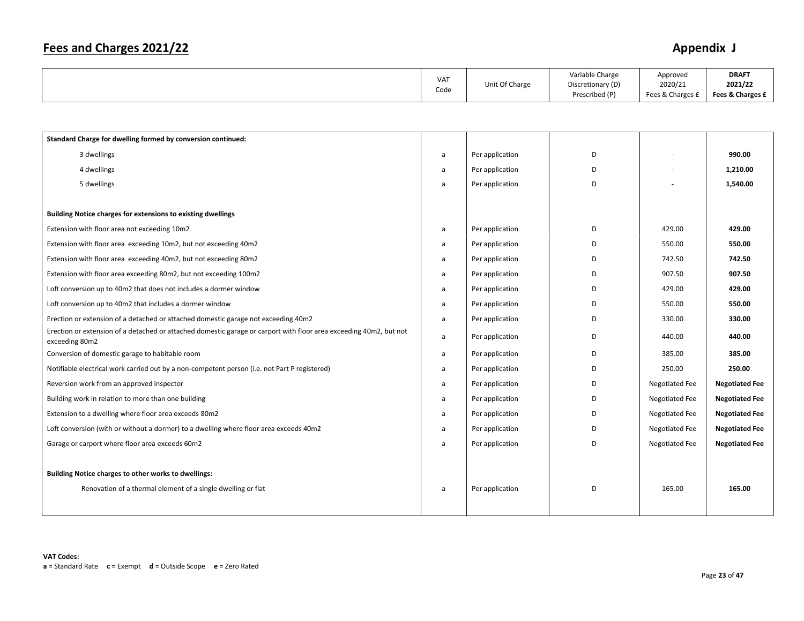|  | VA <sub>1</sub><br>Code | Unit Of Charge | Variable Charge<br>Discretionary (D)<br>Prescribed (P) | Approved<br>2020/21<br>Fees & Charges £ | <b>DRAFT</b><br>2021/22<br>Fees & Charges £ |
|--|-------------------------|----------------|--------------------------------------------------------|-----------------------------------------|---------------------------------------------|
|--|-------------------------|----------------|--------------------------------------------------------|-----------------------------------------|---------------------------------------------|

| Standard Charge for dwelling formed by conversion continued:                                                                         |   |                 |   |                       |                       |
|--------------------------------------------------------------------------------------------------------------------------------------|---|-----------------|---|-----------------------|-----------------------|
| 3 dwellings                                                                                                                          | a | Per application | D |                       | 990.00                |
| 4 dwellings                                                                                                                          | a | Per application | D |                       | 1,210.00              |
| 5 dwellings                                                                                                                          | a | Per application | D |                       | 1,540.00              |
|                                                                                                                                      |   |                 |   |                       |                       |
| Building Notice charges for extensions to existing dwellings                                                                         |   |                 |   |                       |                       |
| Extension with floor area not exceeding 10m2                                                                                         | a | Per application | D | 429.00                | 429.00                |
| Extension with floor area exceeding 10m2, but not exceeding 40m2                                                                     | a | Per application | D | 550.00                | 550.00                |
| Extension with floor area exceeding 40m2, but not exceeding 80m2                                                                     | a | Per application | D | 742.50                | 742.50                |
| Extension with floor area exceeding 80m2, but not exceeding 100m2                                                                    | a | Per application | D | 907.50                | 907.50                |
| Loft conversion up to 40m2 that does not includes a dormer window                                                                    | a | Per application | D | 429.00                | 429.00                |
| Loft conversion up to 40m2 that includes a dormer window                                                                             | a | Per application | D | 550.00                | 550.00                |
| Erection or extension of a detached or attached domestic garage not exceeding 40m2                                                   | a | Per application | D | 330.00                | 330.00                |
| Erection or extension of a detached or attached domestic garage or carport with floor area exceeding 40m2, but not<br>exceeding 80m2 | a | Per application | D | 440.00                | 440.00                |
| Conversion of domestic garage to habitable room                                                                                      | a | Per application | D | 385.00                | 385.00                |
| Notifiable electrical work carried out by a non-competent person (i.e. not Part P registered)                                        | a | Per application | D | 250.00                | 250.00                |
| Reversion work from an approved inspector                                                                                            | a | Per application | D | <b>Negotiated Fee</b> | <b>Negotiated Fee</b> |
| Building work in relation to more than one building                                                                                  | a | Per application | D | Negotiated Fee        | <b>Negotiated Fee</b> |
| Extension to a dwelling where floor area exceeds 80m2                                                                                | a | Per application | D | Negotiated Fee        | <b>Negotiated Fee</b> |
| Loft conversion (with or without a dormer) to a dwelling where floor area exceeds 40m2                                               | a | Per application | D | Negotiated Fee        | <b>Negotiated Fee</b> |
| Garage or carport where floor area exceeds 60m2                                                                                      | a | Per application | D | <b>Negotiated Fee</b> | <b>Negotiated Fee</b> |
|                                                                                                                                      |   |                 |   |                       |                       |
| Building Notice charges to other works to dwellings:                                                                                 |   |                 |   |                       |                       |
| Renovation of a thermal element of a single dwelling or flat                                                                         | a | Per application | D | 165.00                | 165.00                |
|                                                                                                                                      |   |                 |   |                       |                       |
|                                                                                                                                      |   |                 |   |                       |                       |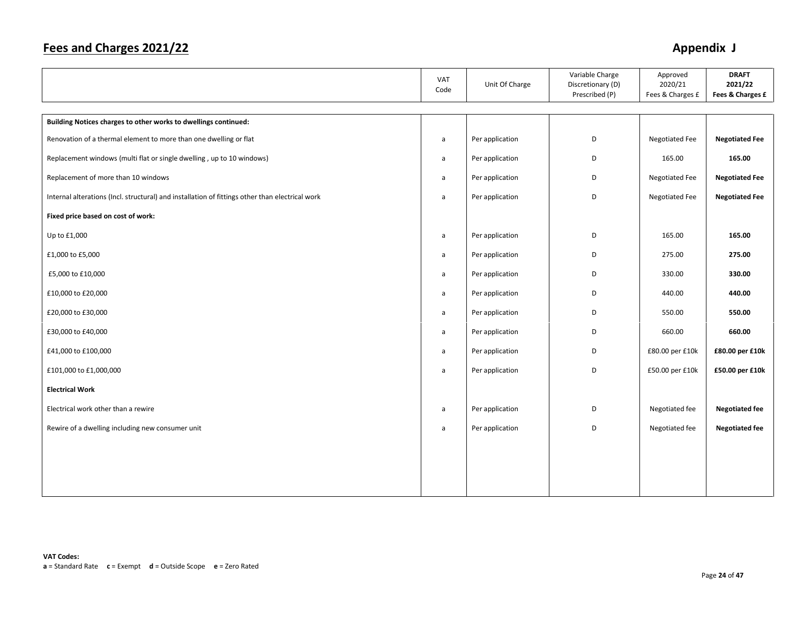|                                                                                                 | VAT<br>Code  | Unit Of Charge  | Variable Charge<br>Discretionary (D)<br>Prescribed (P) | Approved<br>2020/21<br>Fees & Charges £ | <b>DRAFT</b><br>2021/22<br>Fees & Charges £ |
|-------------------------------------------------------------------------------------------------|--------------|-----------------|--------------------------------------------------------|-----------------------------------------|---------------------------------------------|
|                                                                                                 |              |                 |                                                        |                                         |                                             |
| Building Notices charges to other works to dwellings continued:                                 |              |                 |                                                        |                                         |                                             |
| Renovation of a thermal element to more than one dwelling or flat                               | a            | Per application | D                                                      | <b>Negotiated Fee</b>                   | <b>Negotiated Fee</b>                       |
| Replacement windows (multi flat or single dwelling, up to 10 windows)                           | a            | Per application | D                                                      | 165.00                                  | 165.00                                      |
| Replacement of more than 10 windows                                                             | a            | Per application | D                                                      | <b>Negotiated Fee</b>                   | <b>Negotiated Fee</b>                       |
| Internal alterations (Incl. structural) and installation of fittings other than electrical work | a            | Per application | D                                                      | Negotiated Fee                          | <b>Negotiated Fee</b>                       |
| Fixed price based on cost of work:                                                              |              |                 |                                                        |                                         |                                             |
| Up to £1,000                                                                                    | $\mathsf{a}$ | Per application | D                                                      | 165.00                                  | 165.00                                      |
| £1,000 to £5,000                                                                                | a            | Per application | D                                                      | 275.00                                  | 275.00                                      |
| £5,000 to £10,000                                                                               | a            | Per application | D                                                      | 330.00                                  | 330.00                                      |
| £10,000 to £20,000                                                                              | a            | Per application | D                                                      | 440.00                                  | 440.00                                      |
| £20,000 to £30,000                                                                              | a            | Per application | D                                                      | 550.00                                  | 550.00                                      |
| £30,000 to £40,000                                                                              | $\mathsf{a}$ | Per application | D                                                      | 660.00                                  | 660.00                                      |
| £41,000 to £100,000                                                                             | a            | Per application | D                                                      | £80.00 per £10k                         | £80.00 per £10k                             |
| £101,000 to £1,000,000                                                                          | a            | Per application | D                                                      | £50.00 per £10k                         | £50.00 per £10k                             |
| <b>Electrical Work</b>                                                                          |              |                 |                                                        |                                         |                                             |
| Electrical work other than a rewire                                                             | a            | Per application | D                                                      | Negotiated fee                          | <b>Negotiated fee</b>                       |
| Rewire of a dwelling including new consumer unit                                                | a            | Per application | D                                                      | Negotiated fee                          | <b>Negotiated fee</b>                       |
|                                                                                                 |              |                 |                                                        |                                         |                                             |
|                                                                                                 |              |                 |                                                        |                                         |                                             |
|                                                                                                 |              |                 |                                                        |                                         |                                             |
|                                                                                                 |              |                 |                                                        |                                         |                                             |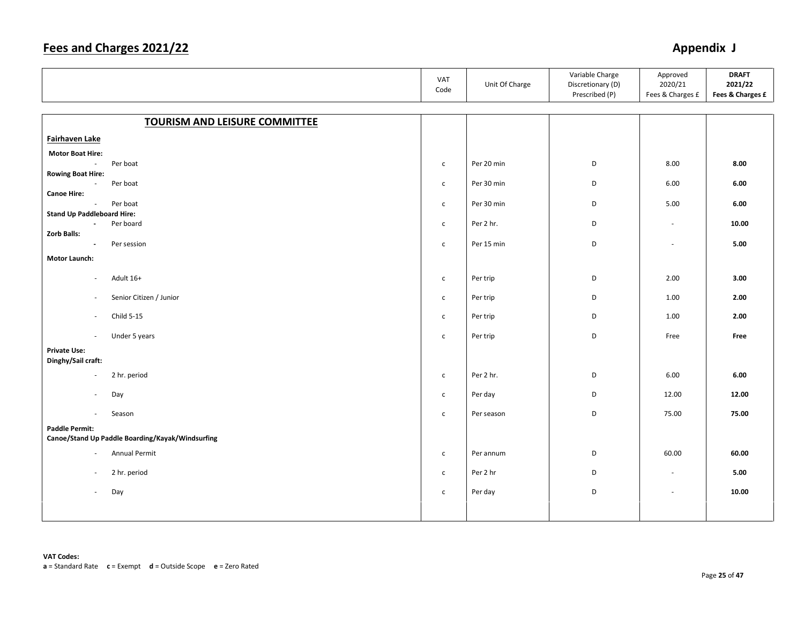|                                                    |                                                  | VAT<br>Code  | Unit Of Charge | Variable Charge<br>Discretionary (D)<br>Prescribed (P) | Approved<br>2020/21<br>Fees & Charges £ | <b>DRAFT</b><br>2021/22<br>Fees & Charges £ |
|----------------------------------------------------|--------------------------------------------------|--------------|----------------|--------------------------------------------------------|-----------------------------------------|---------------------------------------------|
|                                                    |                                                  |              |                |                                                        |                                         |                                             |
|                                                    | <b>TOURISM AND LEISURE COMMITTEE</b>             |              |                |                                                        |                                         |                                             |
| Fairhaven Lake                                     |                                                  |              |                |                                                        |                                         |                                             |
| <b>Motor Boat Hire:</b>                            |                                                  |              |                |                                                        |                                         |                                             |
| $\sim$                                             | Per boat                                         | $\mathsf{C}$ | Per 20 min     | D                                                      | 8.00                                    | 8.00                                        |
| <b>Rowing Boat Hire:</b><br>$\sim$                 | Per boat                                         | $\mathsf{C}$ | Per 30 min     | D                                                      | 6.00                                    | 6.00                                        |
| <b>Canoe Hire:</b>                                 |                                                  |              |                |                                                        |                                         |                                             |
| $\mathcal{L}$<br><b>Stand Up Paddleboard Hire:</b> | Per boat                                         | $\mathsf{C}$ | Per 30 min     | D                                                      | 5.00                                    | 6.00                                        |
| $\blacksquare$                                     | Per board                                        | $\mathsf{C}$ | Per 2 hr.      | D                                                      | $\sim$                                  | 10.00                                       |
| Zorb Balls:                                        |                                                  |              |                |                                                        |                                         |                                             |
| $\sim$                                             | Per session                                      | $\mathsf{C}$ | Per 15 min     | D                                                      | $\overline{\phantom{a}}$                | 5.00                                        |
| Motor Launch:                                      |                                                  |              |                |                                                        |                                         |                                             |
| $\sim$                                             | Adult 16+                                        | $\mathsf{C}$ | Per trip       | D                                                      | 2.00                                    | 3.00                                        |
| $\sim$                                             | Senior Citizen / Junior                          | $\mathsf{C}$ | Per trip       | D                                                      | 1.00                                    | 2.00                                        |
| $\sim$                                             | Child 5-15                                       | $\mathsf{C}$ | Per trip       | D                                                      | 1.00                                    | 2.00                                        |
| $\sim$                                             | Under 5 years                                    | $\mathsf{C}$ | Per trip       | D                                                      | Free                                    | Free                                        |
| <b>Private Use:</b><br>Dinghy/Sail craft:          |                                                  |              |                |                                                        |                                         |                                             |
| $\overline{\phantom{a}}$                           | 2 hr. period                                     | $\mathsf{C}$ | Per 2 hr.      | D                                                      | 6.00                                    | 6.00                                        |
| ×.                                                 | Day                                              | $\mathsf{C}$ | Per day        | D                                                      | 12.00                                   | 12.00                                       |
| $\sim$                                             | Season                                           | $\mathsf{C}$ | Per season     | D                                                      | 75.00                                   | 75.00                                       |
| <b>Paddle Permit:</b>                              | Canoe/Stand Up Paddle Boarding/Kayak/Windsurfing |              |                |                                                        |                                         |                                             |
|                                                    |                                                  |              |                |                                                        |                                         |                                             |
| $\blacksquare$                                     | Annual Permit                                    | $\mathsf{C}$ | Per annum      | D                                                      | 60.00                                   | 60.00                                       |
| $\sim$                                             | 2 hr. period                                     | $\mathsf{C}$ | Per 2 hr       | D                                                      | $\overline{\phantom{a}}$                | 5.00                                        |
| $\sim$                                             | Day                                              | $\mathsf{C}$ | Per day        | D                                                      | $\sim$                                  | 10.00                                       |
|                                                    |                                                  |              |                |                                                        |                                         |                                             |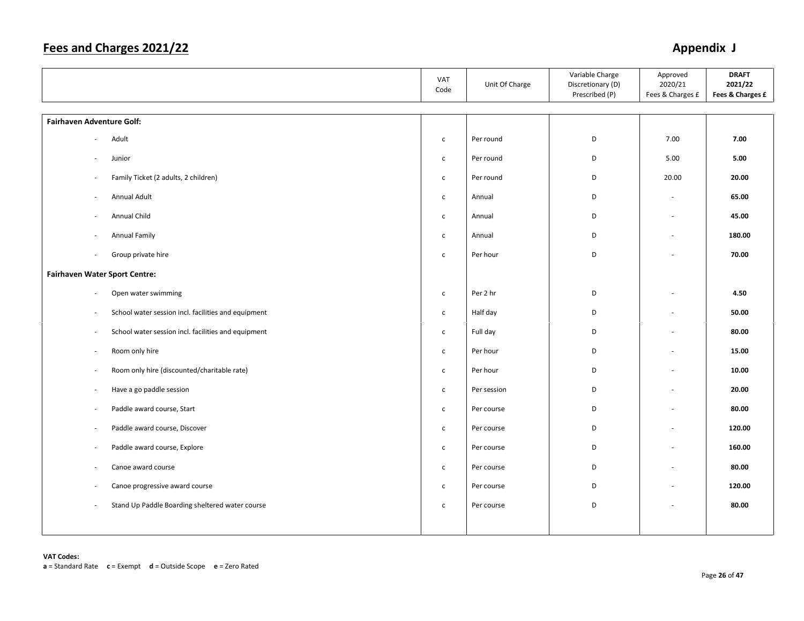|                                                                                 | VAT<br>Code  | Unit Of Charge | Variable Charge<br>Discretionary (D)<br>Prescribed (P) | Approved<br>2020/21<br>Fees & Charges £ | <b>DRAFT</b><br>2021/22<br>Fees & Charges £ |
|---------------------------------------------------------------------------------|--------------|----------------|--------------------------------------------------------|-----------------------------------------|---------------------------------------------|
| Fairhaven Adventure Golf:                                                       |              |                |                                                        |                                         |                                             |
| Adult                                                                           | $\mathsf{c}$ | Per round      | D                                                      | 7.00                                    | 7.00                                        |
| Junior                                                                          | $\mathsf{C}$ | Per round      | D                                                      | 5.00                                    | 5.00                                        |
| Family Ticket (2 adults, 2 children)                                            | $\mathsf{C}$ | Per round      | D                                                      | 20.00                                   | 20.00                                       |
| <b>Annual Adult</b><br>$\sim$                                                   | $\mathsf{c}$ | Annual         | D                                                      | $\overline{\phantom{a}}$                | 65.00                                       |
| Annual Child                                                                    | $\mathsf{C}$ | Annual         | D                                                      | $\sim$                                  | 45.00                                       |
| Annual Family                                                                   | $\mathsf{c}$ | Annual         | D                                                      | ÷                                       | 180.00                                      |
| Group private hire<br>$\sim$                                                    | $\mathsf{c}$ | Per hour       | D                                                      |                                         | 70.00                                       |
| <b>Fairhaven Water Sport Centre:</b>                                            |              |                |                                                        |                                         |                                             |
| Open water swimming<br>$\overline{\phantom{a}}$                                 | $\mathsf{c}$ | Per 2 hr       | D                                                      | $\overline{\phantom{a}}$                | 4.50                                        |
| School water session incl. facilities and equipment                             | $\mathsf{C}$ | Half day       | D                                                      | $\sim$                                  | 50.00                                       |
| School water session incl. facilities and equipment<br>$\overline{\phantom{a}}$ | $\mathsf{C}$ | Full day       | D                                                      | $\sim$                                  | 80.00                                       |
| Room only hire                                                                  | $\mathsf{C}$ | Per hour       | D                                                      | $\overline{\phantom{a}}$                | 15.00                                       |
| Room only hire (discounted/charitable rate)<br>$\overline{\phantom{a}}$         | $\mathsf{C}$ | Per hour       | D                                                      | $\overline{\phantom{a}}$                | 10.00                                       |
| Have a go paddle session<br>$\sim$                                              | $\mathsf{C}$ | Per session    | D                                                      | $\overline{\phantom{a}}$                | 20.00                                       |
| Paddle award course, Start<br>$\overline{a}$                                    | $\mathsf{c}$ | Per course     | D                                                      | $\overline{a}$                          | 80.00                                       |
| Paddle award course, Discover<br>$\overline{\phantom{a}}$                       | $\mathsf{c}$ | Per course     | D                                                      | $\sim$                                  | 120.00                                      |
| Paddle award course, Explore<br>$\overline{\phantom{a}}$                        | $\mathsf{c}$ | Per course     | D                                                      | ÷,                                      | 160.00                                      |
| Canoe award course<br>$\overline{\phantom{a}}$                                  | $\mathsf{C}$ | Per course     | D                                                      | $\overline{\phantom{a}}$                | 80.00                                       |
| Canoe progressive award course<br>$\overline{\phantom{a}}$                      | $\mathsf{c}$ | Per course     | D                                                      | $\overline{\phantom{a}}$                | 120.00                                      |
| Stand Up Paddle Boarding sheltered water course<br>$\sim$                       | $\mathsf{c}$ | Per course     | D                                                      |                                         | 80.00                                       |
|                                                                                 |              |                |                                                        |                                         |                                             |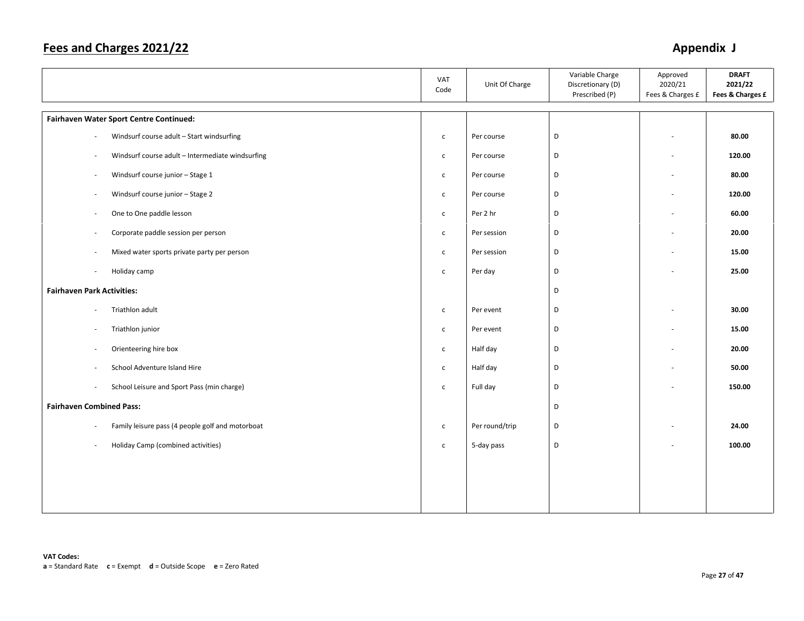|                                                                              | VAT<br>Code  | Unit Of Charge | Variable Charge<br>Discretionary (D)<br>Prescribed (P) | Approved<br>2020/21<br>Fees & Charges £ | <b>DRAFT</b><br>2021/22<br>Fees & Charges £ |
|------------------------------------------------------------------------------|--------------|----------------|--------------------------------------------------------|-----------------------------------------|---------------------------------------------|
| Fairhaven Water Sport Centre Continued:                                      |              |                |                                                        |                                         |                                             |
| Windsurf course adult - Start windsurfing                                    | $\mathsf{C}$ | Per course     | D                                                      | $\overline{a}$                          | 80.00                                       |
| Windsurf course adult - Intermediate windsurfing<br>$\sim$                   | $\mathsf{C}$ | Per course     | D                                                      | ٠                                       | 120.00                                      |
| Windsurf course junior - Stage 1<br>$\overline{\phantom{a}}$                 | $\mathsf{c}$ | Per course     | D                                                      | ÷,                                      | 80.00                                       |
| Windsurf course junior - Stage 2<br>$\overline{\phantom{a}}$                 | $\mathsf{C}$ | Per course     | D                                                      | ÷,                                      | 120.00                                      |
| One to One paddle lesson<br>$\overline{\phantom{a}}$                         | $\mathsf{C}$ | Per 2 hr       | D                                                      | ÷.                                      | 60.00                                       |
| Corporate paddle session per person<br>$\sim$                                | $\mathsf{C}$ | Per session    | D                                                      | ä,                                      | 20.00                                       |
| Mixed water sports private party per person<br>÷.                            | $\mathsf{C}$ | Per session    | D                                                      | ÷,                                      | 15.00                                       |
| Holiday camp                                                                 | $\mathsf{C}$ | Per day        | D                                                      |                                         | 25.00                                       |
| <b>Fairhaven Park Activities:</b>                                            |              |                | D                                                      |                                         |                                             |
| Triathlon adult                                                              | $\mathsf{C}$ | Per event      | D                                                      |                                         | 30.00                                       |
| Triathlon junior<br>$\sim$                                                   | $\mathsf{C}$ | Per event      | D                                                      | ä,                                      | 15.00                                       |
| Orienteering hire box<br>$\overline{\phantom{a}}$                            | $\mathsf{C}$ | Half day       | D                                                      | ٠                                       | 20.00                                       |
| School Adventure Island Hire                                                 | $\mathsf{C}$ | Half day       | D                                                      | ä,                                      | 50.00                                       |
| School Leisure and Sport Pass (min charge)<br>$\overline{\phantom{a}}$       | $\mathsf{C}$ | Full day       | D                                                      |                                         | 150.00                                      |
| <b>Fairhaven Combined Pass:</b>                                              |              |                | D                                                      |                                         |                                             |
| Family leisure pass (4 people golf and motorboat<br>$\overline{\phantom{a}}$ | $\mathsf{C}$ | Per round/trip | D                                                      |                                         | 24.00                                       |
| Holiday Camp (combined activities)                                           | $\mathsf{C}$ | 5-day pass     | D                                                      |                                         | 100.00                                      |
|                                                                              |              |                |                                                        |                                         |                                             |
|                                                                              |              |                |                                                        |                                         |                                             |
|                                                                              |              |                |                                                        |                                         |                                             |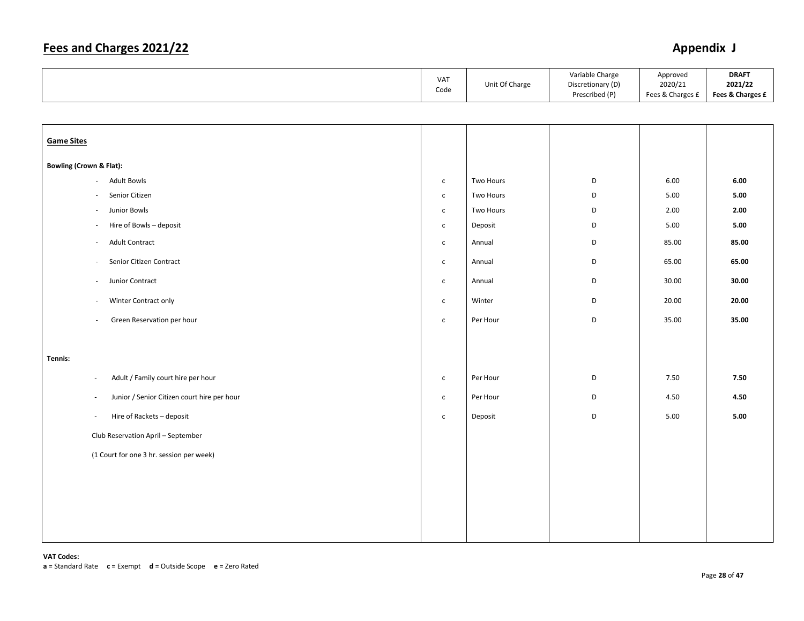|                                                                         | VAT<br>Code  | Unit Of Charge | Variable Charge<br>Discretionary (D)<br>Prescribed (P) | Approved<br>2020/21<br>Fees & Charges £ | <b>DRAFT</b><br>2021/22<br>Fees & Charges £ |
|-------------------------------------------------------------------------|--------------|----------------|--------------------------------------------------------|-----------------------------------------|---------------------------------------------|
|                                                                         |              |                |                                                        |                                         |                                             |
| <b>Game Sites</b>                                                       |              |                |                                                        |                                         |                                             |
| <b>Bowling (Crown &amp; Flat):</b>                                      |              |                |                                                        |                                         |                                             |
| <b>Adult Bowls</b><br>$\mathcal{L}_{\mathcal{A}}$                       | $\mathsf{C}$ | Two Hours      | D                                                      | 6.00                                    | 6.00                                        |
| Senior Citizen<br>$\overline{\phantom{a}}$                              | $\mathsf{c}$ | Two Hours      | D                                                      | 5.00                                    | 5.00                                        |
| Junior Bowls<br>$\sim$                                                  | $\mathsf{C}$ | Two Hours      | D                                                      | 2.00                                    | 2.00                                        |
| Hire of Bowls - deposit<br>÷,                                           | $\mathsf{c}$ | Deposit        | D                                                      | 5.00                                    | 5.00                                        |
| Adult Contract<br>$\sim$                                                | $\mathsf{C}$ | Annual         | D                                                      | 85.00                                   | 85.00                                       |
| Senior Citizen Contract<br>$\sim$                                       | $\mathsf{C}$ | Annual         | D                                                      | 65.00                                   | 65.00                                       |
| Junior Contract<br>$\sim$                                               | $\mathsf{c}$ | Annual         | D                                                      | 30.00                                   | 30.00                                       |
| Winter Contract only<br>$\sim$                                          | $\mathsf{C}$ | Winter         | D                                                      | 20.00                                   | 20.00                                       |
| Green Reservation per hour<br>$\sim$                                    | $\mathsf{c}$ | Per Hour       | D                                                      | 35.00                                   | 35.00                                       |
|                                                                         |              |                |                                                        |                                         |                                             |
| Tennis:                                                                 |              |                |                                                        |                                         |                                             |
| Adult / Family court hire per hour<br>$\sim$                            | $\mathsf{C}$ | Per Hour       | D                                                      | 7.50                                    | 7.50                                        |
| Junior / Senior Citizen court hire per hour<br>$\overline{\phantom{a}}$ | $\mathsf{c}$ | Per Hour       | D                                                      | 4.50                                    | 4.50                                        |
| Hire of Rackets - deposit<br>$\sim$                                     | $\mathsf{c}$ | Deposit        | D                                                      | 5.00                                    | 5.00                                        |
| Club Reservation April - September                                      |              |                |                                                        |                                         |                                             |
| (1 Court for one 3 hr. session per week)                                |              |                |                                                        |                                         |                                             |
|                                                                         |              |                |                                                        |                                         |                                             |
|                                                                         |              |                |                                                        |                                         |                                             |
|                                                                         |              |                |                                                        |                                         |                                             |
|                                                                         |              |                |                                                        |                                         |                                             |
|                                                                         |              |                |                                                        |                                         |                                             |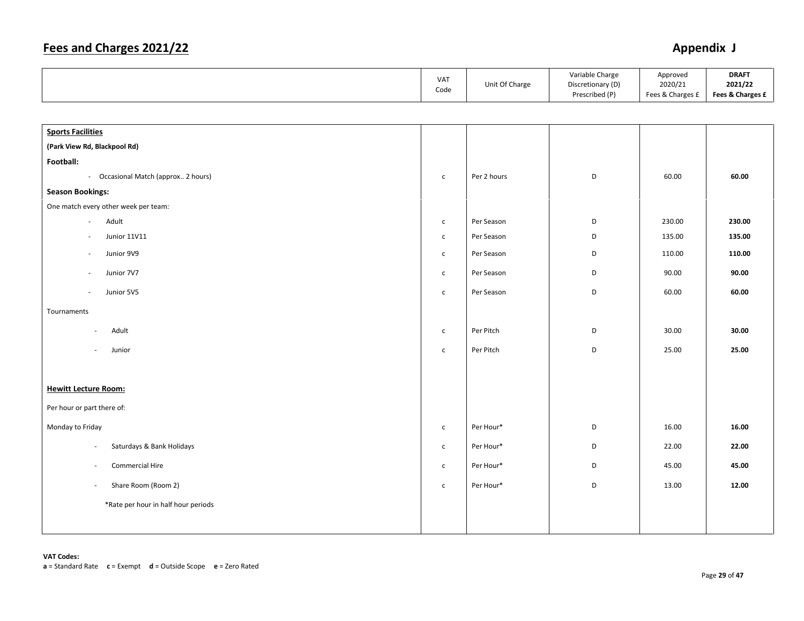|                                                       | VAT<br>Code    | Unit Of Charge | Variable Charge<br>Discretionary (D)<br>Prescribed (P) | Approved<br>2020/21<br>Fees & Charges £ | <b>DRAFT</b><br>2021/22<br>Fees & Charges £ |
|-------------------------------------------------------|----------------|----------------|--------------------------------------------------------|-----------------------------------------|---------------------------------------------|
|                                                       |                |                |                                                        |                                         |                                             |
| <b>Sports Facilities</b>                              |                |                |                                                        |                                         |                                             |
| (Park View Rd, Blackpool Rd)                          |                |                |                                                        |                                         |                                             |
| Football:                                             |                |                |                                                        |                                         |                                             |
| - Occasional Match (approx 2 hours)                   | $\mathsf{C}$   | Per 2 hours    | D                                                      | 60.00                                   | 60.00                                       |
| <b>Season Bookings:</b>                               |                |                |                                                        |                                         |                                             |
| One match every other week per team:                  |                |                |                                                        |                                         |                                             |
| Adult<br>$\overline{\phantom{a}}$                     | $\mathsf{C}$   | Per Season     | D                                                      | 230.00                                  | 230.00                                      |
| <b>Junior 11V11</b>                                   | $\mathsf{C}$   | Per Season     | D                                                      | 135.00                                  | 135.00                                      |
| Junior 9V9                                            | $\mathsf{C}$   | Per Season     | D                                                      | 110.00                                  | 110.00                                      |
| Junior 7V7                                            | $\mathsf{C}^-$ | Per Season     | D                                                      | 90.00                                   | 90.00                                       |
| Junior 5V5                                            | $\mathsf{C}$   | Per Season     | $\mathsf D$                                            | 60.00                                   | 60.00                                       |
| Tournaments                                           |                |                |                                                        |                                         |                                             |
| Adult<br>$\overline{\phantom{a}}$                     | $\mathsf{C}$   | Per Pitch      | D                                                      | 30.00                                   | 30.00                                       |
| Junior<br>$\overline{a}$                              | $\mathsf{C}$   | Per Pitch      | D                                                      | 25.00                                   | 25.00                                       |
|                                                       |                |                |                                                        |                                         |                                             |
| <b>Hewitt Lecture Room:</b>                           |                |                |                                                        |                                         |                                             |
| Per hour or part there of:                            |                |                |                                                        |                                         |                                             |
| Monday to Friday                                      | $\mathsf{C}$   | Per Hour*      | D                                                      | 16.00                                   | 16.00                                       |
| Saturdays & Bank Holidays<br>$\overline{\phantom{a}}$ | $\mathsf{C}$   | Per Hour*      | D                                                      | 22.00                                   | 22.00                                       |
| Commercial Hire<br>÷,                                 | $\mathsf{C}$   | Per Hour*      | D                                                      | 45.00                                   | 45.00                                       |
| Share Room (Room 2)<br>$\overline{\phantom{a}}$       | $\mathsf{C}$   | Per Hour*      | D                                                      | 13.00                                   | 12.00                                       |
| *Rate per hour in half hour periods                   |                |                |                                                        |                                         |                                             |
|                                                       |                |                |                                                        |                                         |                                             |
|                                                       |                |                |                                                        |                                         |                                             |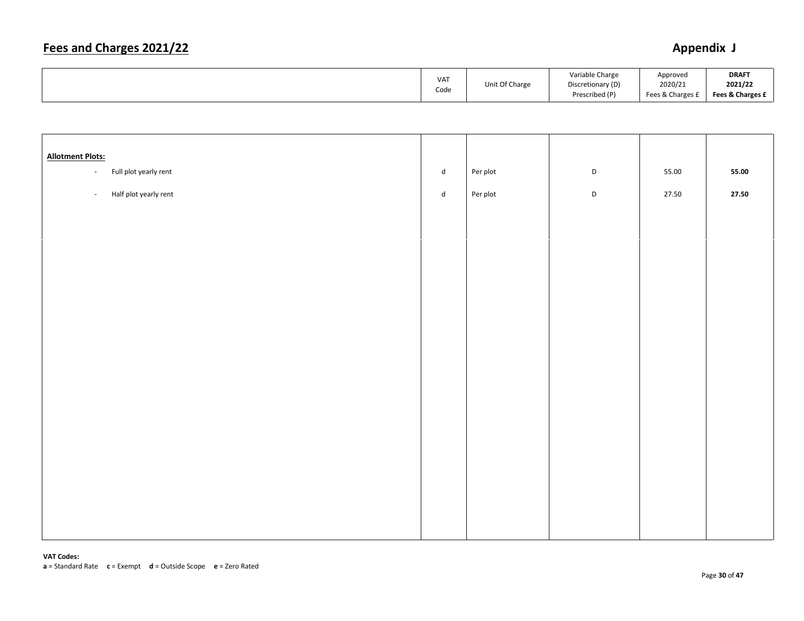| <b>VAT</b><br>Code | Unit Of Charge | Variable Charge<br>Discretionary (D)<br>Prescribed (P) | Approved<br>2020/21<br>Fees & Charges 1 | <b>DRAFT</b><br>2021/22<br>Fees & Charges £ |
|--------------------|----------------|--------------------------------------------------------|-----------------------------------------|---------------------------------------------|
|--------------------|----------------|--------------------------------------------------------|-----------------------------------------|---------------------------------------------|

| <b>Allotment Plots:</b> |                       |           |          |             |       |       |
|-------------------------|-----------------------|-----------|----------|-------------|-------|-------|
| $\omega_{\rm c}$        | Full plot yearly rent | ${\sf d}$ | Per plot | $\mathsf D$ | 55.00 | 55.00 |
| $\omega$                | Half plot yearly rent | ${\sf d}$ | Per plot | $\mathsf D$ | 27.50 | 27.50 |
|                         |                       |           |          |             |       |       |
|                         |                       |           |          |             |       |       |
|                         |                       |           |          |             |       |       |
|                         |                       |           |          |             |       |       |
|                         |                       |           |          |             |       |       |
|                         |                       |           |          |             |       |       |
|                         |                       |           |          |             |       |       |
|                         |                       |           |          |             |       |       |
|                         |                       |           |          |             |       |       |
|                         |                       |           |          |             |       |       |
|                         |                       |           |          |             |       |       |
|                         |                       |           |          |             |       |       |
|                         |                       |           |          |             |       |       |
|                         |                       |           |          |             |       |       |
|                         |                       |           |          |             |       |       |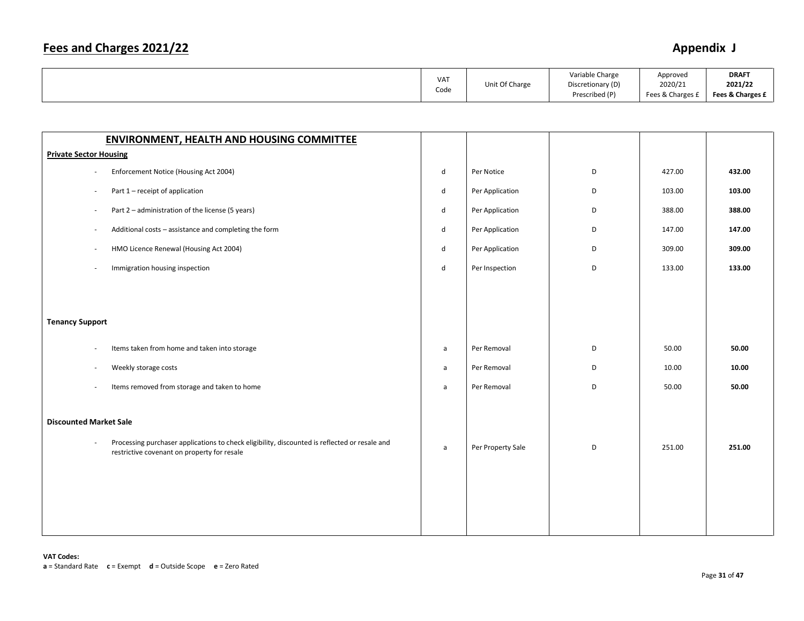| VA <sub>1</sub><br>Code |  | Unit Of Charge | Variable Charge<br>Discretionary (D)<br>Prescribed (P) | Approved<br>2020/21<br>Fees & Charges | <b>DRAFT</b><br>2021/22<br>Fees & Charges £ |
|-------------------------|--|----------------|--------------------------------------------------------|---------------------------------------|---------------------------------------------|
|-------------------------|--|----------------|--------------------------------------------------------|---------------------------------------|---------------------------------------------|

| <b>ENVIRONMENT, HEALTH AND HOUSING COMMITTEE</b>                                                                                                   |              |                   |   |        |        |
|----------------------------------------------------------------------------------------------------------------------------------------------------|--------------|-------------------|---|--------|--------|
| <b>Private Sector Housing</b>                                                                                                                      |              |                   |   |        |        |
| Enforcement Notice (Housing Act 2004)<br>$\overline{\phantom{a}}$                                                                                  | $\mathsf{d}$ | Per Notice        | D | 427.00 | 432.00 |
| Part 1 - receipt of application<br>$\sim$                                                                                                          | $\mathsf{d}$ | Per Application   | D | 103.00 | 103.00 |
| Part 2 - administration of the license (5 years)<br>÷,                                                                                             | $\mathsf{d}$ | Per Application   | D | 388.00 | 388.00 |
| Additional costs - assistance and completing the form<br>$\overline{\phantom{a}}$                                                                  | $\mathsf{d}$ | Per Application   | D | 147.00 | 147.00 |
| HMO Licence Renewal (Housing Act 2004)<br>$\sim$                                                                                                   | $\sf d$      | Per Application   | D | 309.00 | 309.00 |
| Immigration housing inspection<br>$\overline{\phantom{a}}$                                                                                         | $\mathsf{d}$ | Per Inspection    | D | 133.00 | 133.00 |
|                                                                                                                                                    |              |                   |   |        |        |
|                                                                                                                                                    |              |                   |   |        |        |
| <b>Tenancy Support</b>                                                                                                                             |              |                   |   |        |        |
|                                                                                                                                                    |              |                   |   |        |        |
| Items taken from home and taken into storage<br>$\sim$                                                                                             | $\mathsf{a}$ | Per Removal       | D | 50.00  | 50.00  |
| Weekly storage costs<br>$\sim$                                                                                                                     | $\mathsf{a}$ | Per Removal       | D | 10.00  | 10.00  |
| Items removed from storage and taken to home<br>$\sim$                                                                                             | $\mathsf{a}$ | Per Removal       | D | 50.00  | 50.00  |
|                                                                                                                                                    |              |                   |   |        |        |
| <b>Discounted Market Sale</b>                                                                                                                      |              |                   |   |        |        |
| Processing purchaser applications to check eligibility, discounted is reflected or resale and<br>÷,<br>restrictive covenant on property for resale | $\mathsf{a}$ | Per Property Sale | D | 251.00 | 251.00 |
|                                                                                                                                                    |              |                   |   |        |        |
|                                                                                                                                                    |              |                   |   |        |        |
|                                                                                                                                                    |              |                   |   |        |        |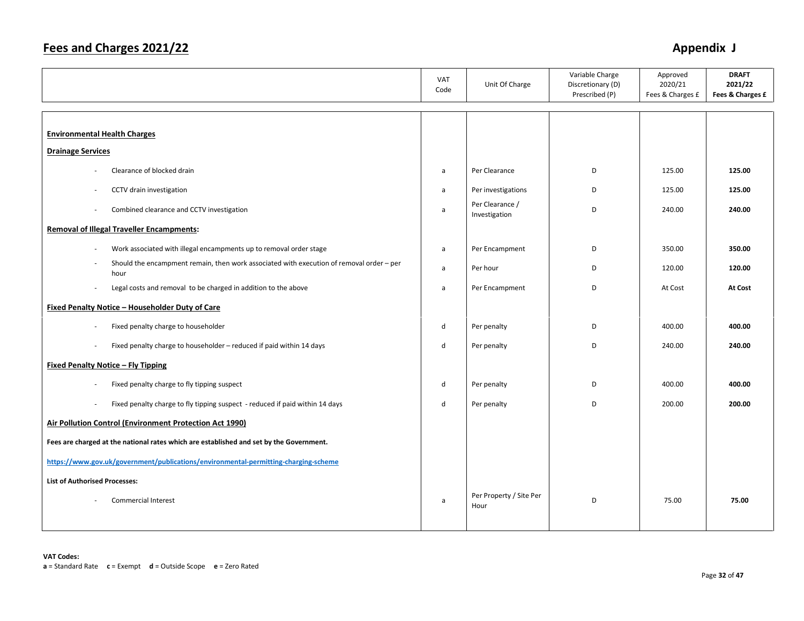|                                                                                                          | VAT<br>Code  | Unit Of Charge                   | Variable Charge<br>Discretionary (D)<br>Prescribed (P) | Approved<br>2020/21<br>Fees & Charges £ | <b>DRAFT</b><br>2021/22<br>Fees & Charges £ |
|----------------------------------------------------------------------------------------------------------|--------------|----------------------------------|--------------------------------------------------------|-----------------------------------------|---------------------------------------------|
|                                                                                                          |              |                                  |                                                        |                                         |                                             |
| <b>Environmental Health Charges</b>                                                                      |              |                                  |                                                        |                                         |                                             |
| <b>Drainage Services</b>                                                                                 |              |                                  |                                                        |                                         |                                             |
| Clearance of blocked drain                                                                               | a            | Per Clearance                    | D                                                      | 125.00                                  | 125.00                                      |
| CCTV drain investigation                                                                                 | a            | Per investigations               | D                                                      | 125.00                                  | 125.00                                      |
| Combined clearance and CCTV investigation<br>÷,                                                          | a            | Per Clearance /<br>Investigation | D                                                      | 240.00                                  | 240.00                                      |
| <b>Removal of Illegal Traveller Encampments:</b>                                                         |              |                                  |                                                        |                                         |                                             |
| Work associated with illegal encampments up to removal order stage<br>÷,                                 | $\mathsf{a}$ | Per Encampment                   | D                                                      | 350.00                                  | 350.00                                      |
| Should the encampment remain, then work associated with execution of removal order - per<br>hour         | a            | Per hour                         | D                                                      | 120.00                                  | 120.00                                      |
| Legal costs and removal to be charged in addition to the above<br>ä,                                     | a            | Per Encampment                   | D                                                      | At Cost                                 | At Cost                                     |
| Fixed Penalty Notice - Householder Duty of Care                                                          |              |                                  |                                                        |                                         |                                             |
| Fixed penalty charge to householder<br>ä,                                                                | d            | Per penalty                      | D                                                      | 400.00                                  | 400.00                                      |
| Fixed penalty charge to householder - reduced if paid within 14 days                                     | d            | Per penalty                      | D                                                      | 240.00                                  | 240.00                                      |
| <b>Fixed Penalty Notice - Fly Tipping</b>                                                                |              |                                  |                                                        |                                         |                                             |
| Fixed penalty charge to fly tipping suspect                                                              | $\mathsf{d}$ | Per penalty                      | D                                                      | 400.00                                  | 400.00                                      |
| Fixed penalty charge to fly tipping suspect - reduced if paid within 14 days<br>$\overline{\phantom{a}}$ | d            | Per penalty                      | D                                                      | 200.00                                  | 200.00                                      |
| Air Pollution Control (Environment Protection Act 1990)                                                  |              |                                  |                                                        |                                         |                                             |
| Fees are charged at the national rates which are established and set by the Government.                  |              |                                  |                                                        |                                         |                                             |
| https://www.gov.uk/government/publications/environmental-permitting-charging-scheme                      |              |                                  |                                                        |                                         |                                             |
| <b>List of Authorised Processes:</b>                                                                     |              |                                  |                                                        |                                         |                                             |
| <b>Commercial Interest</b>                                                                               | a            | Per Property / Site Per<br>Hour  | D                                                      | 75.00                                   | 75.00                                       |
|                                                                                                          |              |                                  |                                                        |                                         |                                             |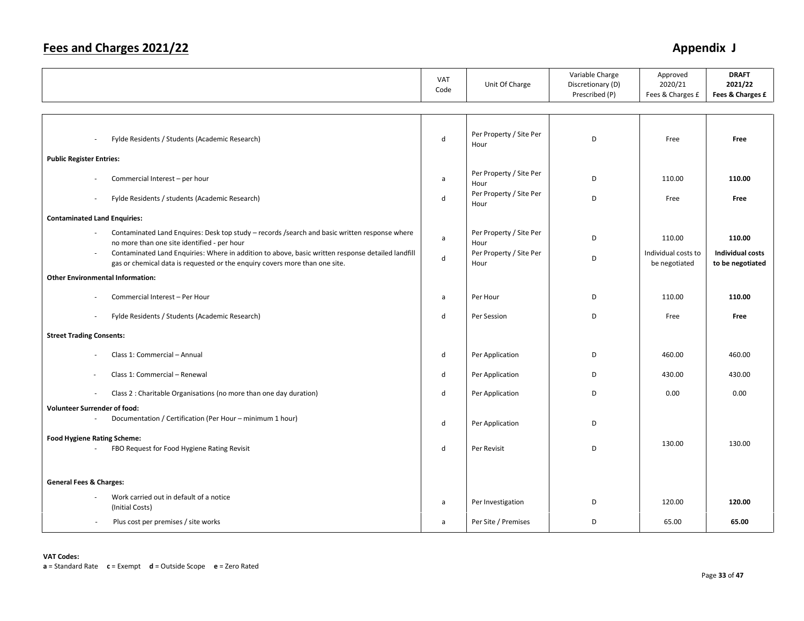|                                                                                                                                                                                                    | VAT<br>Code  | Unit Of Charge                  | Variable Charge<br>Discretionary (D)<br>Prescribed (P) | Approved<br>2020/21<br>Fees & Charges £ | <b>DRAFT</b><br>2021/22<br>Fees & Charges £ |
|----------------------------------------------------------------------------------------------------------------------------------------------------------------------------------------------------|--------------|---------------------------------|--------------------------------------------------------|-----------------------------------------|---------------------------------------------|
|                                                                                                                                                                                                    |              |                                 |                                                        |                                         |                                             |
| Fylde Residents / Students (Academic Research)                                                                                                                                                     | $\sf d$      | Per Property / Site Per<br>Hour | D                                                      | Free                                    | Free                                        |
| <b>Public Register Entries:</b>                                                                                                                                                                    |              |                                 |                                                        |                                         |                                             |
| Commercial Interest - per hour                                                                                                                                                                     | a            | Per Property / Site Per<br>Hour | D                                                      | 110.00                                  | 110.00                                      |
| Fylde Residents / students (Academic Research)<br>÷,                                                                                                                                               | d            | Per Property / Site Per<br>Hour | D                                                      | Free                                    | Free                                        |
| <b>Contaminated Land Enquiries:</b>                                                                                                                                                                |              |                                 |                                                        |                                         |                                             |
| Contaminated Land Enquires: Desk top study - records /search and basic written response where<br>no more than one site identified - per hour                                                       | $\mathsf{a}$ | Per Property / Site Per<br>Hour | D                                                      | 110.00                                  | 110.00                                      |
| Contaminated Land Enquiries: Where in addition to above, basic written response detailed landfill<br>$\blacksquare$<br>gas or chemical data is requested or the enquiry covers more than one site. | $\mathsf{d}$ | Per Property / Site Per<br>Hour | D                                                      | Individual costs to<br>be negotiated    | <b>Individual costs</b><br>to be negotiated |
| <b>Other Environmental Information:</b>                                                                                                                                                            |              |                                 |                                                        |                                         |                                             |
| Commercial Interest - Per Hour                                                                                                                                                                     | a            | Per Hour                        | D                                                      | 110.00                                  | 110.00                                      |
| Fylde Residents / Students (Academic Research)                                                                                                                                                     | d            | Per Session                     | D                                                      | Free                                    | Free                                        |
| <b>Street Trading Consents:</b>                                                                                                                                                                    |              |                                 |                                                        |                                         |                                             |
| Class 1: Commercial - Annual                                                                                                                                                                       | d            | Per Application                 | D                                                      | 460.00                                  | 460.00                                      |
| Class 1: Commercial - Renewal                                                                                                                                                                      | d            | Per Application                 | D                                                      | 430.00                                  | 430.00                                      |
| Class 2 : Charitable Organisations (no more than one day duration)<br>٠                                                                                                                            | d            | Per Application                 | D                                                      | 0.00                                    | 0.00                                        |
| <b>Volunteer Surrender of food:</b>                                                                                                                                                                |              |                                 |                                                        |                                         |                                             |
| Documentation / Certification (Per Hour - minimum 1 hour)                                                                                                                                          | d            | Per Application                 | D                                                      |                                         |                                             |
| <b>Food Hygiene Rating Scheme:</b><br>FBO Request for Food Hygiene Rating Revisit                                                                                                                  | d            | Per Revisit                     | D                                                      | 130.00                                  | 130.00                                      |
|                                                                                                                                                                                                    |              |                                 |                                                        |                                         |                                             |
| <b>General Fees &amp; Charges:</b>                                                                                                                                                                 |              |                                 |                                                        |                                         |                                             |
| Work carried out in default of a notice<br>(Initial Costs)                                                                                                                                         | a            | Per Investigation               | D                                                      | 120.00                                  | 120.00                                      |
| Plus cost per premises / site works<br>÷.                                                                                                                                                          | a            | Per Site / Premises             | D                                                      | 65.00                                   | 65.00                                       |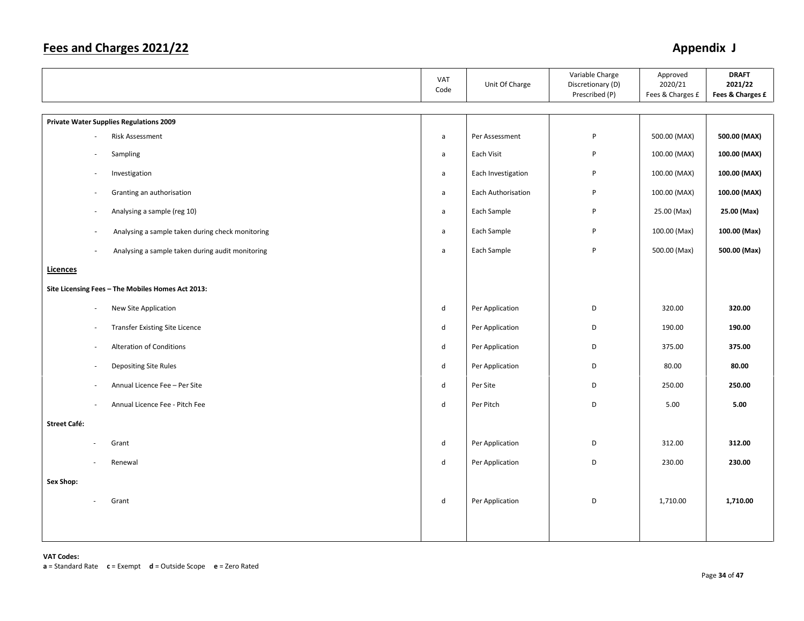|                                                                              | VAT<br>Code                 | Unit Of Charge     | Variable Charge<br>Discretionary (D)<br>Prescribed (P) | Approved<br>2020/21<br>Fees & Charges £ | <b>DRAFT</b><br>2021/22<br>Fees & Charges £ |
|------------------------------------------------------------------------------|-----------------------------|--------------------|--------------------------------------------------------|-----------------------------------------|---------------------------------------------|
| <b>Private Water Supplies Regulations 2009</b>                               |                             |                    |                                                        |                                         |                                             |
| Risk Assessment                                                              | $\mathsf{a}$                | Per Assessment     | P                                                      | 500.00 (MAX)                            | 500.00 (MAX)                                |
| Sampling                                                                     | $\mathsf{a}$                | Each Visit         | P                                                      | 100.00 (MAX)                            | 100.00 (MAX)                                |
| Investigation<br>$\sim$                                                      | $\mathsf{a}$                | Each Investigation | P                                                      | 100.00 (MAX)                            | 100.00 (MAX)                                |
| Granting an authorisation<br>$\overline{\phantom{a}}$                        | $\mathsf{a}$                | Each Authorisation | P                                                      | 100.00 (MAX)                            | 100.00 (MAX)                                |
| Analysing a sample (reg 10)<br>$\overline{\phantom{a}}$                      | $\mathsf{a}$                | Each Sample        | P                                                      | 25.00 (Max)                             | 25.00 (Max)                                 |
| Analysing a sample taken during check monitoring<br>$\overline{\phantom{a}}$ | $\mathsf{a}$                | Each Sample        | P                                                      | 100.00 (Max)                            | 100.00 (Max)                                |
| Analysing a sample taken during audit monitoring<br>$\overline{\phantom{a}}$ | $\mathsf{a}$                | Each Sample        | P                                                      | 500.00 (Max)                            | 500.00 (Max)                                |
| Licences                                                                     |                             |                    |                                                        |                                         |                                             |
| Site Licensing Fees - The Mobiles Homes Act 2013:                            |                             |                    |                                                        |                                         |                                             |
| New Site Application                                                         | ${\sf d}$                   | Per Application    | D                                                      | 320.00                                  | 320.00                                      |
| <b>Transfer Existing Site Licence</b>                                        | ${\sf d}$                   | Per Application    | D                                                      | 190.00                                  | 190.00                                      |
| Alteration of Conditions                                                     | $\operatorname{\mathsf{d}}$ | Per Application    | D                                                      | 375.00                                  | 375.00                                      |
| Depositing Site Rules                                                        | ${\sf d}$                   | Per Application    | D                                                      | 80.00                                   | 80.00                                       |
| Annual Licence Fee - Per Site<br>÷.                                          | $\mathsf{d}$                | Per Site           | D                                                      | 250.00                                  | 250.00                                      |
| Annual Licence Fee - Pitch Fee                                               | ${\sf d}$                   | Per Pitch          | D                                                      | 5.00                                    | 5.00                                        |
| <b>Street Café:</b>                                                          |                             |                    |                                                        |                                         |                                             |
| Grant                                                                        | $\operatorname{\mathsf{d}}$ | Per Application    | D                                                      | 312.00                                  | 312.00                                      |
| Renewal                                                                      | $\operatorname{\mathsf{d}}$ | Per Application    | D                                                      | 230.00                                  | 230.00                                      |
| Sex Shop:                                                                    |                             |                    |                                                        |                                         |                                             |
| Grant<br>in 1919.                                                            | ${\sf d}$                   | Per Application    | D                                                      | 1,710.00                                | 1,710.00                                    |
|                                                                              |                             |                    |                                                        |                                         |                                             |
|                                                                              |                             |                    |                                                        |                                         |                                             |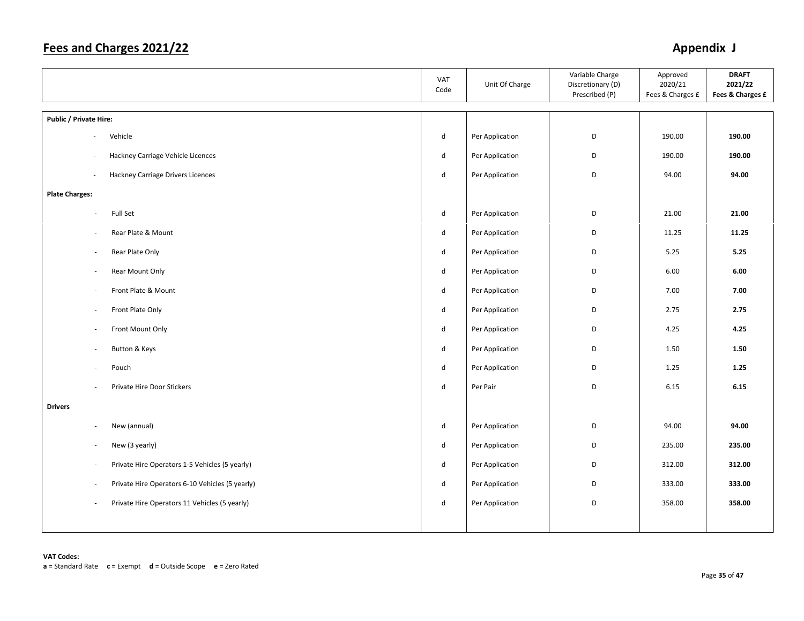|                                                                            | VAT<br>Code | Unit Of Charge  | Variable Charge<br>Discretionary (D)<br>Prescribed (P) | Approved<br>2020/21<br>Fees & Charges £ | <b>DRAFT</b><br>2021/22<br>Fees & Charges £ |
|----------------------------------------------------------------------------|-------------|-----------------|--------------------------------------------------------|-----------------------------------------|---------------------------------------------|
| Public / Private Hire:                                                     |             |                 |                                                        |                                         |                                             |
| Vehicle<br>$\sim$                                                          | d           | Per Application | D                                                      | 190.00                                  | 190.00                                      |
| Hackney Carriage Vehicle Licences<br>$\sim$                                | d           | Per Application | D                                                      | 190.00                                  | 190.00                                      |
| Hackney Carriage Drivers Licences<br>$\sim$                                | d           | Per Application | D                                                      | 94.00                                   | 94.00                                       |
| <b>Plate Charges:</b>                                                      |             |                 |                                                        |                                         |                                             |
| Full Set<br>÷,                                                             | d           | Per Application | D                                                      | 21.00                                   | 21.00                                       |
| Rear Plate & Mount<br>$\blacksquare$                                       | d           | Per Application | D                                                      | 11.25                                   | 11.25                                       |
| Rear Plate Only<br>$\overline{\phantom{a}}$                                | d           | Per Application | D                                                      | 5.25                                    | 5.25                                        |
| Rear Mount Only<br>$\overline{\phantom{a}}$                                | d           | Per Application | D                                                      | 6.00                                    | 6.00                                        |
| Front Plate & Mount<br>÷,                                                  | d           | Per Application | D                                                      | 7.00                                    | 7.00                                        |
| Front Plate Only<br>$\overline{\phantom{a}}$                               | d           | Per Application | D                                                      | 2.75                                    | 2.75                                        |
| Front Mount Only<br>$\overline{\phantom{a}}$                               | d           | Per Application | D                                                      | 4.25                                    | 4.25                                        |
| Button & Keys<br>÷,                                                        | d           | Per Application | D                                                      | 1.50                                    | 1.50                                        |
| Pouch<br>÷,                                                                | d           | Per Application | D                                                      | 1.25                                    | 1.25                                        |
| Private Hire Door Stickers<br>$\overline{\phantom{a}}$                     | d           | Per Pair        | D                                                      | 6.15                                    | 6.15                                        |
| <b>Drivers</b>                                                             |             |                 |                                                        |                                         |                                             |
| New (annual)<br>÷,                                                         | d           | Per Application | D                                                      | 94.00                                   | 94.00                                       |
| New (3 yearly)<br>÷,                                                       | d           | Per Application | D                                                      | 235.00                                  | 235.00                                      |
| Private Hire Operators 1-5 Vehicles (5 yearly)<br>$\overline{\phantom{a}}$ | d           | Per Application | D                                                      | 312.00                                  | 312.00                                      |
| Private Hire Operators 6-10 Vehicles (5 yearly)<br>÷,                      | d           | Per Application | D                                                      | 333.00                                  | 333.00                                      |
| Private Hire Operators 11 Vehicles (5 yearly)<br>ä,                        | d           | Per Application | D                                                      | 358.00                                  | 358.00                                      |
|                                                                            |             |                 |                                                        |                                         |                                             |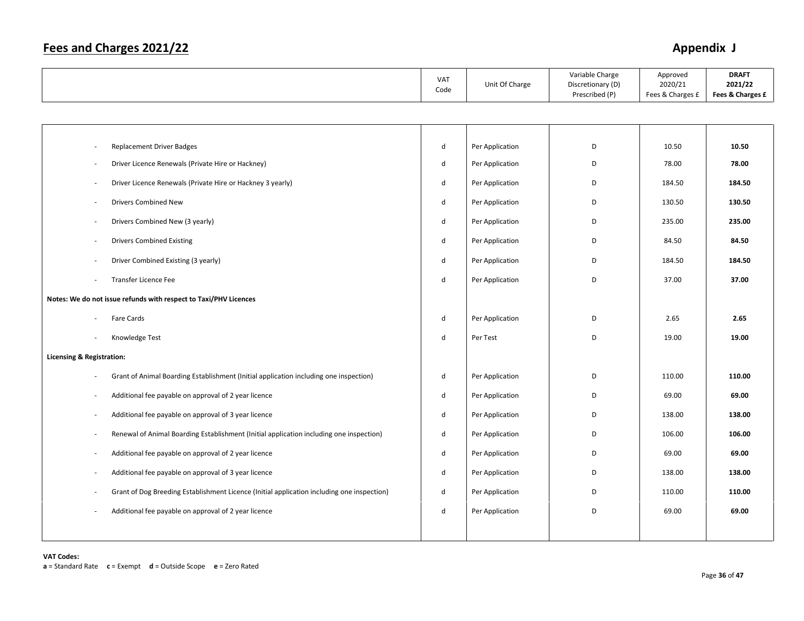|                                                                                                   | VAT<br>Code  | Unit Of Charge  | Variable Charge<br>Discretionary (D)<br>Prescribed (P) | Approved<br>2020/21<br>Fees & Charges £ | <b>DRAFT</b><br>2021/22<br>Fees & Charges £ |
|---------------------------------------------------------------------------------------------------|--------------|-----------------|--------------------------------------------------------|-----------------------------------------|---------------------------------------------|
|                                                                                                   |              |                 |                                                        |                                         |                                             |
|                                                                                                   |              |                 |                                                        |                                         |                                             |
| <b>Replacement Driver Badges</b>                                                                  | ${\sf d}$    | Per Application | D                                                      | 10.50                                   | 10.50                                       |
| Driver Licence Renewals (Private Hire or Hackney)                                                 | ${\sf d}$    | Per Application | D                                                      | 78.00                                   | 78.00                                       |
| Driver Licence Renewals (Private Hire or Hackney 3 yearly)                                        | $\mathsf{d}$ | Per Application | D                                                      | 184.50                                  | 184.50                                      |
| <b>Drivers Combined New</b>                                                                       | $\mathsf{d}$ | Per Application | D                                                      | 130.50                                  | 130.50                                      |
| Drivers Combined New (3 yearly)                                                                   | $\sf d$      | Per Application | D                                                      | 235.00                                  | 235.00                                      |
| <b>Drivers Combined Existing</b>                                                                  | $\mathsf{d}$ | Per Application | D                                                      | 84.50                                   | 84.50                                       |
| Driver Combined Existing (3 yearly)                                                               | $\mathsf{d}$ | Per Application | D                                                      | 184.50                                  | 184.50                                      |
| Transfer Licence Fee                                                                              | $\mathsf{d}$ | Per Application | D                                                      | 37.00                                   | 37.00                                       |
| Notes: We do not issue refunds with respect to Taxi/PHV Licences                                  |              |                 |                                                        |                                         |                                             |
| Fare Cards                                                                                        | ${\sf d}$    | Per Application | D                                                      | 2.65                                    | 2.65                                        |
| Knowledge Test                                                                                    | ${\sf d}$    | Per Test        | D                                                      | 19.00                                   | 19.00                                       |
| <b>Licensing &amp; Registration:</b>                                                              |              |                 |                                                        |                                         |                                             |
| Grant of Animal Boarding Establishment (Initial application including one inspection)             | $\mathsf{d}$ | Per Application | D                                                      | 110.00                                  | 110.00                                      |
| Additional fee payable on approval of 2 year licence<br>$\overline{\phantom{a}}$                  | $\sf d$      | Per Application | D                                                      | 69.00                                   | 69.00                                       |
| Additional fee payable on approval of 3 year licence                                              | ${\sf d}$    | Per Application | D                                                      | 138.00                                  | 138.00                                      |
| Renewal of Animal Boarding Establishment (Initial application including one inspection)<br>$\sim$ | $\mathsf{d}$ | Per Application | D                                                      | 106.00                                  | 106.00                                      |
| Additional fee payable on approval of 2 year licence                                              | $\sf d$      | Per Application | D                                                      | 69.00                                   | 69.00                                       |
| Additional fee payable on approval of 3 year licence                                              | $\mathsf{d}$ | Per Application | D                                                      | 138.00                                  | 138.00                                      |
| Grant of Dog Breeding Establishment Licence (Initial application including one inspection)        | ${\sf d}$    | Per Application | D                                                      | 110.00                                  | 110.00                                      |
| Additional fee payable on approval of 2 year licence                                              | ${\sf d}$    | Per Application | D                                                      | 69.00                                   | 69.00                                       |
|                                                                                                   |              |                 |                                                        |                                         |                                             |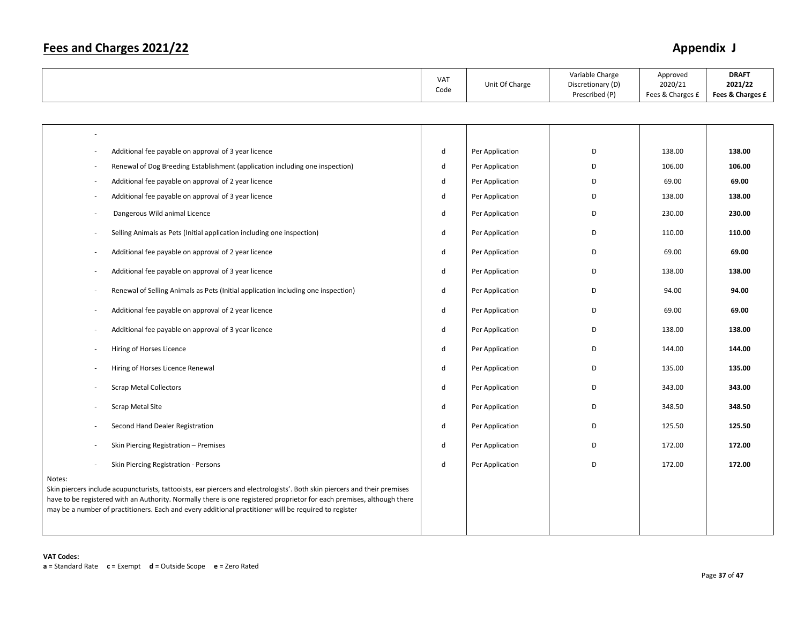|                                                                                                                                                                                                                                                                                                                                                                        | VAT<br>Code  | Unit Of Charge  | Variable Charge<br>Discretionary (D)<br>Prescribed (P) | Approved<br>2020/21<br>Fees & Charges £ | <b>DRAFT</b><br>2021/22<br>Fees & Charges £ |
|------------------------------------------------------------------------------------------------------------------------------------------------------------------------------------------------------------------------------------------------------------------------------------------------------------------------------------------------------------------------|--------------|-----------------|--------------------------------------------------------|-----------------------------------------|---------------------------------------------|
|                                                                                                                                                                                                                                                                                                                                                                        |              |                 |                                                        |                                         |                                             |
|                                                                                                                                                                                                                                                                                                                                                                        |              |                 |                                                        |                                         |                                             |
| Additional fee payable on approval of 3 year licence                                                                                                                                                                                                                                                                                                                   | d            | Per Application | D                                                      | 138.00                                  | 138.00                                      |
| Renewal of Dog Breeding Establishment (application including one inspection)                                                                                                                                                                                                                                                                                           | d            | Per Application | D                                                      | 106.00                                  | 106.00                                      |
| Additional fee payable on approval of 2 year licence<br>$\sim$                                                                                                                                                                                                                                                                                                         | d            | Per Application | D                                                      | 69.00                                   | 69.00                                       |
| Additional fee payable on approval of 3 year licence<br>$\overline{\phantom{a}}$                                                                                                                                                                                                                                                                                       | d            | Per Application | D                                                      | 138.00                                  | 138.00                                      |
| Dangerous Wild animal Licence                                                                                                                                                                                                                                                                                                                                          | d            | Per Application | D                                                      | 230.00                                  | 230.00                                      |
| Selling Animals as Pets (Initial application including one inspection)<br>$\sim$                                                                                                                                                                                                                                                                                       | ${\sf d}$    | Per Application | D                                                      | 110.00                                  | 110.00                                      |
| Additional fee payable on approval of 2 year licence                                                                                                                                                                                                                                                                                                                   | $\mathsf{d}$ | Per Application | D                                                      | 69.00                                   | 69.00                                       |
| Additional fee payable on approval of 3 year licence<br>÷.                                                                                                                                                                                                                                                                                                             | $\sf d$      | Per Application | D                                                      | 138.00                                  | 138.00                                      |
| Renewal of Selling Animals as Pets (Initial application including one inspection)                                                                                                                                                                                                                                                                                      | ${\sf d}$    | Per Application | D                                                      | 94.00                                   | 94.00                                       |
| Additional fee payable on approval of 2 year licence                                                                                                                                                                                                                                                                                                                   | ${\sf d}$    | Per Application | D                                                      | 69.00                                   | 69.00                                       |
| Additional fee payable on approval of 3 year licence                                                                                                                                                                                                                                                                                                                   | d            | Per Application | D                                                      | 138.00                                  | 138.00                                      |
| Hiring of Horses Licence<br>$\overline{\phantom{a}}$                                                                                                                                                                                                                                                                                                                   | d            | Per Application | D                                                      | 144.00                                  | 144.00                                      |
| Hiring of Horses Licence Renewal<br>$\sim$                                                                                                                                                                                                                                                                                                                             | d            | Per Application | D                                                      | 135.00                                  | 135.00                                      |
| <b>Scrap Metal Collectors</b>                                                                                                                                                                                                                                                                                                                                          | $\mathsf{d}$ | Per Application | D                                                      | 343.00                                  | 343.00                                      |
| Scrap Metal Site                                                                                                                                                                                                                                                                                                                                                       | d            | Per Application | D                                                      | 348.50                                  | 348.50                                      |
| Second Hand Dealer Registration                                                                                                                                                                                                                                                                                                                                        | $\mathsf{d}$ | Per Application | D                                                      | 125.50                                  | 125.50                                      |
| Skin Piercing Registration - Premises                                                                                                                                                                                                                                                                                                                                  | ${\sf d}$    | Per Application | D                                                      | 172.00                                  | 172.00                                      |
| Skin Piercing Registration - Persons                                                                                                                                                                                                                                                                                                                                   | $\sf d$      | Per Application | D                                                      | 172.00                                  | 172.00                                      |
| Notes:<br>Skin piercers include acupuncturists, tattooists, ear piercers and electrologists'. Both skin piercers and their premises<br>have to be registered with an Authority. Normally there is one registered proprietor for each premises, although there<br>may be a number of practitioners. Each and every additional practitioner will be required to register |              |                 |                                                        |                                         |                                             |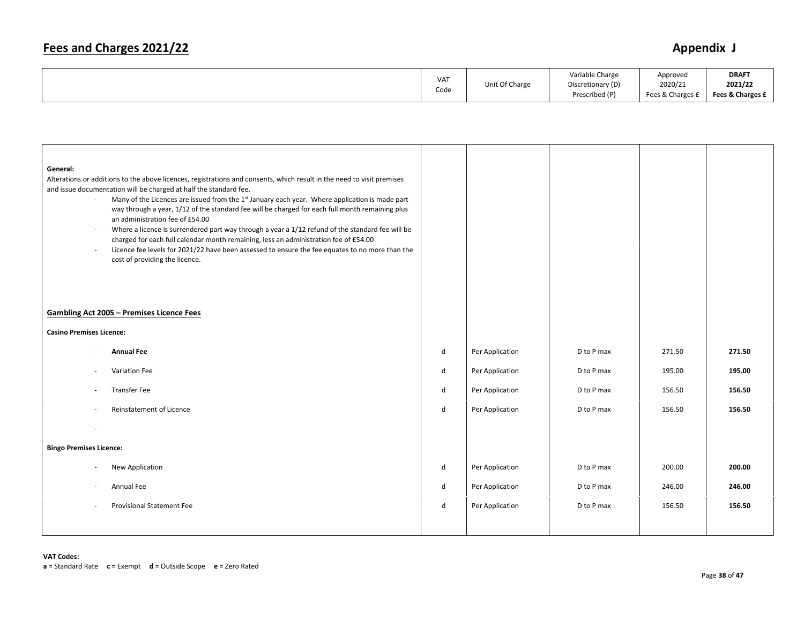|  | 1137<br>VA.<br>Code | Unit Of Charge | Variable Charge<br>Discretionary (D)<br>Prescribed (P) | Approved<br>2020/21<br>Fees & Charges I | <b>DRAFT</b><br>2021/22<br>Fees & Charges £ |
|--|---------------------|----------------|--------------------------------------------------------|-----------------------------------------|---------------------------------------------|
|--|---------------------|----------------|--------------------------------------------------------|-----------------------------------------|---------------------------------------------|

| General:<br>$\sim$<br>$\overline{\phantom{a}}$<br>$\bar{a}$ | Alterations or additions to the above licences, registrations and consents, which result in the need to visit premises<br>and issue documentation will be charged at half the standard fee.<br>Many of the Licences are issued from the 1 <sup>st</sup> January each year. Where application is made part<br>way through a year, 1/12 of the standard fee will be charged for each full month remaining plus<br>an administration fee of £54.00<br>Where a licence is surrendered part way through a year a 1/12 refund of the standard fee will be<br>charged for each full calendar month remaining, less an administration fee of £54.00<br>Licence fee levels for 2021/22 have been assessed to ensure the fee equates to no more than the<br>cost of providing the licence.<br><b>Gambling Act 2005 - Premises Licence Fees</b> |              |                 |            |        |        |
|-------------------------------------------------------------|--------------------------------------------------------------------------------------------------------------------------------------------------------------------------------------------------------------------------------------------------------------------------------------------------------------------------------------------------------------------------------------------------------------------------------------------------------------------------------------------------------------------------------------------------------------------------------------------------------------------------------------------------------------------------------------------------------------------------------------------------------------------------------------------------------------------------------------|--------------|-----------------|------------|--------|--------|
|                                                             |                                                                                                                                                                                                                                                                                                                                                                                                                                                                                                                                                                                                                                                                                                                                                                                                                                      |              |                 |            |        |        |
| <b>Casino Premises Licence:</b>                             |                                                                                                                                                                                                                                                                                                                                                                                                                                                                                                                                                                                                                                                                                                                                                                                                                                      |              |                 |            |        |        |
|                                                             | <b>Annual Fee</b>                                                                                                                                                                                                                                                                                                                                                                                                                                                                                                                                                                                                                                                                                                                                                                                                                    | ${\sf d}$    | Per Application | D to P max | 271.50 | 271.50 |
| $\overline{\phantom{a}}$                                    | Variation Fee                                                                                                                                                                                                                                                                                                                                                                                                                                                                                                                                                                                                                                                                                                                                                                                                                        | $\mathsf{d}$ | Per Application | D to P max | 195.00 | 195.00 |
| ٠                                                           | <b>Transfer Fee</b>                                                                                                                                                                                                                                                                                                                                                                                                                                                                                                                                                                                                                                                                                                                                                                                                                  | d            | Per Application | D to P max | 156.50 | 156.50 |
| $\sim$                                                      | Reinstatement of Licence                                                                                                                                                                                                                                                                                                                                                                                                                                                                                                                                                                                                                                                                                                                                                                                                             | $\mathsf{d}$ | Per Application | D to P max | 156.50 | 156.50 |
|                                                             |                                                                                                                                                                                                                                                                                                                                                                                                                                                                                                                                                                                                                                                                                                                                                                                                                                      |              |                 |            |        |        |
| <b>Bingo Premises Licence:</b>                              |                                                                                                                                                                                                                                                                                                                                                                                                                                                                                                                                                                                                                                                                                                                                                                                                                                      |              |                 |            |        |        |
|                                                             | New Application                                                                                                                                                                                                                                                                                                                                                                                                                                                                                                                                                                                                                                                                                                                                                                                                                      | $\mathsf{d}$ | Per Application | D to P max | 200.00 | 200.00 |
|                                                             | Annual Fee                                                                                                                                                                                                                                                                                                                                                                                                                                                                                                                                                                                                                                                                                                                                                                                                                           | $\mathsf{d}$ | Per Application | D to P max | 246.00 | 246.00 |
|                                                             | <b>Provisional Statement Fee</b>                                                                                                                                                                                                                                                                                                                                                                                                                                                                                                                                                                                                                                                                                                                                                                                                     | d            | Per Application | D to P max | 156.50 | 156.50 |
|                                                             |                                                                                                                                                                                                                                                                                                                                                                                                                                                                                                                                                                                                                                                                                                                                                                                                                                      |              |                 |            |        |        |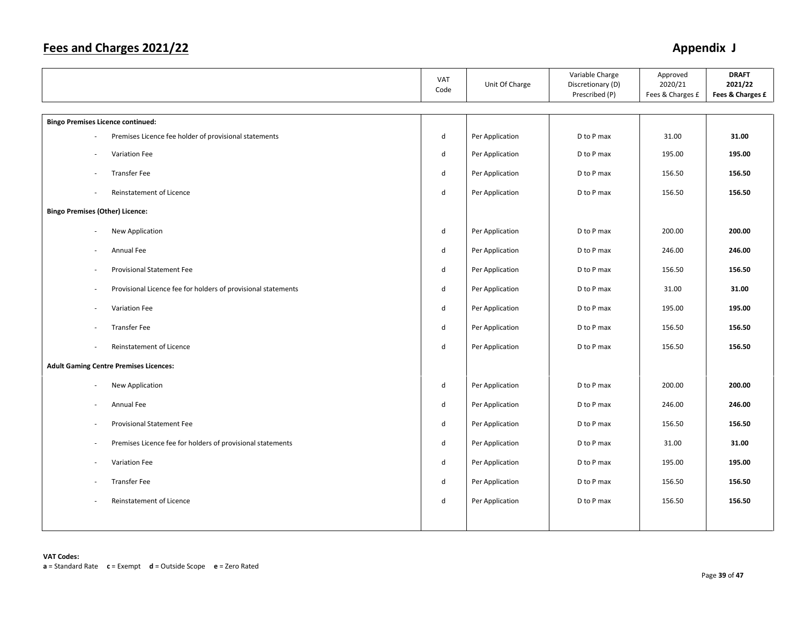|                                                                                           | <b>VAT</b><br>Code | Unit Of Charge  | Variable Charge<br>Discretionary (D)<br>Prescribed (P) | Approved<br>2020/21<br>Fees & Charges £ | <b>DRAFT</b><br>2021/22<br>Fees & Charges £ |
|-------------------------------------------------------------------------------------------|--------------------|-----------------|--------------------------------------------------------|-----------------------------------------|---------------------------------------------|
| <b>Bingo Premises Licence continued:</b>                                                  |                    |                 |                                                        |                                         |                                             |
| Premises Licence fee holder of provisional statements                                     | $\sf d$            | Per Application | D to P max                                             | 31.00                                   | 31.00                                       |
| Variation Fee                                                                             | $\sf d$            | Per Application | D to P max                                             | 195.00                                  | 195.00                                      |
| <b>Transfer Fee</b>                                                                       | d                  | Per Application | D to P max                                             | 156.50                                  | 156.50                                      |
| Reinstatement of Licence                                                                  | $\sf d$            | Per Application | D to P max                                             | 156.50                                  | 156.50                                      |
| <b>Bingo Premises (Other) Licence:</b>                                                    |                    |                 |                                                        |                                         |                                             |
| New Application<br>$\sim$                                                                 | $\sf d$            | Per Application | D to P max                                             | 200.00                                  | 200.00                                      |
| Annual Fee                                                                                | $\mathsf{d}$       | Per Application | D to P max                                             | 246.00                                  | 246.00                                      |
| <b>Provisional Statement Fee</b>                                                          | d                  | Per Application | D to P max                                             | 156.50                                  | 156.50                                      |
| Provisional Licence fee for holders of provisional statements<br>$\overline{\phantom{a}}$ | $\sf d$            | Per Application | D to P max                                             | 31.00                                   | 31.00                                       |
| Variation Fee                                                                             | $\sf d$            | Per Application | D to P max                                             | 195.00                                  | 195.00                                      |
| <b>Transfer Fee</b>                                                                       | $\sf d$            | Per Application | D to P max                                             | 156.50                                  | 156.50                                      |
| Reinstatement of Licence<br>$\sim$                                                        | $\sf d$            | Per Application | D to P max                                             | 156.50                                  | 156.50                                      |
| <b>Adult Gaming Centre Premises Licences:</b>                                             |                    |                 |                                                        |                                         |                                             |
| New Application                                                                           | d                  | Per Application | D to P max                                             | 200.00                                  | 200.00                                      |
| Annual Fee                                                                                | ${\sf d}$          | Per Application | D to P max                                             | 246.00                                  | 246.00                                      |
| <b>Provisional Statement Fee</b>                                                          | $\sf d$            | Per Application | D to P max                                             | 156.50                                  | 156.50                                      |
| Premises Licence fee for holders of provisional statements<br>$\overline{\phantom{a}}$    | d                  | Per Application | D to P max                                             | 31.00                                   | 31.00                                       |
| Variation Fee<br>$\sim$                                                                   | $\sf d$            | Per Application | D to P max                                             | 195.00                                  | 195.00                                      |
| <b>Transfer Fee</b>                                                                       | d                  | Per Application | D to P max                                             | 156.50                                  | 156.50                                      |
| Reinstatement of Licence                                                                  | $\sf d$            | Per Application | D to P max                                             | 156.50                                  | 156.50                                      |
|                                                                                           |                    |                 |                                                        |                                         |                                             |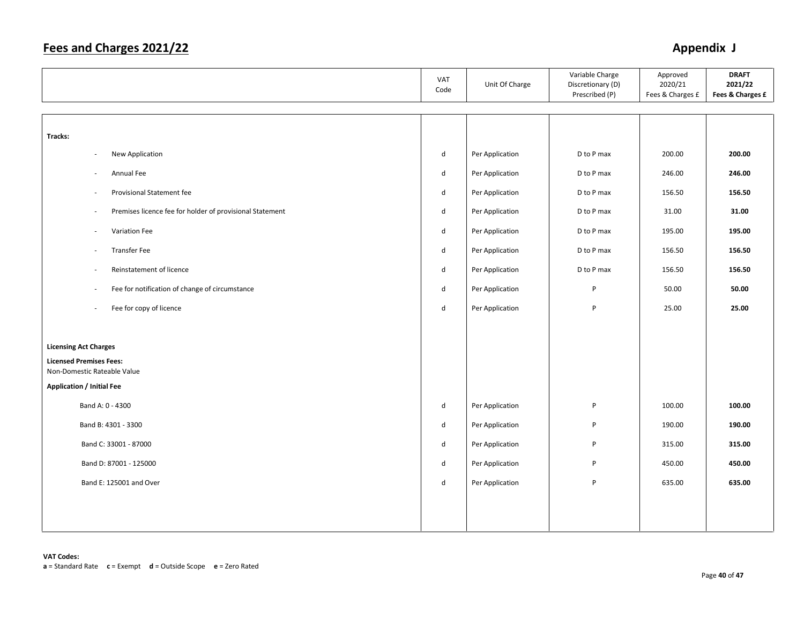|                                                               |                                                          | VAT<br>Code  | Unit Of Charge  | Variable Charge<br>Discretionary (D)<br>Prescribed (P) | Approved<br>2020/21<br>Fees & Charges £ | <b>DRAFT</b><br>2021/22<br>Fees & Charges £ |
|---------------------------------------------------------------|----------------------------------------------------------|--------------|-----------------|--------------------------------------------------------|-----------------------------------------|---------------------------------------------|
|                                                               |                                                          |              |                 |                                                        |                                         |                                             |
| Tracks:                                                       |                                                          |              |                 |                                                        |                                         |                                             |
| New Application<br>$\overline{\phantom{a}}$                   |                                                          | d            | Per Application | D to P max                                             | 200.00                                  | 200.00                                      |
| Annual Fee<br>$\sim$                                          |                                                          | $\mathsf{d}$ | Per Application | D to P max                                             | 246.00                                  | 246.00                                      |
| Provisional Statement fee<br>$\overline{\phantom{a}}$         |                                                          | $\mathsf{d}$ | Per Application | D to P max                                             | 156.50                                  | 156.50                                      |
| $\sim$                                                        | Premises licence fee for holder of provisional Statement | $\mathsf{d}$ | Per Application | D to P max                                             | 31.00                                   | 31.00                                       |
| Variation Fee<br>$\sim$                                       |                                                          | d            | Per Application | D to P max                                             | 195.00                                  | 195.00                                      |
| <b>Transfer Fee</b><br>÷.                                     |                                                          | d            | Per Application | D to P max                                             | 156.50                                  | 156.50                                      |
| Reinstatement of licence<br>$\sim$                            |                                                          | d            | Per Application | D to P max                                             | 156.50                                  | 156.50                                      |
| $\overline{\phantom{a}}$                                      | Fee for notification of change of circumstance           | d            | Per Application | P                                                      | 50.00                                   | 50.00                                       |
| Fee for copy of licence<br>$\sim$                             |                                                          | d            | Per Application | P                                                      | 25.00                                   | 25.00                                       |
|                                                               |                                                          |              |                 |                                                        |                                         |                                             |
| <b>Licensing Act Charges</b>                                  |                                                          |              |                 |                                                        |                                         |                                             |
| <b>Licensed Premises Fees:</b><br>Non-Domestic Rateable Value |                                                          |              |                 |                                                        |                                         |                                             |
| <b>Application / Initial Fee</b>                              |                                                          |              |                 |                                                        |                                         |                                             |
| Band A: 0 - 4300                                              |                                                          | $\mathsf{d}$ | Per Application | P                                                      | 100.00                                  | 100.00                                      |
| Band B: 4301 - 3300                                           |                                                          | $\mathsf{d}$ | Per Application | P                                                      | 190.00                                  | 190.00                                      |
| Band C: 33001 - 87000                                         |                                                          | $\mathsf{d}$ | Per Application | P                                                      | 315.00                                  | 315.00                                      |
| Band D: 87001 - 125000                                        |                                                          | d            | Per Application | P                                                      | 450.00                                  | 450.00                                      |
| Band E: 125001 and Over                                       |                                                          | d            | Per Application | P                                                      | 635.00                                  | 635.00                                      |
|                                                               |                                                          |              |                 |                                                        |                                         |                                             |
|                                                               |                                                          |              |                 |                                                        |                                         |                                             |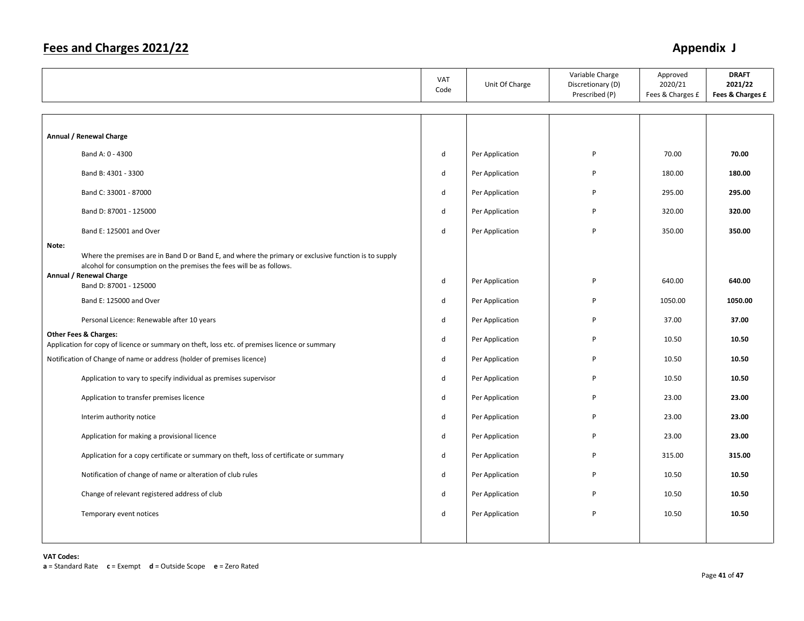|       |                                                                                                                                                                              | VAT<br>Code | Unit Of Charge  | Variable Charge<br>Discretionary (D)<br>Prescribed (P) | Approved<br>2020/21<br>Fees & Charges £ | <b>DRAFT</b><br>2021/22<br>Fees & Charges £ |
|-------|------------------------------------------------------------------------------------------------------------------------------------------------------------------------------|-------------|-----------------|--------------------------------------------------------|-----------------------------------------|---------------------------------------------|
|       |                                                                                                                                                                              |             |                 |                                                        |                                         |                                             |
|       | Annual / Renewal Charge                                                                                                                                                      |             |                 |                                                        |                                         |                                             |
|       | Band A: 0 - 4300                                                                                                                                                             | d           | Per Application | P                                                      | 70.00                                   | 70.00                                       |
|       | Band B: 4301 - 3300                                                                                                                                                          | d           | Per Application | P                                                      | 180.00                                  | 180.00                                      |
|       | Band C: 33001 - 87000                                                                                                                                                        | d           | Per Application | P                                                      | 295.00                                  | 295.00                                      |
|       | Band D: 87001 - 125000                                                                                                                                                       | d           | Per Application | P                                                      | 320.00                                  | 320.00                                      |
|       | Band E: 125001 and Over                                                                                                                                                      | d           | Per Application | P                                                      | 350.00                                  | 350.00                                      |
| Note: | Where the premises are in Band D or Band E, and where the primary or exclusive function is to supply<br>alcohol for consumption on the premises the fees will be as follows. |             |                 |                                                        |                                         |                                             |
|       | Annual / Renewal Charge<br>Band D: 87001 - 125000                                                                                                                            | d           | Per Application | P                                                      | 640.00                                  | 640.00                                      |
|       | Band E: 125000 and Over                                                                                                                                                      | d           | Per Application | P                                                      | 1050.00                                 | 1050.00                                     |
|       | Personal Licence: Renewable after 10 years                                                                                                                                   | d           | Per Application | P                                                      | 37.00                                   | 37.00                                       |
|       | <b>Other Fees &amp; Charges:</b><br>Application for copy of licence or summary on theft, loss etc. of premises licence or summary                                            | d           | Per Application | P                                                      | 10.50                                   | 10.50                                       |
|       | Notification of Change of name or address (holder of premises licence)                                                                                                       | d           | Per Application | P                                                      | 10.50                                   | 10.50                                       |
|       | Application to vary to specify individual as premises supervisor                                                                                                             | d           | Per Application | P                                                      | 10.50                                   | 10.50                                       |
|       | Application to transfer premises licence                                                                                                                                     | d           | Per Application | P                                                      | 23.00                                   | 23.00                                       |
|       | Interim authority notice                                                                                                                                                     | d           | Per Application | P                                                      | 23.00                                   | 23.00                                       |
|       | Application for making a provisional licence                                                                                                                                 | d           | Per Application | P                                                      | 23.00                                   | 23.00                                       |
|       | Application for a copy certificate or summary on theft, loss of certificate or summary                                                                                       | d           | Per Application | P                                                      | 315.00                                  | 315.00                                      |
|       | Notification of change of name or alteration of club rules                                                                                                                   | d           | Per Application | P                                                      | 10.50                                   | 10.50                                       |
|       | Change of relevant registered address of club                                                                                                                                | d           | Per Application | P                                                      | 10.50                                   | 10.50                                       |
|       | Temporary event notices                                                                                                                                                      | d           | Per Application | P                                                      | 10.50                                   | 10.50                                       |
|       |                                                                                                                                                                              |             |                 |                                                        |                                         |                                             |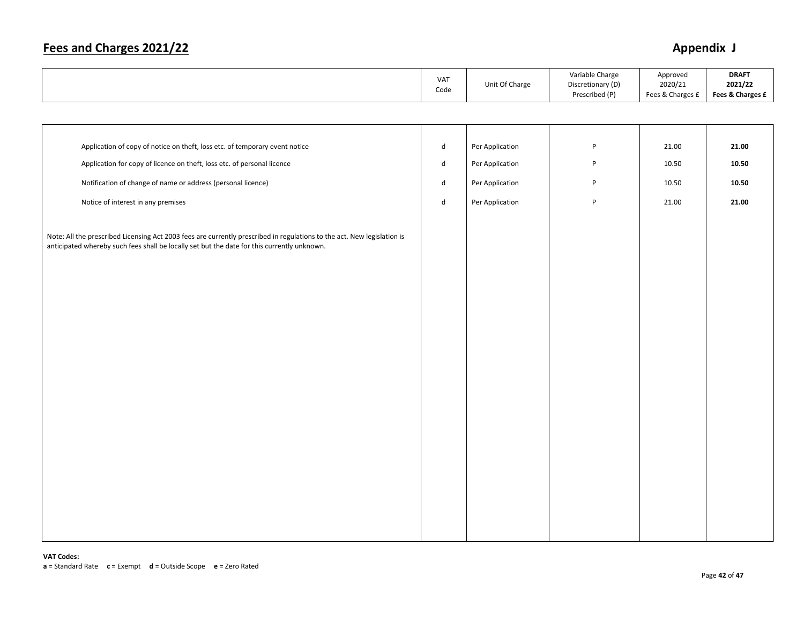|                                                                                                                                                                                                                        | VAT<br>Code                 | Unit Of Charge  | Variable Charge<br>Discretionary (D)<br>Prescribed (P) | Approved<br>2020/21<br>Fees & Charges £ | <b>DRAFT</b><br>2021/22<br>Fees & Charges £ |
|------------------------------------------------------------------------------------------------------------------------------------------------------------------------------------------------------------------------|-----------------------------|-----------------|--------------------------------------------------------|-----------------------------------------|---------------------------------------------|
|                                                                                                                                                                                                                        |                             |                 |                                                        |                                         |                                             |
|                                                                                                                                                                                                                        |                             |                 |                                                        |                                         |                                             |
| Application of copy of notice on theft, loss etc. of temporary event notice                                                                                                                                            | $\operatorname{\mathsf{d}}$ | Per Application | P                                                      | 21.00                                   | 21.00                                       |
| Application for copy of licence on theft, loss etc. of personal licence                                                                                                                                                | d                           | Per Application | P                                                      | 10.50                                   | 10.50                                       |
| Notification of change of name or address (personal licence)                                                                                                                                                           | ${\sf d}$                   | Per Application | P                                                      | 10.50                                   | 10.50                                       |
| Notice of interest in any premises                                                                                                                                                                                     | $\sf d$                     | Per Application | P                                                      | 21.00                                   | 21.00                                       |
| Note: All the prescribed Licensing Act 2003 fees are currently prescribed in regulations to the act. New legislation is<br>anticipated whereby such fees shall be locally set but the date for this currently unknown. |                             |                 |                                                        |                                         |                                             |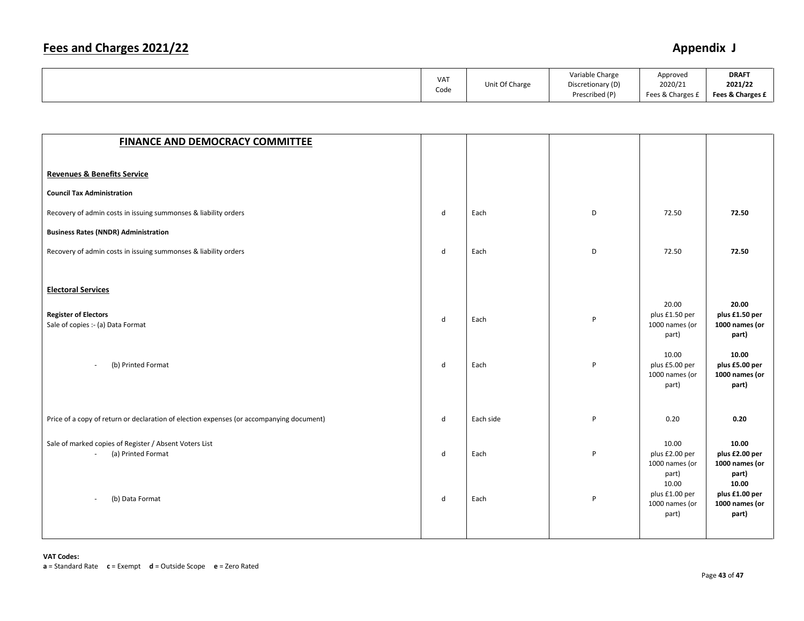|  | VA <sub>1</sub><br>Code | Unit Of Charge | Variable Charge<br>Discretionary (D)<br>Prescribed (P) | Approved<br>2020/21<br>Fees & Charges £ | <b>DRAFT</b><br>2021/22<br>Fees & Charges £ |
|--|-------------------------|----------------|--------------------------------------------------------|-----------------------------------------|---------------------------------------------|
|--|-------------------------|----------------|--------------------------------------------------------|-----------------------------------------|---------------------------------------------|

| <b>FINANCE AND DEMOCRACY COMMITTEE</b>                                                                    |        |              |        |                                                                                                          |                                                                                                          |
|-----------------------------------------------------------------------------------------------------------|--------|--------------|--------|----------------------------------------------------------------------------------------------------------|----------------------------------------------------------------------------------------------------------|
|                                                                                                           |        |              |        |                                                                                                          |                                                                                                          |
| <b>Revenues &amp; Benefits Service</b>                                                                    |        |              |        |                                                                                                          |                                                                                                          |
| <b>Council Tax Administration</b>                                                                         |        |              |        |                                                                                                          |                                                                                                          |
| Recovery of admin costs in issuing summonses & liability orders                                           | d      | Each         | D      | 72.50                                                                                                    | 72.50                                                                                                    |
| <b>Business Rates (NNDR) Administration</b>                                                               |        |              |        |                                                                                                          |                                                                                                          |
| Recovery of admin costs in issuing summonses & liability orders                                           | d      | Each         | D      | 72.50                                                                                                    | 72.50                                                                                                    |
| <b>Electoral Services</b>                                                                                 |        |              |        |                                                                                                          |                                                                                                          |
| <b>Register of Electors</b><br>Sale of copies :- (a) Data Format                                          | d      | Each         | P      | 20.00<br>plus £1.50 per<br>1000 names (or<br>part)                                                       | 20.00<br>plus £1.50 per<br>1000 names (or<br>part)                                                       |
| (b) Printed Format<br>$\overline{\phantom{a}}$                                                            | d      | Each         | P      | 10.00<br>plus £5.00 per<br>1000 names (or<br>part)                                                       | 10.00<br>plus £5.00 per<br>1000 names (or<br>part)                                                       |
| Price of a copy of return or declaration of election expenses (or accompanying document)                  | d      | Each side    | P      | 0.20                                                                                                     | 0.20                                                                                                     |
| Sale of marked copies of Register / Absent Voters List<br>(a) Printed Format<br>$\sim$<br>(b) Data Format | d<br>d | Each<br>Each | P<br>P | 10.00<br>plus £2.00 per<br>1000 names (or<br>part)<br>10.00<br>plus £1.00 per<br>1000 names (or<br>part) | 10.00<br>plus £2.00 per<br>1000 names (or<br>part)<br>10.00<br>plus £1.00 per<br>1000 names (or<br>part) |
|                                                                                                           |        |              |        |                                                                                                          |                                                                                                          |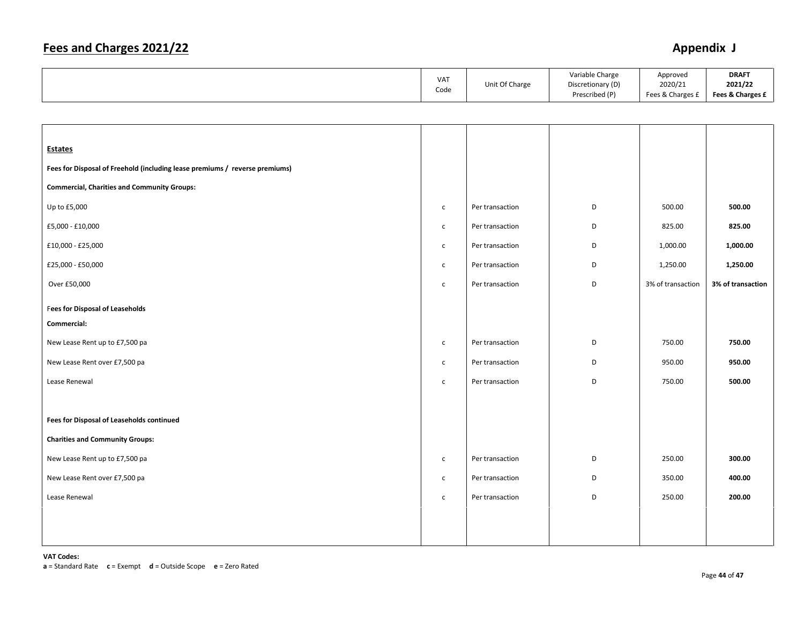| Prescribed (P)<br>Fees & Charges £<br>Fees & Charges £ |
|--------------------------------------------------------|
|--------------------------------------------------------|

| <b>Estates</b>                                                              |              |                 |   |                   |                   |
|-----------------------------------------------------------------------------|--------------|-----------------|---|-------------------|-------------------|
| Fees for Disposal of Freehold (including lease premiums / reverse premiums) |              |                 |   |                   |                   |
| <b>Commercial, Charities and Community Groups:</b>                          |              |                 |   |                   |                   |
| Up to £5,000                                                                | $\mathsf{C}$ | Per transaction | D | 500.00            | 500.00            |
| £5,000 - £10,000                                                            | $\mathsf{C}$ | Per transaction | D | 825.00            | 825.00            |
| £10,000 - £25,000                                                           | $\mathsf{C}$ | Per transaction | D | 1,000.00          | 1,000.00          |
| £25,000 - £50,000                                                           | $\mathsf{C}$ | Per transaction | D | 1,250.00          | 1,250.00          |
| Over £50,000                                                                | $\mathsf{c}$ | Per transaction | D | 3% of transaction | 3% of transaction |
| <b>Fees for Disposal of Leaseholds</b>                                      |              |                 |   |                   |                   |
| Commercial:                                                                 |              |                 |   |                   |                   |
| New Lease Rent up to £7,500 pa                                              | $\mathsf{c}$ | Per transaction | D | 750.00            | 750.00            |
| New Lease Rent over £7,500 pa                                               | $\mathsf{C}$ | Per transaction | D | 950.00            | 950.00            |
| Lease Renewal                                                               | $\mathsf{C}$ | Per transaction | D | 750.00            | 500.00            |
|                                                                             |              |                 |   |                   |                   |
| Fees for Disposal of Leaseholds continued                                   |              |                 |   |                   |                   |
| <b>Charities and Community Groups:</b>                                      |              |                 |   |                   |                   |
| New Lease Rent up to £7,500 pa                                              | $\mathsf{C}$ | Per transaction | D | 250.00            | 300.00            |
| New Lease Rent over £7,500 pa                                               | $\mathsf{C}$ | Per transaction | D | 350.00            | 400.00            |
| Lease Renewal                                                               | $\mathsf{C}$ | Per transaction | D | 250.00            | 200.00            |
|                                                                             |              |                 |   |                   |                   |
|                                                                             |              |                 |   |                   |                   |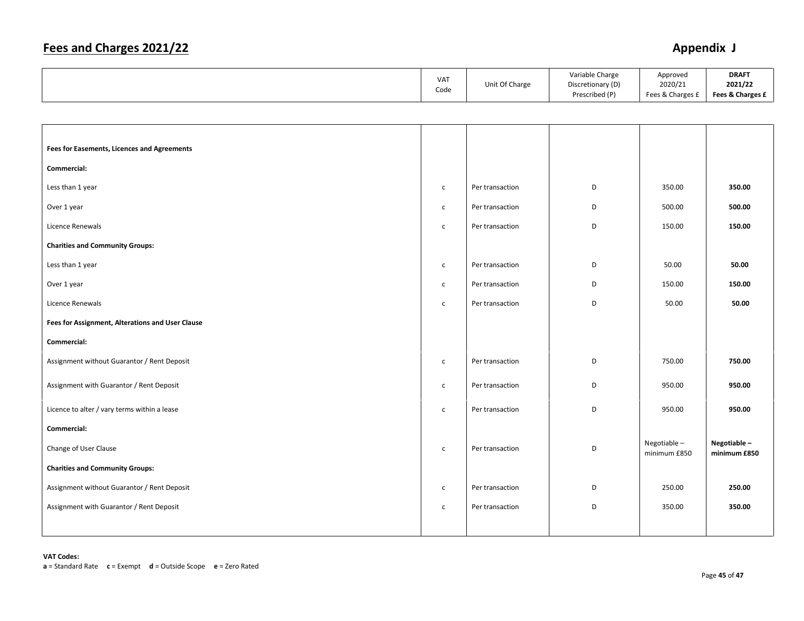|                                                    | VAT<br>Code  | Unit Of Charge  | Variable Charge<br>Discretionary (D)<br>Prescribed (P) | Approved<br>2020/21<br>Fees & Charges £ | <b>DRAFT</b><br>2021/22<br>Fees & Charges £ |
|----------------------------------------------------|--------------|-----------------|--------------------------------------------------------|-----------------------------------------|---------------------------------------------|
|                                                    |              |                 |                                                        |                                         |                                             |
|                                                    |              |                 |                                                        |                                         |                                             |
| <b>Fees for Easements, Licences and Agreements</b> |              |                 |                                                        |                                         |                                             |
| Commercial:                                        |              |                 |                                                        |                                         |                                             |
| Less than 1 year                                   | $\mathsf{C}$ | Per transaction | D                                                      | 350.00                                  | 350.00                                      |
| Over 1 year                                        | $\mathsf{C}$ | Per transaction | D                                                      | 500.00                                  | 500.00                                      |
| Licence Renewals                                   | $\mathsf{C}$ | Per transaction | D                                                      | 150.00                                  | 150.00                                      |
| <b>Charities and Community Groups:</b>             |              |                 |                                                        |                                         |                                             |
| Less than 1 year                                   | $\mathsf{C}$ | Per transaction | D                                                      | 50.00                                   | 50.00                                       |
| Over 1 year                                        | $\mathsf{C}$ | Per transaction | D                                                      | 150.00                                  | 150.00                                      |
| Licence Renewals                                   | $\mathsf{C}$ | Per transaction | D                                                      | 50.00                                   | 50.00                                       |
| Fees for Assignment, Alterations and User Clause   |              |                 |                                                        |                                         |                                             |
| Commercial:                                        |              |                 |                                                        |                                         |                                             |
| Assignment without Guarantor / Rent Deposit        | $\mathsf{c}$ | Per transaction | D                                                      | 750.00                                  | 750.00                                      |
| Assignment with Guarantor / Rent Deposit           | $\mathsf{C}$ | Per transaction | D                                                      | 950.00                                  | 950.00                                      |
| Licence to alter / vary terms within a lease       | $\mathsf{C}$ | Per transaction | D                                                      | 950.00                                  | 950.00                                      |
| Commercial:                                        |              |                 |                                                        |                                         |                                             |
| Change of User Clause                              | $\mathsf{C}$ | Per transaction | D                                                      | Negotiable-<br>minimum £850             | Negotiable-<br>minimum £850                 |
| <b>Charities and Community Groups:</b>             |              |                 |                                                        |                                         |                                             |
| Assignment without Guarantor / Rent Deposit        | $\mathsf{C}$ | Per transaction | D                                                      | 250.00                                  | 250.00                                      |
| Assignment with Guarantor / Rent Deposit           | $\mathsf{C}$ | Per transaction | D                                                      | 350.00                                  | 350.00                                      |
|                                                    |              |                 |                                                        |                                         |                                             |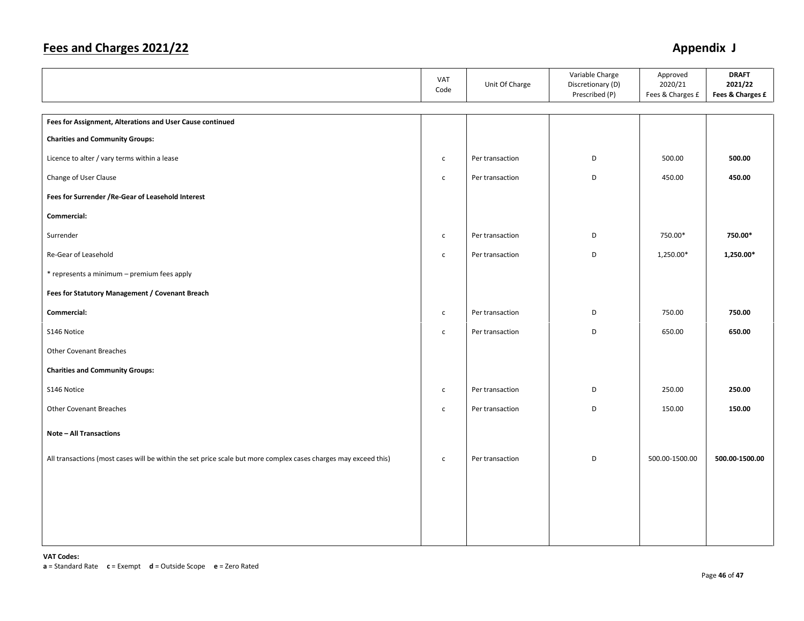|                                                                                                                 | VAT<br>Code  | Unit Of Charge  | Variable Charge<br>Discretionary (D)<br>Prescribed (P) | Approved<br>2020/21<br>Fees & Charges £ | <b>DRAFT</b><br>2021/22<br>Fees & Charges £ |
|-----------------------------------------------------------------------------------------------------------------|--------------|-----------------|--------------------------------------------------------|-----------------------------------------|---------------------------------------------|
|                                                                                                                 |              |                 |                                                        |                                         |                                             |
| Fees for Assignment, Alterations and User Cause continued                                                       |              |                 |                                                        |                                         |                                             |
| <b>Charities and Community Groups:</b>                                                                          |              |                 |                                                        |                                         |                                             |
| Licence to alter / vary terms within a lease                                                                    | $\mathsf{C}$ | Per transaction | D                                                      | 500.00                                  | 500.00                                      |
| Change of User Clause                                                                                           | $\mathsf{C}$ | Per transaction | D                                                      | 450.00                                  | 450.00                                      |
| Fees for Surrender / Re-Gear of Leasehold Interest                                                              |              |                 |                                                        |                                         |                                             |
| Commercial:                                                                                                     |              |                 |                                                        |                                         |                                             |
| Surrender                                                                                                       | $\mathsf{c}$ | Per transaction | D                                                      | 750.00*                                 | 750.00*                                     |
| Re-Gear of Leasehold                                                                                            | $\mathsf{c}$ | Per transaction | D                                                      | 1,250.00*                               | 1,250.00*                                   |
| * represents a minimum - premium fees apply                                                                     |              |                 |                                                        |                                         |                                             |
| Fees for Statutory Management / Covenant Breach                                                                 |              |                 |                                                        |                                         |                                             |
| Commercial:                                                                                                     | $\mathsf{c}$ | Per transaction | D                                                      | 750.00                                  | 750.00                                      |
| S146 Notice                                                                                                     | $\mathsf{c}$ | Per transaction | D                                                      | 650.00                                  | 650.00                                      |
| Other Covenant Breaches                                                                                         |              |                 |                                                        |                                         |                                             |
| <b>Charities and Community Groups:</b>                                                                          |              |                 |                                                        |                                         |                                             |
| S146 Notice                                                                                                     | $\mathsf{C}$ | Per transaction | D                                                      | 250.00                                  | 250.00                                      |
| <b>Other Covenant Breaches</b>                                                                                  | $\mathsf{c}$ | Per transaction | D                                                      | 150.00                                  | 150.00                                      |
| <b>Note - All Transactions</b>                                                                                  |              |                 |                                                        |                                         |                                             |
| All transactions (most cases will be within the set price scale but more complex cases charges may exceed this) | $\mathsf{c}$ | Per transaction | D                                                      | 500.00-1500.00                          | 500.00-1500.00                              |
|                                                                                                                 |              |                 |                                                        |                                         |                                             |
|                                                                                                                 |              |                 |                                                        |                                         |                                             |
|                                                                                                                 |              |                 |                                                        |                                         |                                             |
|                                                                                                                 |              |                 |                                                        |                                         |                                             |